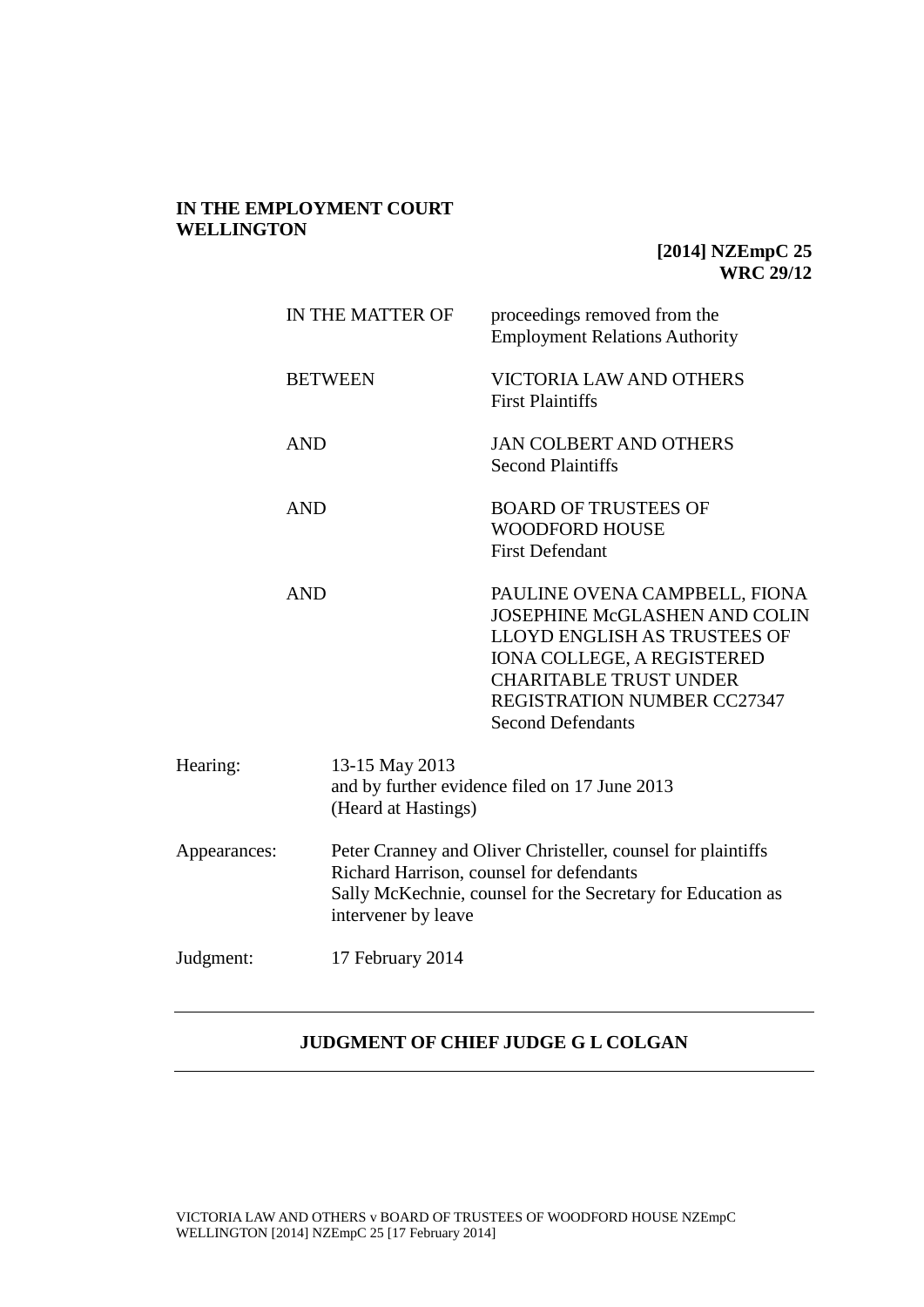# **IN THE EMPLOYMENT COURT WELLINGTON**

# **[2014] NZEmpC 25 WRC 29/12**

|              | IN THE MATTER OF |                                                                 | proceedings removed from the<br><b>Employment Relations Authority</b>                                                                                                                                                                  |
|--------------|------------------|-----------------------------------------------------------------|----------------------------------------------------------------------------------------------------------------------------------------------------------------------------------------------------------------------------------------|
|              |                  | <b>BETWEEN</b>                                                  | VICTORIA LAW AND OTHERS<br><b>First Plaintiffs</b>                                                                                                                                                                                     |
|              | <b>AND</b>       |                                                                 | <b>JAN COLBERT AND OTHERS</b><br><b>Second Plaintiffs</b>                                                                                                                                                                              |
|              | <b>AND</b>       |                                                                 | <b>BOARD OF TRUSTEES OF</b><br><b>WOODFORD HOUSE</b><br><b>First Defendant</b>                                                                                                                                                         |
|              | <b>AND</b>       |                                                                 | PAULINE OVENA CAMPBELL, FIONA<br><b>JOSEPHINE McGLASHEN AND COLIN</b><br>LLOYD ENGLISH AS TRUSTEES OF<br><b>IONA COLLEGE, A REGISTERED</b><br><b>CHARITABLE TRUST UNDER</b><br>REGISTRATION NUMBER CC27347<br><b>Second Defendants</b> |
| Hearing:     |                  | 13-15 May 2013<br>(Heard at Hastings)                           | and by further evidence filed on 17 June 2013                                                                                                                                                                                          |
| Appearances: |                  | Richard Harrison, counsel for defendants<br>intervener by leave | Peter Cranney and Oliver Christeller, counsel for plaintiffs<br>Sally McKechnie, counsel for the Secretary for Education as                                                                                                            |
| Judgment:    |                  | 17 February 2014                                                |                                                                                                                                                                                                                                        |

# **JUDGMENT OF CHIEF JUDGE G L COLGAN**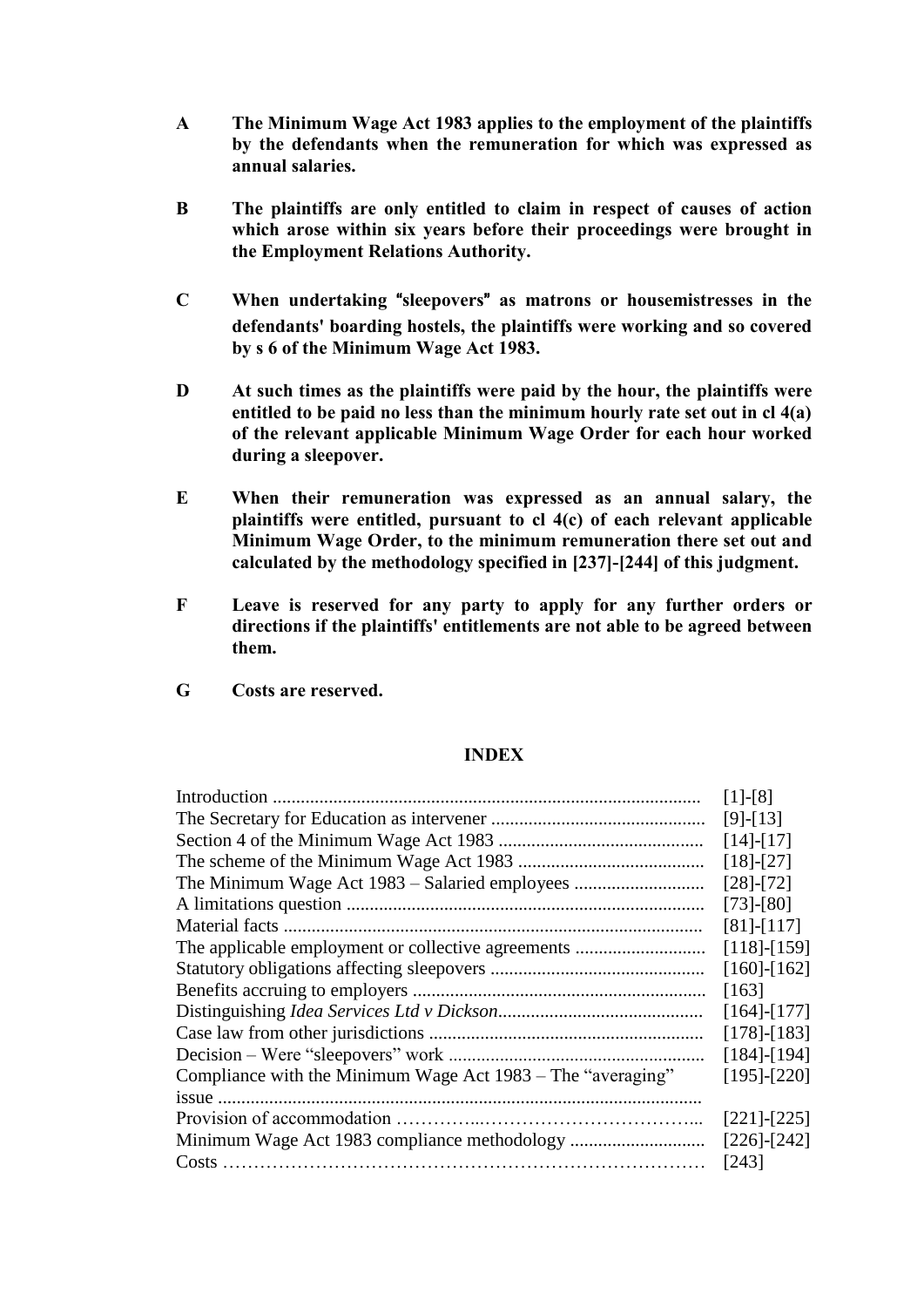- **A The Minimum Wage Act 1983 applies to the employment of the plaintiffs by the defendants when the remuneration for which was expressed as annual salaries.**
- **B The plaintiffs are only entitled to claim in respect of causes of action which arose within six years before their proceedings were brought in the Employment Relations Authority.**
- **C When undertaking** "**sleepovers**" **as matrons or housemistresses in the defendants' boarding hostels, the plaintiffs were working and so covered by s 6 of the Minimum Wage Act 1983.**
- **D At such times as the plaintiffs were paid by the hour, the plaintiffs were entitled to be paid no less than the minimum hourly rate set out in cl 4(a) of the relevant applicable Minimum Wage Order for each hour worked during a sleepover.**
- **E When their remuneration was expressed as an annual salary, the plaintiffs were entitled, pursuant to cl 4(c) of each relevant applicable Minimum Wage Order, to the minimum remuneration there set out and calculated by the methodology specified in [237]-[244] of this judgment.**
- **F Leave is reserved for any party to apply for any further orders or directions if the plaintiffs' entitlements are not able to be agreed between them.**
- **G Costs are reserved.**

#### **INDEX**

|                                                             | $[1]-[8]$         |  |  |
|-------------------------------------------------------------|-------------------|--|--|
|                                                             | $[9]-[13]$        |  |  |
|                                                             |                   |  |  |
|                                                             |                   |  |  |
| The Minimum Wage Act 1983 – Salaried employees              |                   |  |  |
|                                                             |                   |  |  |
|                                                             | $[81]-[117]$      |  |  |
|                                                             | $[118]-[159]$     |  |  |
|                                                             | $[160]$ - $[162]$ |  |  |
|                                                             | [163]             |  |  |
|                                                             | $[164]$ - $[177]$ |  |  |
|                                                             | $[178]-[183]$     |  |  |
| Decision – Were "sleepovers" work                           | $[184]$ - $[194]$ |  |  |
| Compliance with the Minimum Wage Act 1983 – The "averaging" | $[195]-[220]$     |  |  |
|                                                             |                   |  |  |
|                                                             | $[221]$ - $[225]$ |  |  |
|                                                             | $[226]$ - $[242]$ |  |  |
|                                                             |                   |  |  |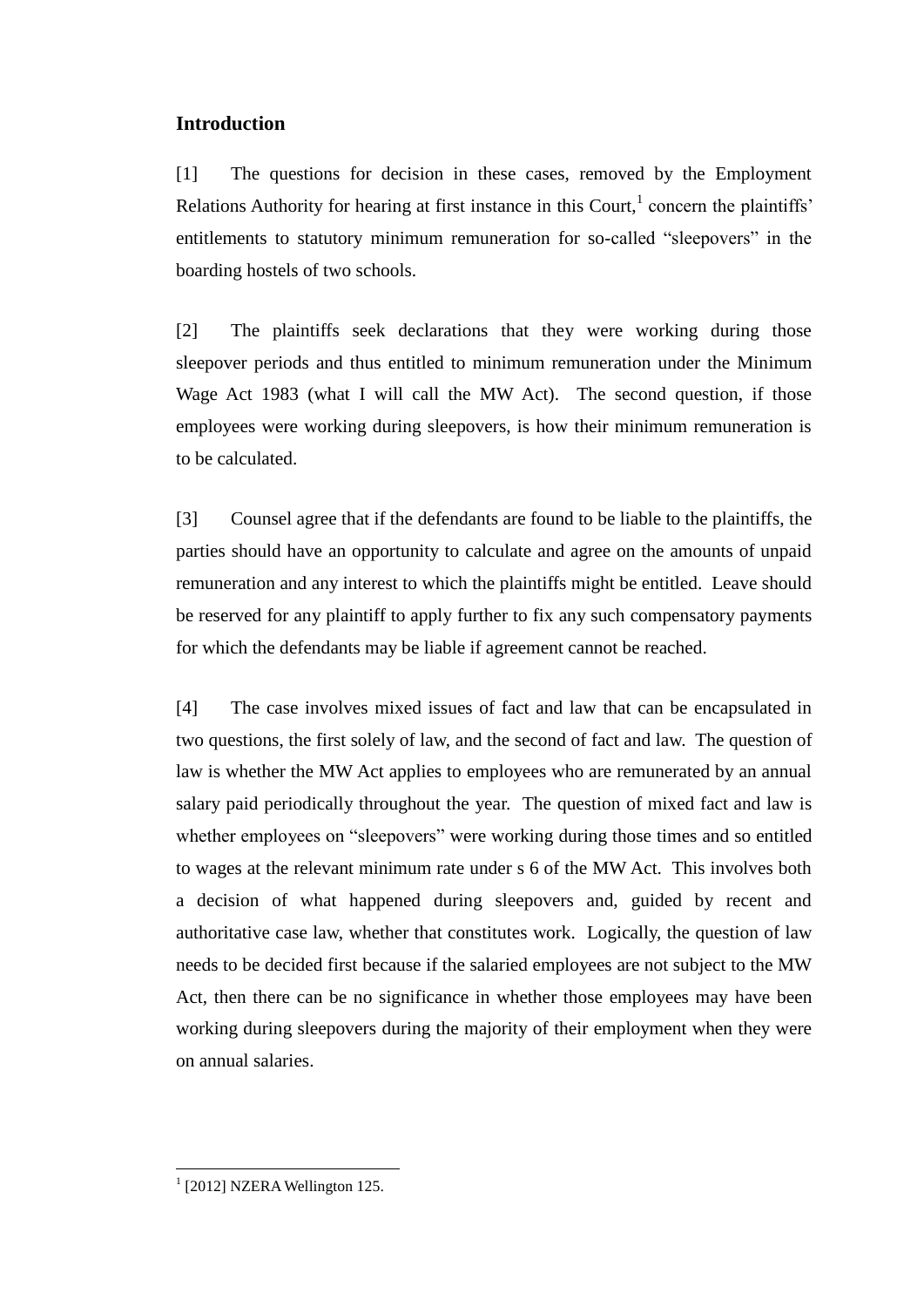# **Introduction**

[1] The questions for decision in these cases, removed by the Employment Relations Authority for hearing at first instance in this Court, $<sup>1</sup>$  concern the plaintiffs'</sup> entitlements to statutory minimum remuneration for so-called "sleepovers" in the boarding hostels of two schools.

[2] The plaintiffs seek declarations that they were working during those sleepover periods and thus entitled to minimum remuneration under the Minimum Wage Act 1983 (what I will call the MW Act). The second question, if those employees were working during sleepovers, is how their minimum remuneration is to be calculated.

[3] Counsel agree that if the defendants are found to be liable to the plaintiffs, the parties should have an opportunity to calculate and agree on the amounts of unpaid remuneration and any interest to which the plaintiffs might be entitled. Leave should be reserved for any plaintiff to apply further to fix any such compensatory payments for which the defendants may be liable if agreement cannot be reached.

[4] The case involves mixed issues of fact and law that can be encapsulated in two questions, the first solely of law, and the second of fact and law. The question of law is whether the MW Act applies to employees who are remunerated by an annual salary paid periodically throughout the year. The question of mixed fact and law is whether employees on "sleepovers" were working during those times and so entitled to wages at the relevant minimum rate under s 6 of the MW Act. This involves both a decision of what happened during sleepovers and, guided by recent and authoritative case law, whether that constitutes work. Logically, the question of law needs to be decided first because if the salaried employees are not subject to the MW Act, then there can be no significance in whether those employees may have been working during sleepovers during the majority of their employment when they were on annual salaries.

<sup>&</sup>lt;sup>1</sup> [2012] NZERA Wellington 125.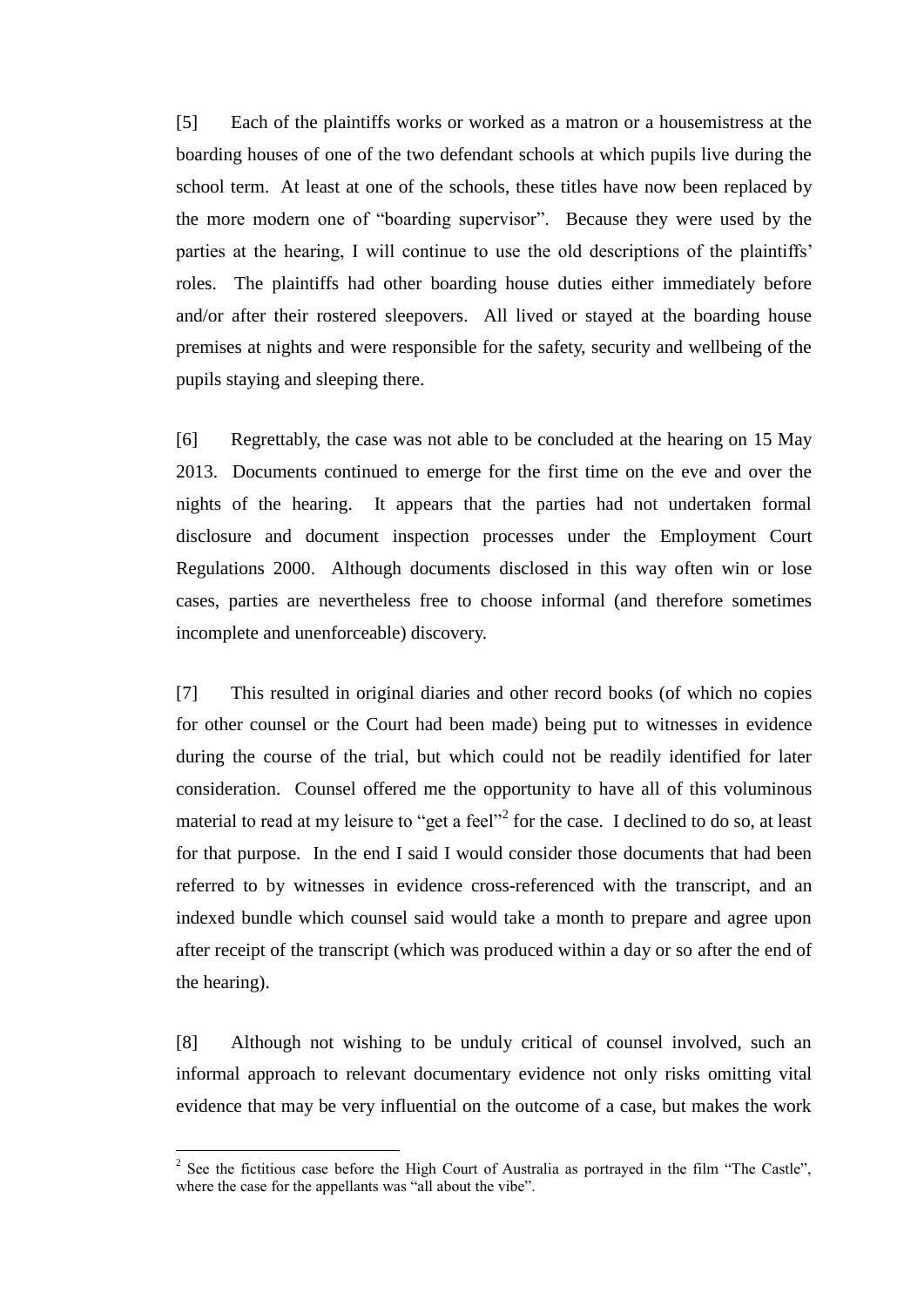[5] Each of the plaintiffs works or worked as a matron or a housemistress at the boarding houses of one of the two defendant schools at which pupils live during the school term. At least at one of the schools, these titles have now been replaced by the more modern one of "boarding supervisor". Because they were used by the parties at the hearing, I will continue to use the old descriptions of the plaintiffs' roles. The plaintiffs had other boarding house duties either immediately before and/or after their rostered sleepovers. All lived or stayed at the boarding house premises at nights and were responsible for the safety, security and wellbeing of the pupils staying and sleeping there.

[6] Regrettably, the case was not able to be concluded at the hearing on 15 May 2013. Documents continued to emerge for the first time on the eve and over the nights of the hearing. It appears that the parties had not undertaken formal disclosure and document inspection processes under the Employment Court Regulations 2000. Although documents disclosed in this way often win or lose cases, parties are nevertheless free to choose informal (and therefore sometimes incomplete and unenforceable) discovery.

[7] This resulted in original diaries and other record books (of which no copies for other counsel or the Court had been made) being put to witnesses in evidence during the course of the trial, but which could not be readily identified for later consideration. Counsel offered me the opportunity to have all of this voluminous material to read at my leisure to "get a feel"<sup>2</sup> for the case. I declined to do so, at least for that purpose. In the end I said I would consider those documents that had been referred to by witnesses in evidence cross-referenced with the transcript, and an indexed bundle which counsel said would take a month to prepare and agree upon after receipt of the transcript (which was produced within a day or so after the end of the hearing).

[8] Although not wishing to be unduly critical of counsel involved, such an informal approach to relevant documentary evidence not only risks omitting vital evidence that may be very influential on the outcome of a case, but makes the work

<sup>&</sup>lt;sup>2</sup> See the fictitious case before the High Court of Australia as portrayed in the film "The Castle", where the case for the appellants was "all about the vibe".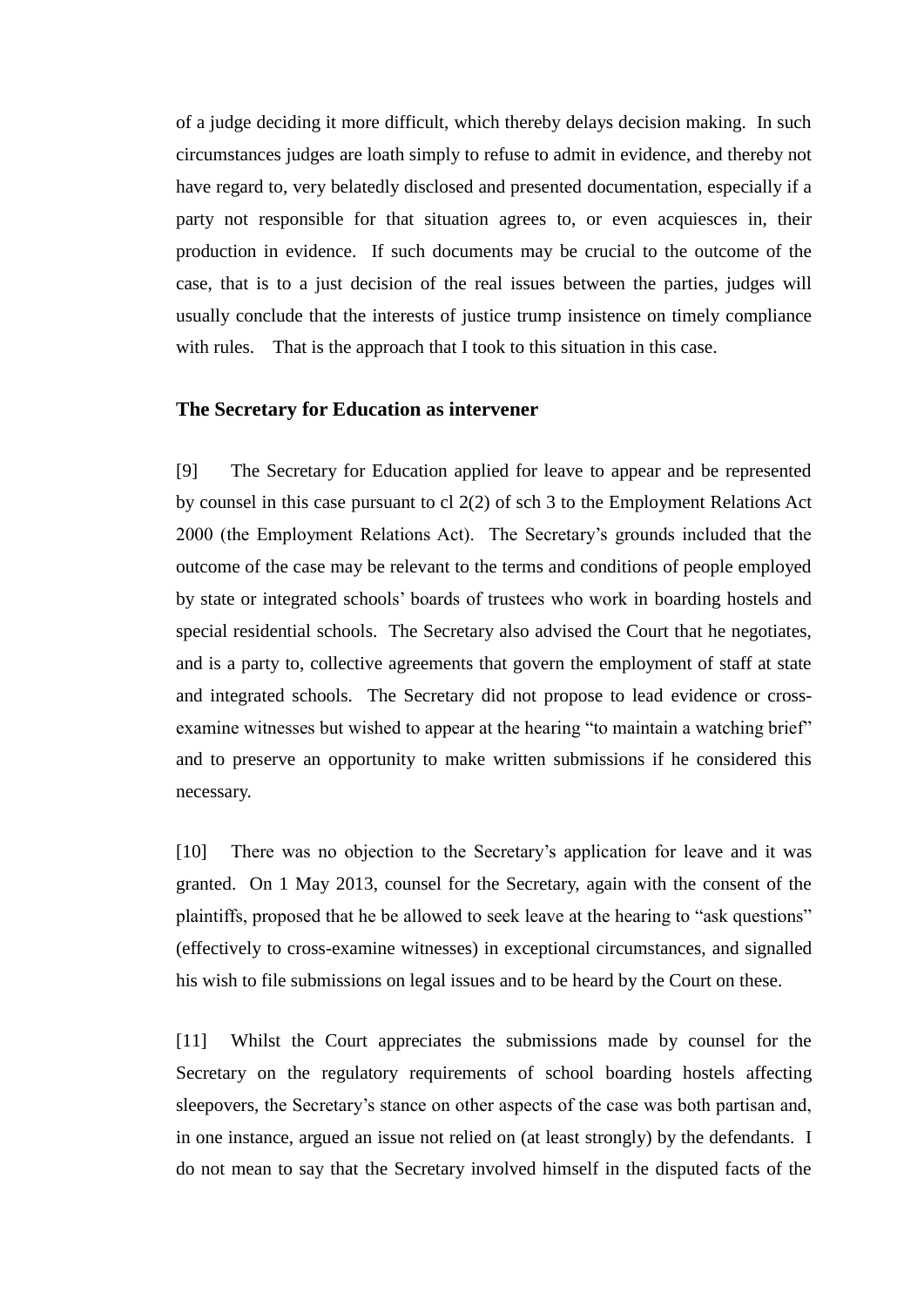of a judge deciding it more difficult, which thereby delays decision making. In such circumstances judges are loath simply to refuse to admit in evidence, and thereby not have regard to, very belatedly disclosed and presented documentation, especially if a party not responsible for that situation agrees to, or even acquiesces in, their production in evidence. If such documents may be crucial to the outcome of the case, that is to a just decision of the real issues between the parties, judges will usually conclude that the interests of justice trump insistence on timely compliance with rules. That is the approach that I took to this situation in this case.

#### **The Secretary for Education as intervener**

[9] The Secretary for Education applied for leave to appear and be represented by counsel in this case pursuant to cl 2(2) of sch 3 to the Employment Relations Act 2000 (the Employment Relations Act). The Secretary's grounds included that the outcome of the case may be relevant to the terms and conditions of people employed by state or integrated schools' boards of trustees who work in boarding hostels and special residential schools. The Secretary also advised the Court that he negotiates, and is a party to, collective agreements that govern the employment of staff at state and integrated schools. The Secretary did not propose to lead evidence or crossexamine witnesses but wished to appear at the hearing "to maintain a watching brief" and to preserve an opportunity to make written submissions if he considered this necessary.

[10] There was no objection to the Secretary's application for leave and it was granted. On 1 May 2013, counsel for the Secretary, again with the consent of the plaintiffs, proposed that he be allowed to seek leave at the hearing to "ask questions" (effectively to cross-examine witnesses) in exceptional circumstances, and signalled his wish to file submissions on legal issues and to be heard by the Court on these.

[11] Whilst the Court appreciates the submissions made by counsel for the Secretary on the regulatory requirements of school boarding hostels affecting sleepovers, the Secretary's stance on other aspects of the case was both partisan and, in one instance, argued an issue not relied on (at least strongly) by the defendants. I do not mean to say that the Secretary involved himself in the disputed facts of the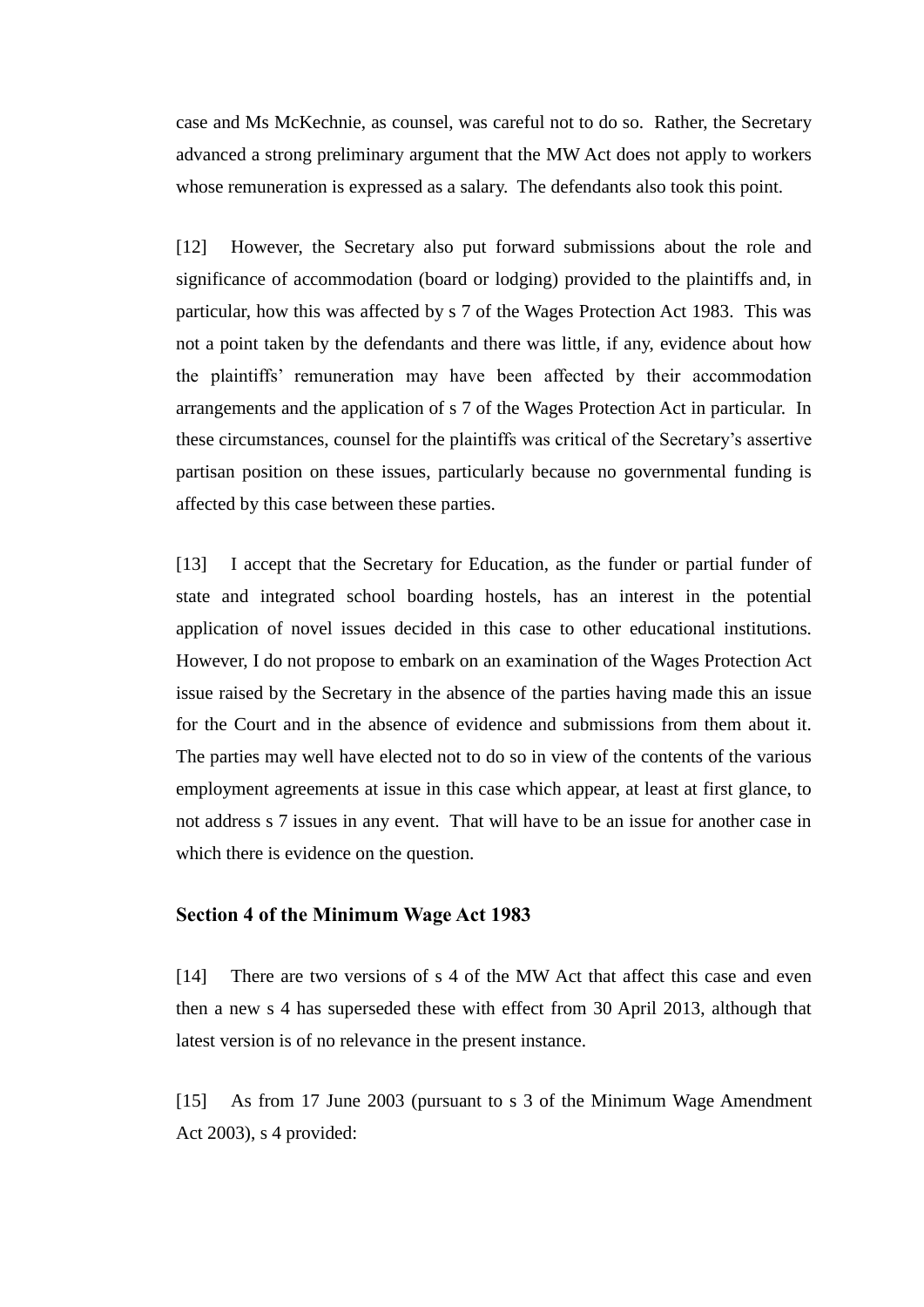case and Ms McKechnie, as counsel, was careful not to do so. Rather, the Secretary advanced a strong preliminary argument that the MW Act does not apply to workers whose remuneration is expressed as a salary. The defendants also took this point.

[12] However, the Secretary also put forward submissions about the role and significance of accommodation (board or lodging) provided to the plaintiffs and, in particular, how this was affected by s 7 of the Wages Protection Act 1983. This was not a point taken by the defendants and there was little, if any, evidence about how the plaintiffs' remuneration may have been affected by their accommodation arrangements and the application of s 7 of the Wages Protection Act in particular. In these circumstances, counsel for the plaintiffs was critical of the Secretary's assertive partisan position on these issues, particularly because no governmental funding is affected by this case between these parties.

[13] I accept that the Secretary for Education, as the funder or partial funder of state and integrated school boarding hostels, has an interest in the potential application of novel issues decided in this case to other educational institutions. However, I do not propose to embark on an examination of the Wages Protection Act issue raised by the Secretary in the absence of the parties having made this an issue for the Court and in the absence of evidence and submissions from them about it. The parties may well have elected not to do so in view of the contents of the various employment agreements at issue in this case which appear, at least at first glance, to not address s 7 issues in any event. That will have to be an issue for another case in which there is evidence on the question.

## **Section 4 of the Minimum Wage Act 1983**

[14] There are two versions of s 4 of the MW Act that affect this case and even then a new s 4 has superseded these with effect from 30 April 2013, although that latest version is of no relevance in the present instance.

[15] As from 17 June 2003 (pursuant to s 3 of the Minimum Wage Amendment Act 2003), s 4 provided: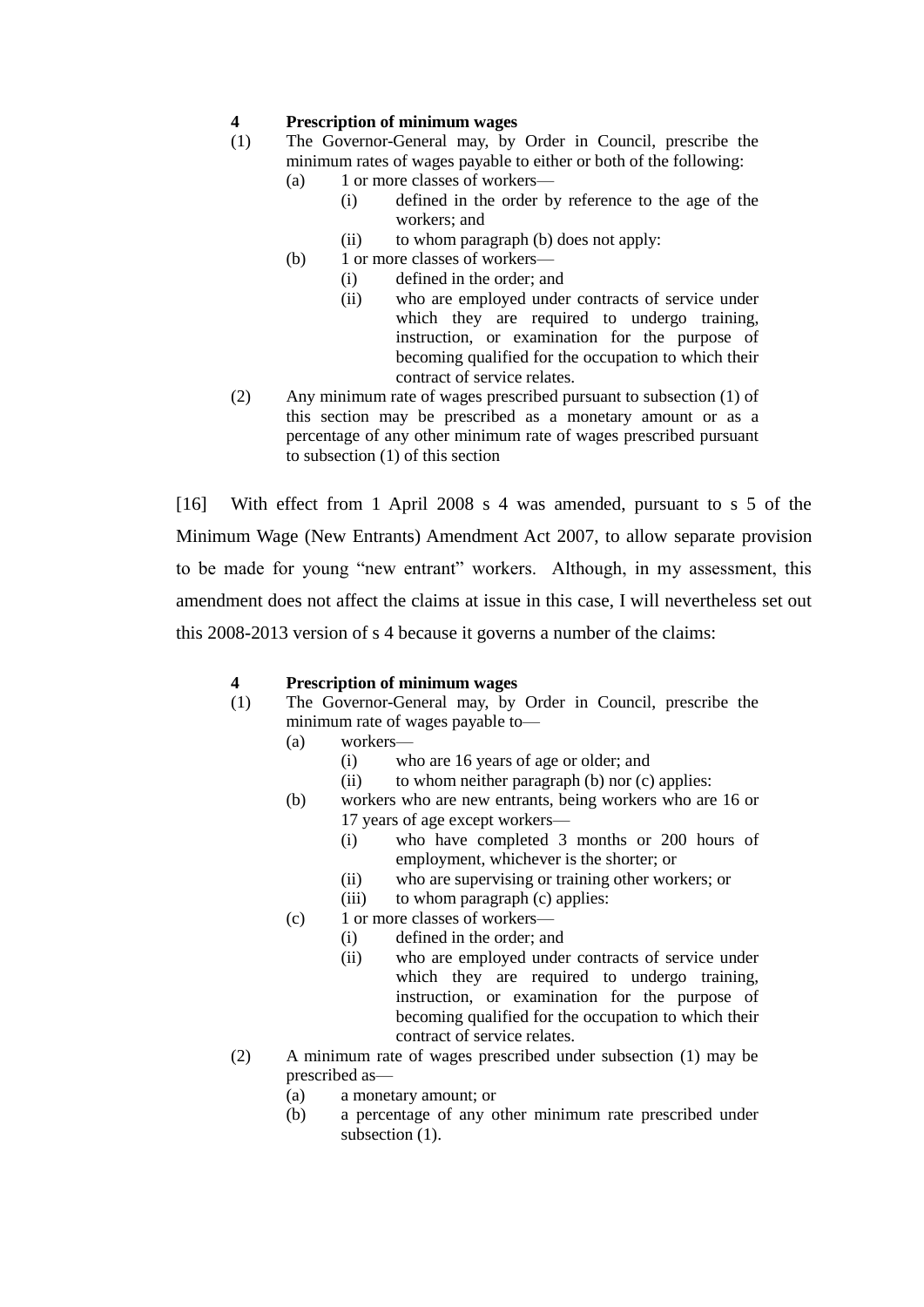#### **4 Prescription of minimum wages**

- (1) The Governor-General may, by Order in Council, prescribe the minimum rates of wages payable to either or both of the following:
	- (a) 1 or more classes of workers—
		- (i) defined in the order by reference to the age of the workers; and
		- (ii) to whom paragraph (b) does not apply:
	- (b) 1 or more classes of workers—
		- (i) defined in the order; and
		- (ii) who are employed under contracts of service under which they are required to undergo training, instruction, or examination for the purpose of becoming qualified for the occupation to which their contract of service relates.
- (2) Any minimum rate of wages prescribed pursuant to subsection (1) of this section may be prescribed as a monetary amount or as a percentage of any other minimum rate of wages prescribed pursuant to subsection (1) of this section

[16] With effect from 1 April 2008 s 4 was amended, pursuant to s 5 of the Minimum Wage (New Entrants) Amendment Act 2007, to allow separate provision to be made for young "new entrant" workers. Although, in my assessment, this amendment does not affect the claims at issue in this case, I will nevertheless set out this 2008-2013 version of s 4 because it governs a number of the claims:

#### **4 Prescription of minimum wages**

- (1) The Governor-General may, by Order in Council, prescribe the minimum rate of wages payable to—
	- (a) workers—
		- (i) who are 16 years of age or older; and
		- (ii) to whom neither paragraph (b) nor (c) applies:
	- (b) workers who are new entrants, being workers who are 16 or 17 years of age except workers—
		- (i) who have completed 3 months or 200 hours of employment, whichever is the shorter; or
		- (ii) who are supervising or training other workers; or
		- (iii) to whom paragraph (c) applies:
	- (c) 1 or more classes of workers—
		- (i) defined in the order; and
			- (ii) who are employed under contracts of service under which they are required to undergo training, instruction, or examination for the purpose of becoming qualified for the occupation to which their contract of service relates.
- (2) A minimum rate of wages prescribed under subsection (1) may be prescribed as—
	- (a) a monetary amount; or
	- (b) a percentage of any other minimum rate prescribed under subsection (1).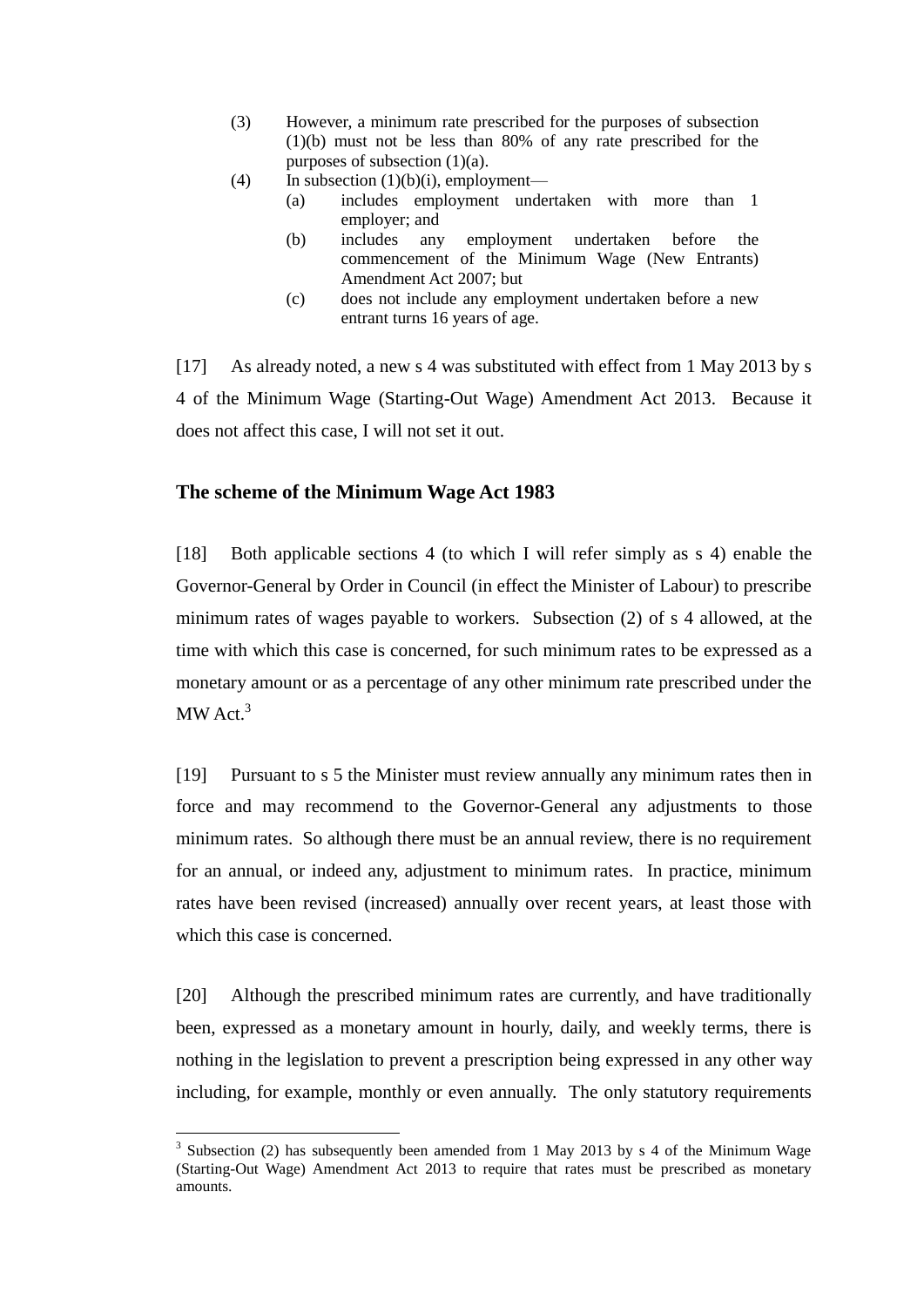- (3) However, a minimum rate prescribed for the purposes of subsection (1)(b) must not be less than 80% of any rate prescribed for the purposes of subsection (1)(a).
- (4) In subsection  $(1)(b)(i)$ , employment—
	- (a) includes employment undertaken with more than 1 employer; and
	- (b) includes any employment undertaken before the commencement of the Minimum Wage (New Entrants) Amendment Act 2007; but
	- (c) does not include any employment undertaken before a new entrant turns 16 years of age.

[17] As already noted, a new s 4 was substituted with effect from 1 May 2013 by s 4 of the Minimum Wage (Starting-Out Wage) Amendment Act 2013. Because it does not affect this case, I will not set it out.

## **The scheme of the Minimum Wage Act 1983**

 $\overline{a}$ 

[18] Both applicable sections 4 (to which I will refer simply as s 4) enable the Governor-General by Order in Council (in effect the Minister of Labour) to prescribe minimum rates of wages payable to workers. Subsection (2) of s 4 allowed, at the time with which this case is concerned, for such minimum rates to be expressed as a monetary amount or as a percentage of any other minimum rate prescribed under the  $MW$  Act.<sup>3</sup>

[19] Pursuant to s 5 the Minister must review annually any minimum rates then in force and may recommend to the Governor-General any adjustments to those minimum rates. So although there must be an annual review, there is no requirement for an annual, or indeed any, adjustment to minimum rates. In practice, minimum rates have been revised (increased) annually over recent years, at least those with which this case is concerned.

[20] Although the prescribed minimum rates are currently, and have traditionally been, expressed as a monetary amount in hourly, daily, and weekly terms, there is nothing in the legislation to prevent a prescription being expressed in any other way including, for example, monthly or even annually. The only statutory requirements

 $3$  Subsection (2) has subsequently been amended from 1 May 2013 by s 4 of the Minimum Wage (Starting-Out Wage) Amendment Act 2013 to require that rates must be prescribed as monetary amounts.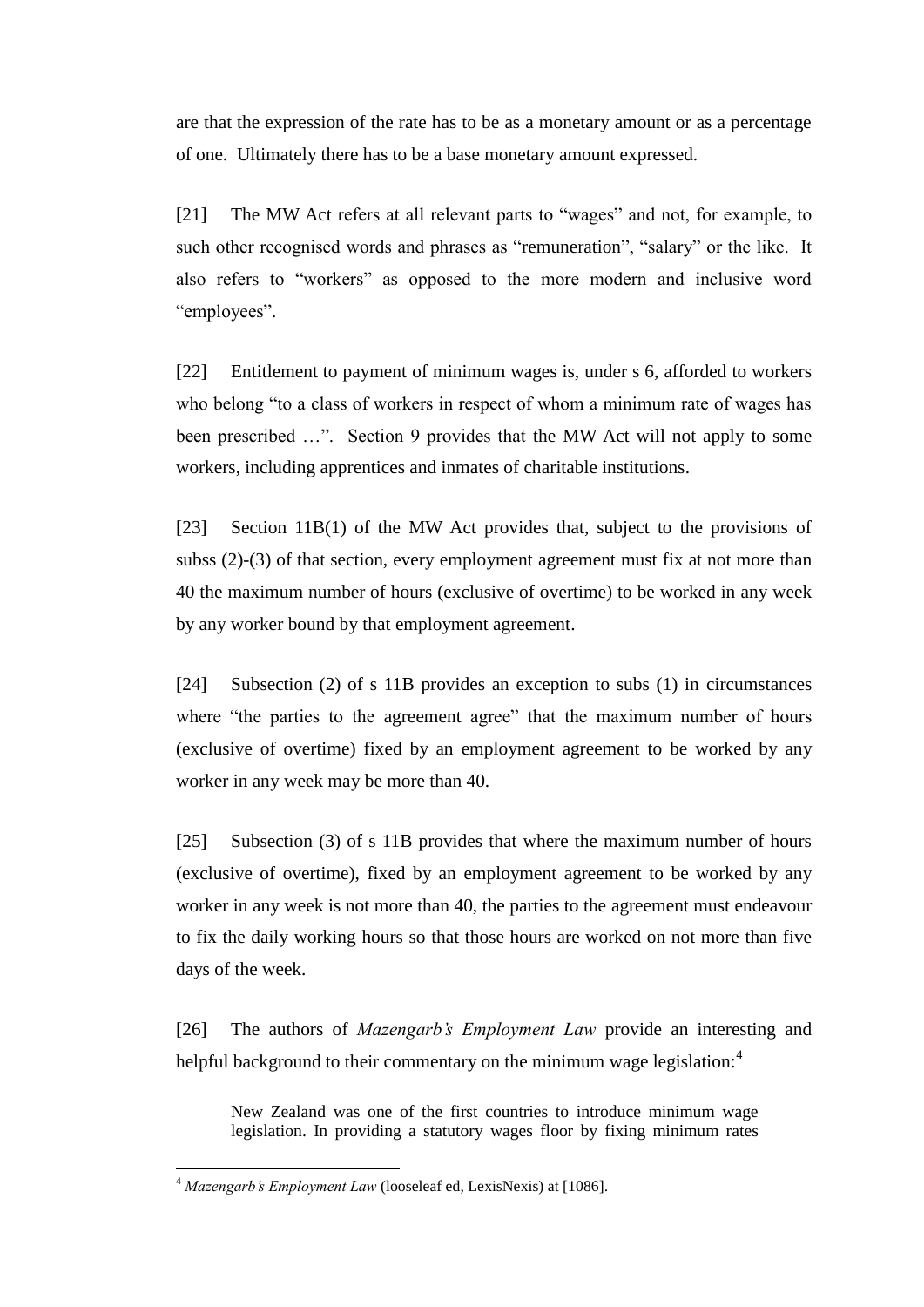are that the expression of the rate has to be as a monetary amount or as a percentage of one. Ultimately there has to be a base monetary amount expressed.

[21] The MW Act refers at all relevant parts to "wages" and not, for example, to such other recognised words and phrases as "remuneration", "salary" or the like. It also refers to "workers" as opposed to the more modern and inclusive word "employees".

[22] Entitlement to payment of minimum wages is, under s 6, afforded to workers who belong "to a class of workers in respect of whom a minimum rate of wages has been prescribed …". Section 9 provides that the MW Act will not apply to some workers, including apprentices and inmates of charitable institutions.

[23] Section 11B(1) of the MW Act provides that, subject to the provisions of subss (2)-(3) of that section, every employment agreement must fix at not more than 40 the maximum number of hours (exclusive of overtime) to be worked in any week by any worker bound by that employment agreement.

[24] Subsection (2) of s 11B provides an exception to subs (1) in circumstances where "the parties to the agreement agree" that the maximum number of hours (exclusive of overtime) fixed by an employment agreement to be worked by any worker in any week may be more than 40.

[25] Subsection (3) of s 11B provides that where the maximum number of hours (exclusive of overtime), fixed by an employment agreement to be worked by any worker in any week is not more than 40, the parties to the agreement must endeavour to fix the daily working hours so that those hours are worked on not more than five days of the week.

[26] The authors of *Mazengarb's Employment Law* provide an interesting and helpful background to their commentary on the minimum wage legislation:<sup>4</sup>

New Zealand was one of the first countries to introduce minimum wage legislation. In providing a statutory wages floor by fixing minimum rates

<sup>4</sup> *Mazengarb's Employment Law* (looseleaf ed, LexisNexis) at [1086].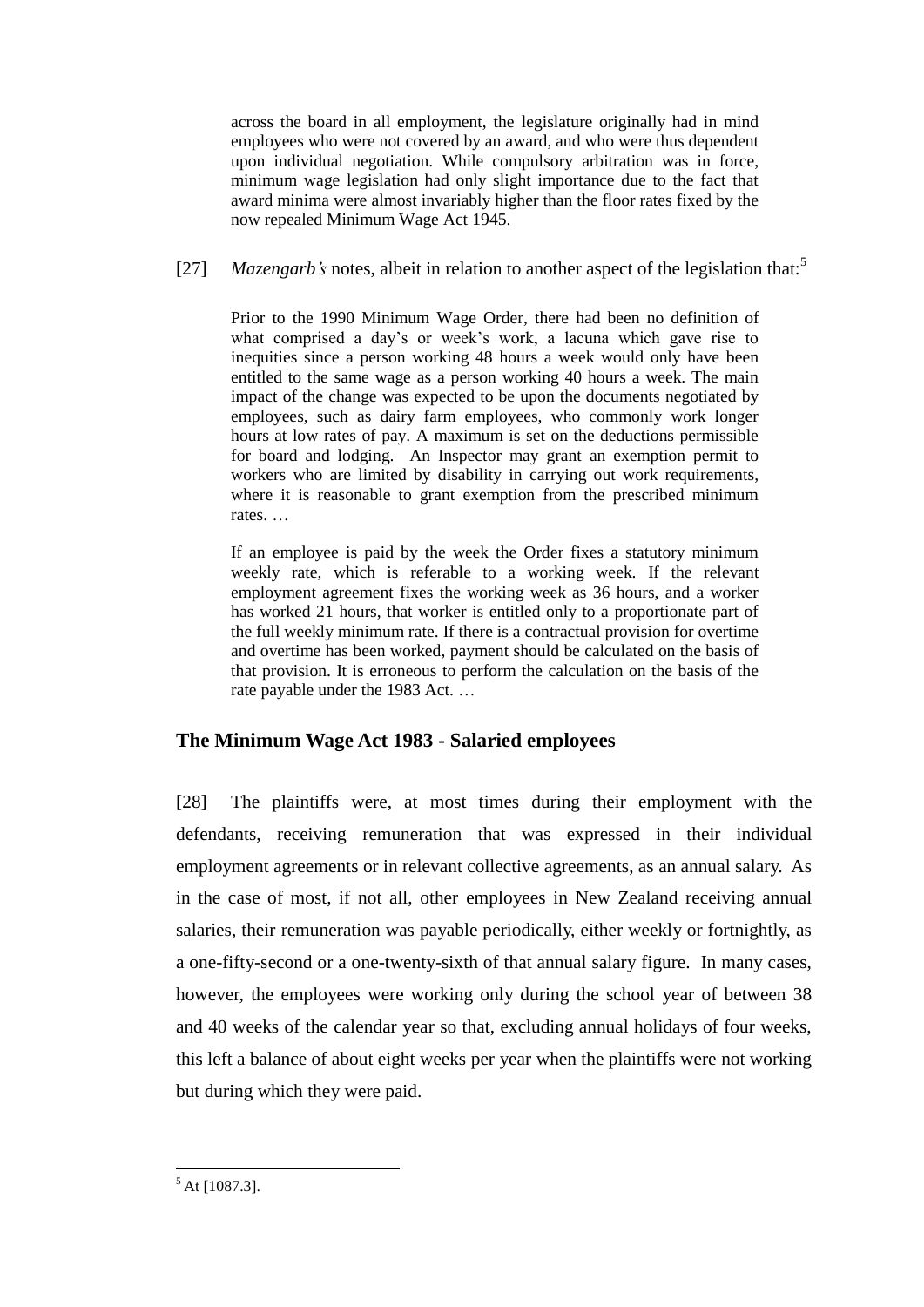across the board in all employment, the legislature originally had in mind employees who were not covered by an award, and who were thus dependent upon individual negotiation. While compulsory arbitration was in force, minimum wage legislation had only slight importance due to the fact that award minima were almost invariably higher than the floor rates fixed by the now repealed Minimum Wage Act 1945.

[27] *Mazengarb's* notes, albeit in relation to another aspect of the legislation that:<sup>5</sup>

Prior to the 1990 Minimum Wage Order, there had been no definition of what comprised a day's or week's work, a lacuna which gave rise to inequities since a person working 48 hours a week would only have been entitled to the same wage as a person working 40 hours a week. The main impact of the change was expected to be upon the documents negotiated by employees, such as dairy farm employees, who commonly work longer hours at low rates of pay. A maximum is set on the deductions permissible for board and lodging. An Inspector may grant an exemption permit to workers who are limited by disability in carrying out work requirements, where it is reasonable to grant exemption from the prescribed minimum rates. …

If an employee is paid by the week the Order fixes a statutory minimum weekly rate, which is referable to a working week. If the relevant employment agreement fixes the working week as 36 hours, and a worker has worked 21 hours, that worker is entitled only to a proportionate part of the full weekly minimum rate. If there is a contractual provision for overtime and overtime has been worked, payment should be calculated on the basis of that provision. It is erroneous to perform the calculation on the basis of the rate payable under the 1983 Act. …

# **The Minimum Wage Act 1983 - Salaried employees**

[28] The plaintiffs were, at most times during their employment with the defendants, receiving remuneration that was expressed in their individual employment agreements or in relevant collective agreements, as an annual salary. As in the case of most, if not all, other employees in New Zealand receiving annual salaries, their remuneration was payable periodically, either weekly or fortnightly, as a one-fifty-second or a one-twenty-sixth of that annual salary figure. In many cases, however, the employees were working only during the school year of between 38 and 40 weeks of the calendar year so that, excluding annual holidays of four weeks, this left a balance of about eight weeks per year when the plaintiffs were not working but during which they were paid.

 $\overline{a}$  $<sup>5</sup>$  At [1087.3].</sup>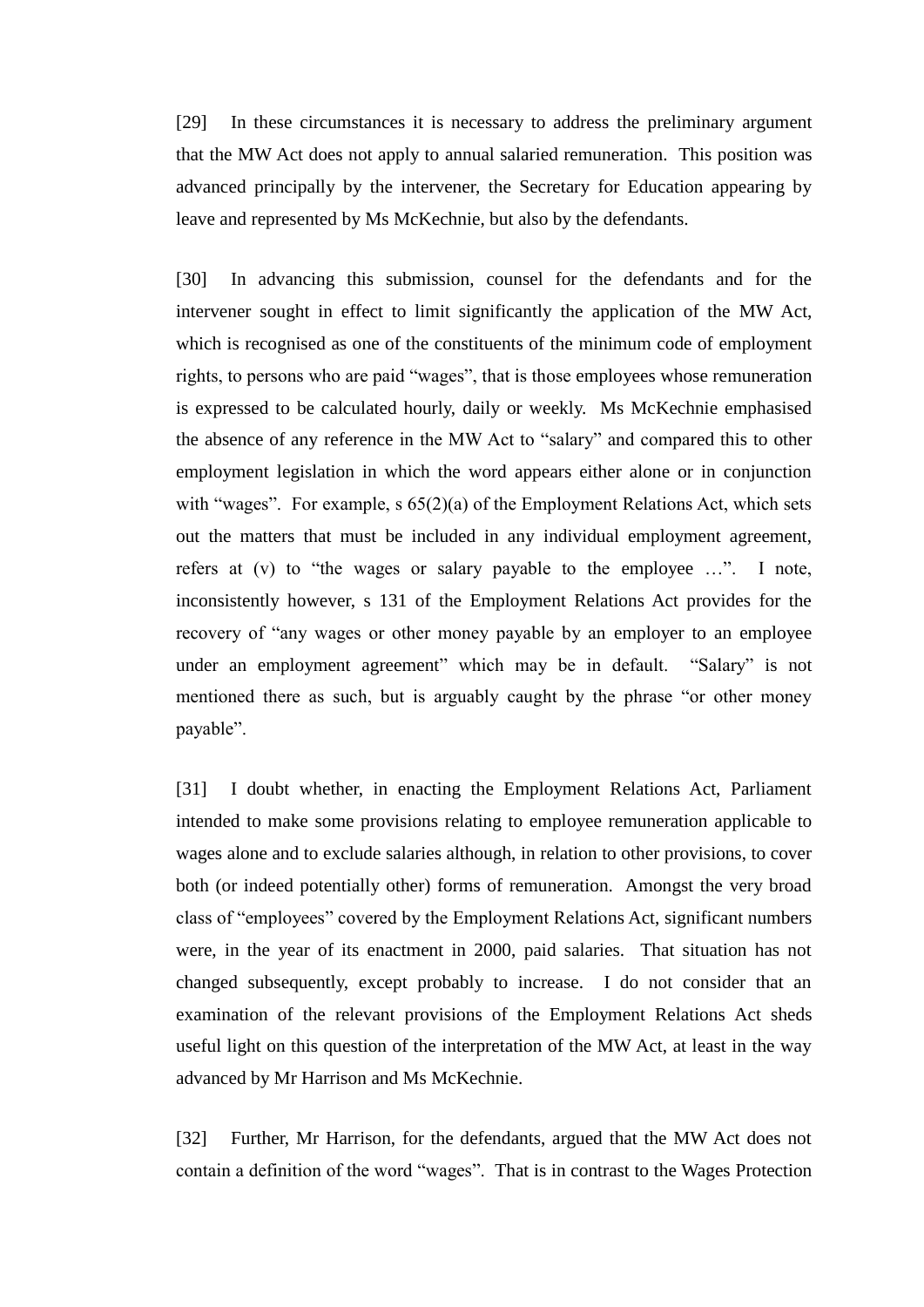[29] In these circumstances it is necessary to address the preliminary argument that the MW Act does not apply to annual salaried remuneration. This position was advanced principally by the intervener, the Secretary for Education appearing by leave and represented by Ms McKechnie, but also by the defendants.

[30] In advancing this submission, counsel for the defendants and for the intervener sought in effect to limit significantly the application of the MW Act, which is recognised as one of the constituents of the minimum code of employment rights, to persons who are paid "wages", that is those employees whose remuneration is expressed to be calculated hourly, daily or weekly. Ms McKechnie emphasised the absence of any reference in the MW Act to "salary" and compared this to other employment legislation in which the word appears either alone or in conjunction with "wages". For example, s  $65(2)(a)$  of the Employment Relations Act, which sets out the matters that must be included in any individual employment agreement, refers at (v) to "the wages or salary payable to the employee ...". I note, inconsistently however, s 131 of the Employment Relations Act provides for the recovery of "any wages or other money payable by an employer to an employee under an employment agreement" which may be in default. "Salary" is not mentioned there as such, but is arguably caught by the phrase "or other money payable".

[31] I doubt whether, in enacting the Employment Relations Act, Parliament intended to make some provisions relating to employee remuneration applicable to wages alone and to exclude salaries although, in relation to other provisions, to cover both (or indeed potentially other) forms of remuneration. Amongst the very broad class of "employees" covered by the Employment Relations Act, significant numbers were, in the year of its enactment in 2000, paid salaries. That situation has not changed subsequently, except probably to increase. I do not consider that an examination of the relevant provisions of the Employment Relations Act sheds useful light on this question of the interpretation of the MW Act, at least in the way advanced by Mr Harrison and Ms McKechnie.

[32] Further, Mr Harrison, for the defendants, argued that the MW Act does not contain a definition of the word "wages". That is in contrast to the Wages Protection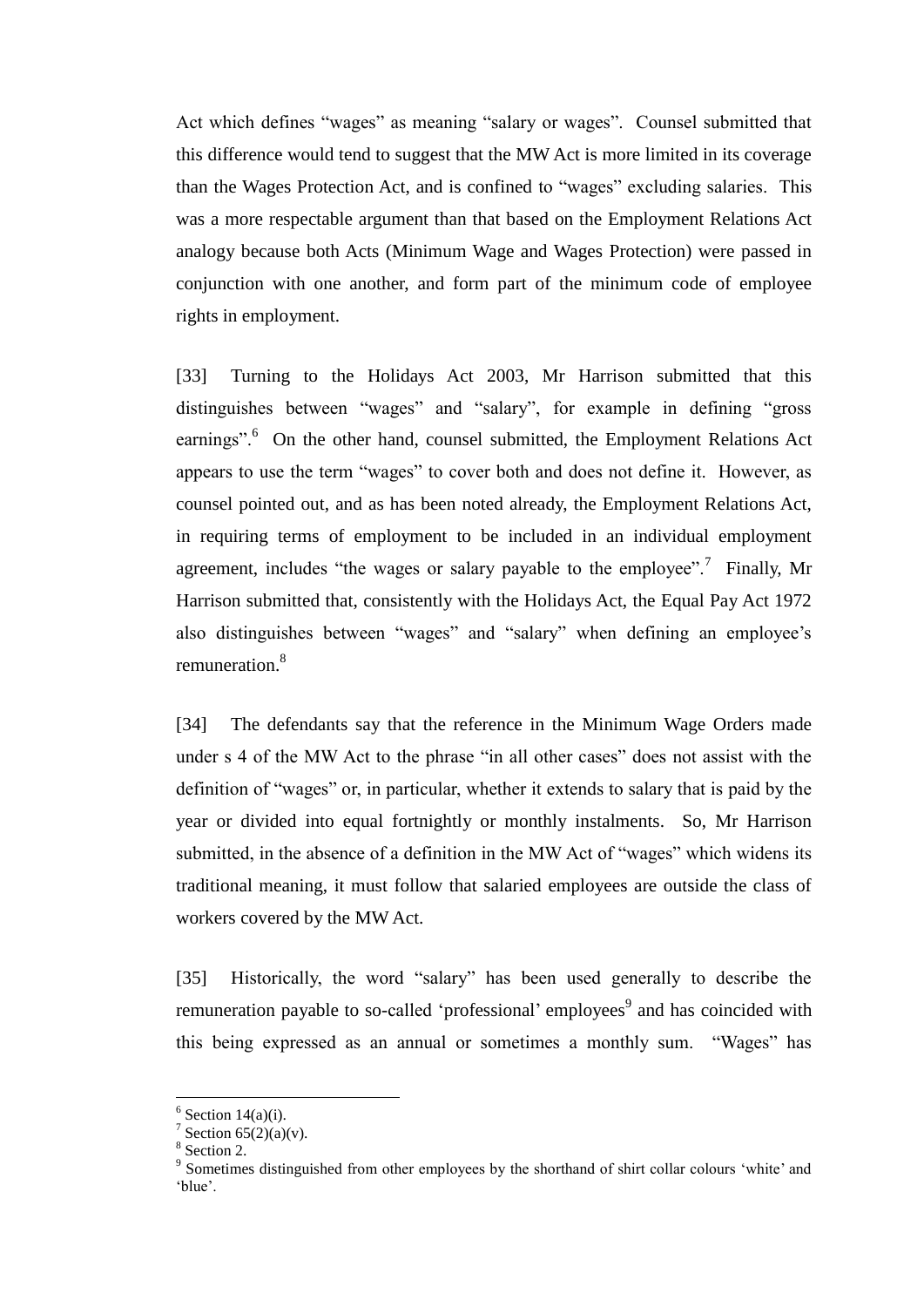Act which defines "wages" as meaning "salary or wages". Counsel submitted that this difference would tend to suggest that the MW Act is more limited in its coverage than the Wages Protection Act, and is confined to "wages" excluding salaries. This was a more respectable argument than that based on the Employment Relations Act analogy because both Acts (Minimum Wage and Wages Protection) were passed in conjunction with one another, and form part of the minimum code of employee rights in employment.

[33] Turning to the Holidays Act 2003, Mr Harrison submitted that this distinguishes between "wages" and "salary", for example in defining "gross earnings".<sup>6</sup> On the other hand, counsel submitted, the Employment Relations Act appears to use the term "wages" to cover both and does not define it. However, as counsel pointed out, and as has been noted already, the Employment Relations Act, in requiring terms of employment to be included in an individual employment agreement, includes "the wages or salary payable to the employee".<sup>7</sup> Finally, Mr Harrison submitted that, consistently with the Holidays Act, the Equal Pay Act 1972 also distinguishes between "wages" and "salary" when defining an employee's remuneration.<sup>8</sup>

[34] The defendants say that the reference in the Minimum Wage Orders made under s 4 of the MW Act to the phrase "in all other cases" does not assist with the definition of "wages" or, in particular, whether it extends to salary that is paid by the year or divided into equal fortnightly or monthly instalments. So, Mr Harrison submitted, in the absence of a definition in the MW Act of "wages" which widens its traditional meaning, it must follow that salaried employees are outside the class of workers covered by the MW Act.

[35] Historically, the word "salary" has been used generally to describe the remuneration payable to so-called 'professional' employees<sup>9</sup> and has coincided with this being expressed as an annual or sometimes a monthly sum. "Wages" has

 $6$  Section 14(a)(i).

<sup>&</sup>lt;sup>7</sup> Section 65(2)(a)(v).

<sup>8</sup> Section 2.

<sup>&</sup>lt;sup>9</sup> Sometimes distinguished from other employees by the shorthand of shirt collar colours 'white' and 'blue'.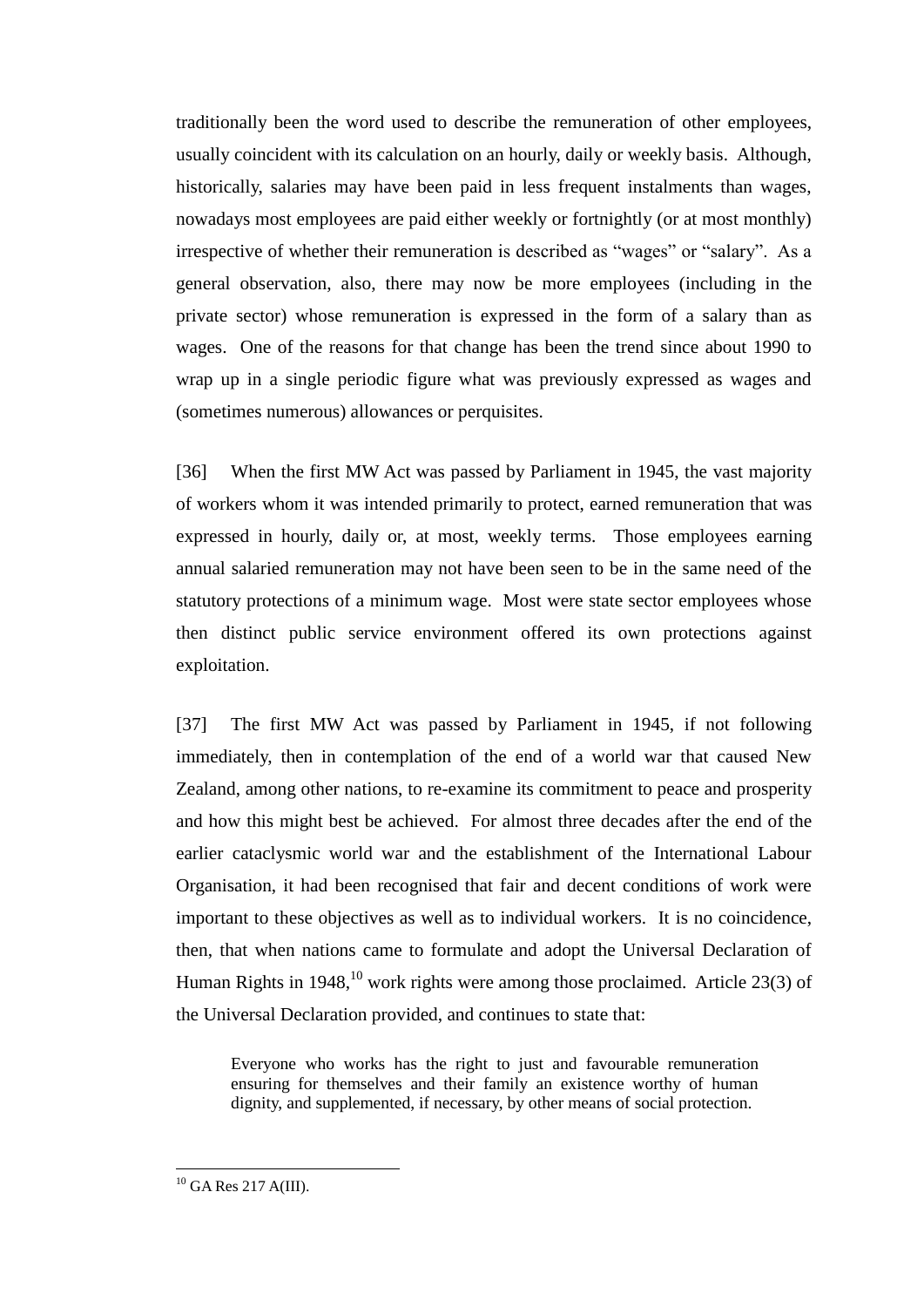traditionally been the word used to describe the remuneration of other employees, usually coincident with its calculation on an hourly, daily or weekly basis. Although, historically, salaries may have been paid in less frequent instalments than wages, nowadays most employees are paid either weekly or fortnightly (or at most monthly) irrespective of whether their remuneration is described as "wages" or "salary". As a general observation, also, there may now be more employees (including in the private sector) whose remuneration is expressed in the form of a salary than as wages. One of the reasons for that change has been the trend since about 1990 to wrap up in a single periodic figure what was previously expressed as wages and (sometimes numerous) allowances or perquisites.

[36] When the first MW Act was passed by Parliament in 1945, the vast majority of workers whom it was intended primarily to protect, earned remuneration that was expressed in hourly, daily or, at most, weekly terms. Those employees earning annual salaried remuneration may not have been seen to be in the same need of the statutory protections of a minimum wage. Most were state sector employees whose then distinct public service environment offered its own protections against exploitation.

[37] The first MW Act was passed by Parliament in 1945, if not following immediately, then in contemplation of the end of a world war that caused New Zealand, among other nations, to re-examine its commitment to peace and prosperity and how this might best be achieved. For almost three decades after the end of the earlier cataclysmic world war and the establishment of the International Labour Organisation, it had been recognised that fair and decent conditions of work were important to these objectives as well as to individual workers. It is no coincidence, then, that when nations came to formulate and adopt the Universal Declaration of Human Rights in 1948,  $^{10}$  work rights were among those proclaimed. Article 23(3) of the Universal Declaration provided, and continues to state that:

Everyone who works has the right to just and favourable remuneration ensuring for themselves and their family an existence worthy of human dignity, and supplemented, if necessary, by other means of social protection.

 $^{10}$  GA Res 217 A(III).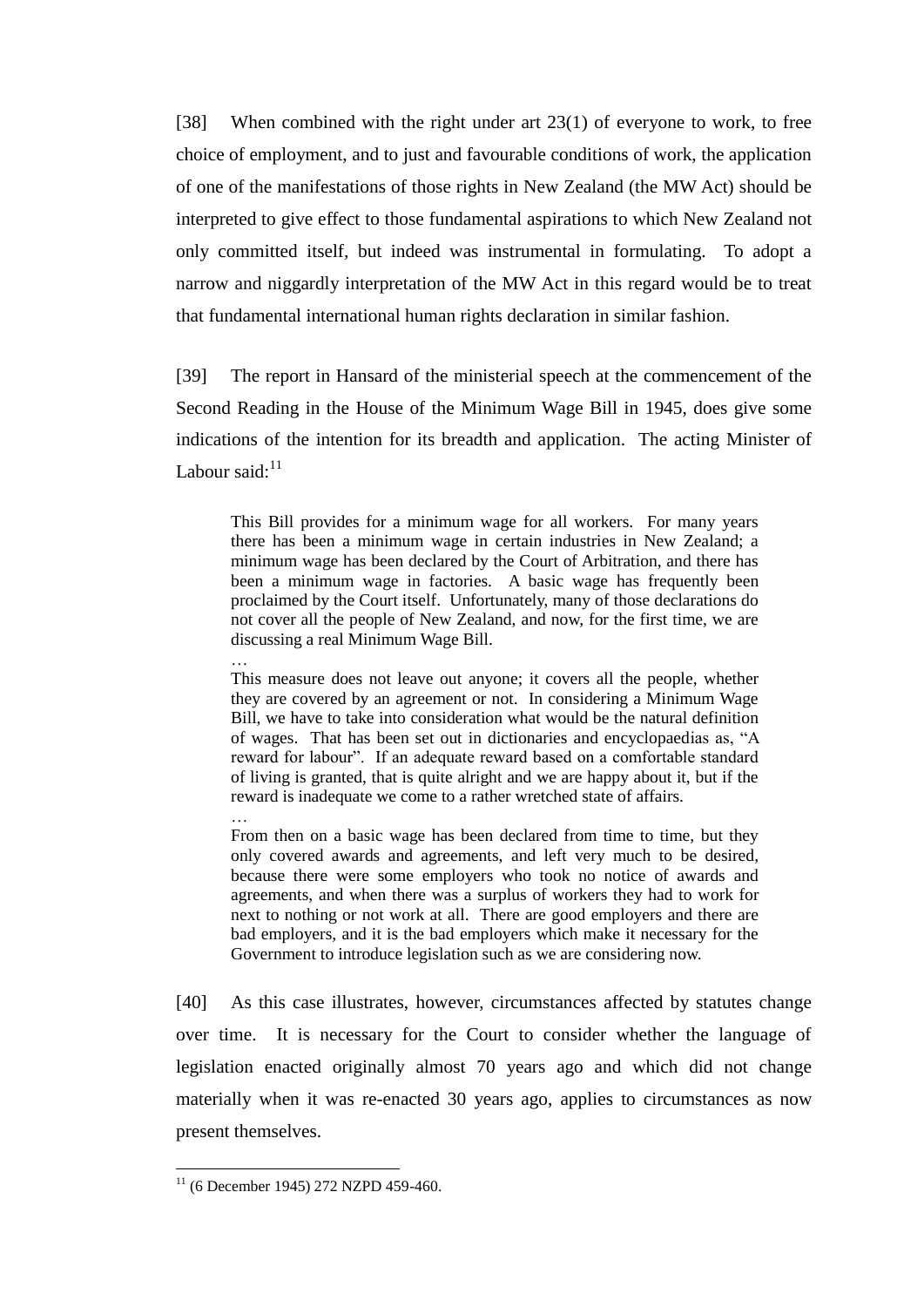[38] When combined with the right under art 23(1) of everyone to work, to free choice of employment, and to just and favourable conditions of work, the application of one of the manifestations of those rights in New Zealand (the MW Act) should be interpreted to give effect to those fundamental aspirations to which New Zealand not only committed itself, but indeed was instrumental in formulating. To adopt a narrow and niggardly interpretation of the MW Act in this regard would be to treat that fundamental international human rights declaration in similar fashion.

[39] The report in Hansard of the ministerial speech at the commencement of the Second Reading in the House of the Minimum Wage Bill in 1945, does give some indications of the intention for its breadth and application. The acting Minister of Labour said: $11$ 

This Bill provides for a minimum wage for all workers. For many years there has been a minimum wage in certain industries in New Zealand; a minimum wage has been declared by the Court of Arbitration, and there has been a minimum wage in factories. A basic wage has frequently been proclaimed by the Court itself. Unfortunately, many of those declarations do not cover all the people of New Zealand, and now, for the first time, we are discussing a real Minimum Wage Bill.

This measure does not leave out anyone; it covers all the people, whether they are covered by an agreement or not. In considering a Minimum Wage Bill, we have to take into consideration what would be the natural definition of wages. That has been set out in dictionaries and encyclopaedias as, "A reward for labour". If an adequate reward based on a comfortable standard of living is granted, that is quite alright and we are happy about it, but if the reward is inadequate we come to a rather wretched state of affairs.

From then on a basic wage has been declared from time to time, but they only covered awards and agreements, and left very much to be desired, because there were some employers who took no notice of awards and agreements, and when there was a surplus of workers they had to work for next to nothing or not work at all. There are good employers and there are bad employers, and it is the bad employers which make it necessary for the Government to introduce legislation such as we are considering now.

[40] As this case illustrates, however, circumstances affected by statutes change over time. It is necessary for the Court to consider whether the language of legislation enacted originally almost 70 years ago and which did not change materially when it was re-enacted 30 years ago, applies to circumstances as now present themselves.

…

…

 $11$  (6 December 1945) 272 NZPD 459-460.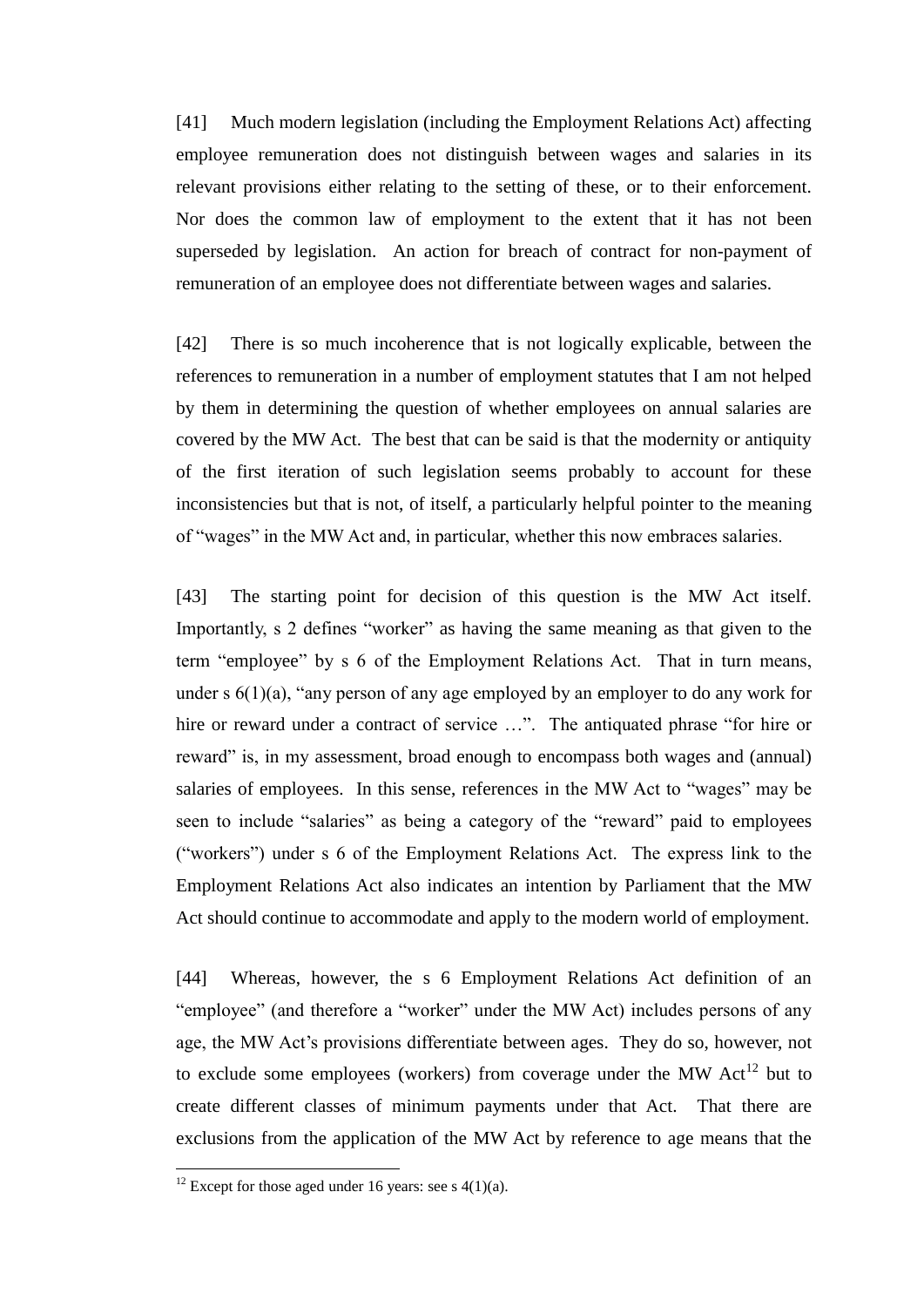[41] Much modern legislation (including the Employment Relations Act) affecting employee remuneration does not distinguish between wages and salaries in its relevant provisions either relating to the setting of these, or to their enforcement. Nor does the common law of employment to the extent that it has not been superseded by legislation. An action for breach of contract for non-payment of remuneration of an employee does not differentiate between wages and salaries.

[42] There is so much incoherence that is not logically explicable, between the references to remuneration in a number of employment statutes that I am not helped by them in determining the question of whether employees on annual salaries are covered by the MW Act. The best that can be said is that the modernity or antiquity of the first iteration of such legislation seems probably to account for these inconsistencies but that is not, of itself, a particularly helpful pointer to the meaning of "wages" in the MW Act and, in particular, whether this now embraces salaries.

[43] The starting point for decision of this question is the MW Act itself. Importantly, s 2 defines "worker" as having the same meaning as that given to the term "employee" by s 6 of the Employment Relations Act. That in turn means, under s  $6(1)(a)$ , "any person of any age employed by an employer to do any work for hire or reward under a contract of service ...". The antiquated phrase "for hire or reward" is, in my assessment, broad enough to encompass both wages and (annual) salaries of employees. In this sense, references in the MW Act to "wages" may be seen to include "salaries" as being a category of the "reward" paid to employees ("workers") under s 6 of the Employment Relations Act. The express link to the Employment Relations Act also indicates an intention by Parliament that the MW Act should continue to accommodate and apply to the modern world of employment.

[44] Whereas, however, the s 6 Employment Relations Act definition of an "employee" (and therefore a "worker" under the MW Act) includes persons of any age, the MW Act's provisions differentiate between ages. They do so, however, not to exclude some employees (workers) from coverage under the MW  $Act^{12}$  but to create different classes of minimum payments under that Act. That there are exclusions from the application of the MW Act by reference to age means that the

<sup>&</sup>lt;sup>12</sup> Except for those aged under 16 years: see s  $4(1)(a)$ .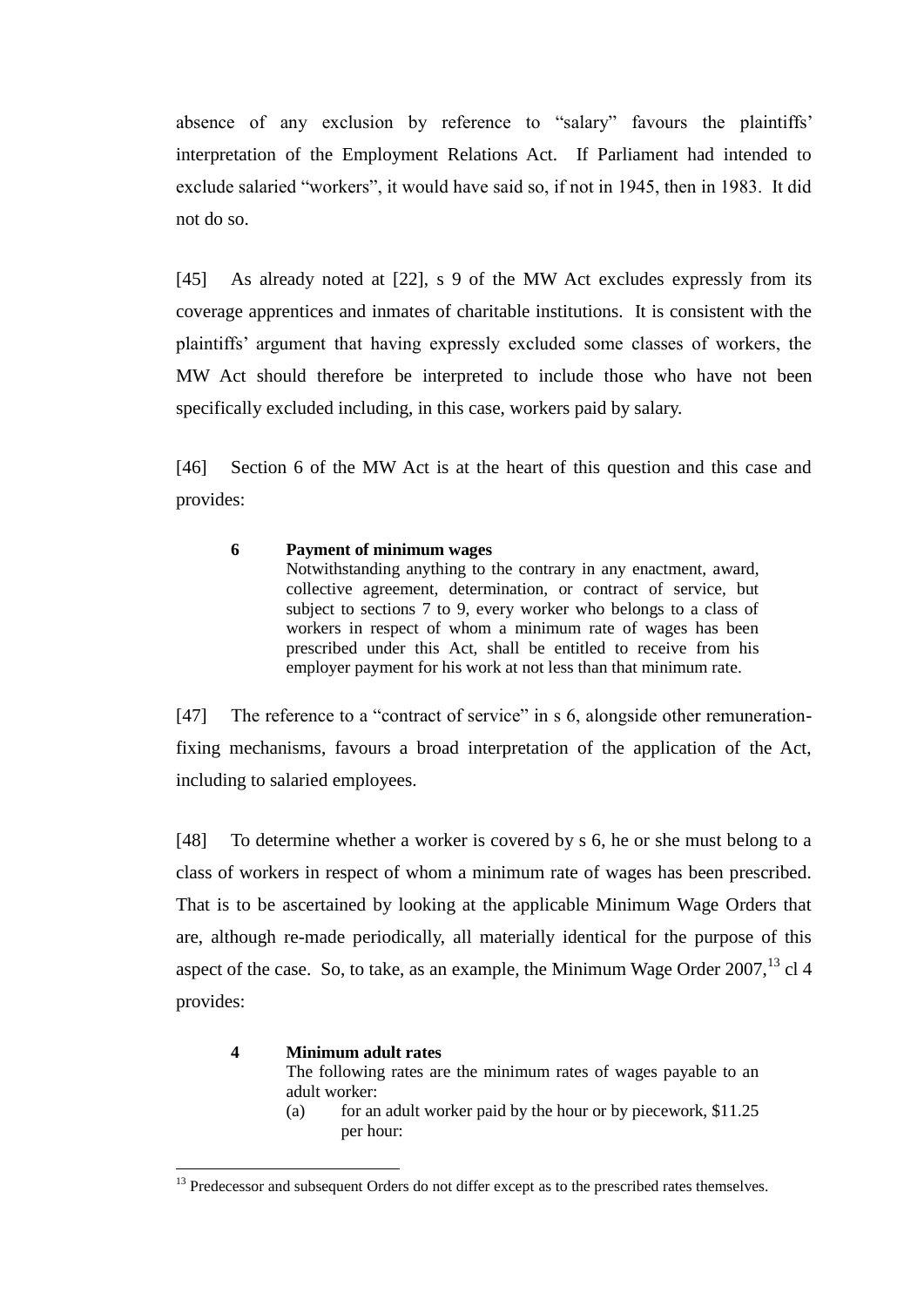absence of any exclusion by reference to "salary" favours the plaintiffs' interpretation of the Employment Relations Act. If Parliament had intended to exclude salaried "workers", it would have said so, if not in 1945, then in 1983. It did not do so.

[45] As already noted at [22], s 9 of the MW Act excludes expressly from its coverage apprentices and inmates of charitable institutions. It is consistent with the plaintiffs' argument that having expressly excluded some classes of workers, the MW Act should therefore be interpreted to include those who have not been specifically excluded including, in this case, workers paid by salary.

[46] Section 6 of the MW Act is at the heart of this question and this case and provides:

### **6 Payment of minimum wages**

Notwithstanding anything to the contrary in any enactment, award, collective agreement, determination, or contract of service, but subject to sections 7 to 9, every worker who belongs to a class of workers in respect of whom a minimum rate of wages has been prescribed under this Act, shall be entitled to receive from his employer payment for his work at not less than that minimum rate.

[47] The reference to a "contract of service" in s 6, alongside other remunerationfixing mechanisms, favours a broad interpretation of the application of the Act, including to salaried employees.

[48] To determine whether a worker is covered by s 6, he or she must belong to a class of workers in respect of whom a minimum rate of wages has been prescribed. That is to be ascertained by looking at the applicable Minimum Wage Orders that are, although re-made periodically, all materially identical for the purpose of this aspect of the case. So, to take, as an example, the Minimum Wage Order  $2007$ ,  $^{13}$  cl 4 provides:

#### **4 Minimum adult rates**

 $\overline{a}$ 

The following rates are the minimum rates of wages payable to an adult worker:

(a) for an adult worker paid by the hour or by piecework,  $$11.25$ per hour:

<sup>&</sup>lt;sup>13</sup> Predecessor and subsequent Orders do not differ except as to the prescribed rates themselves.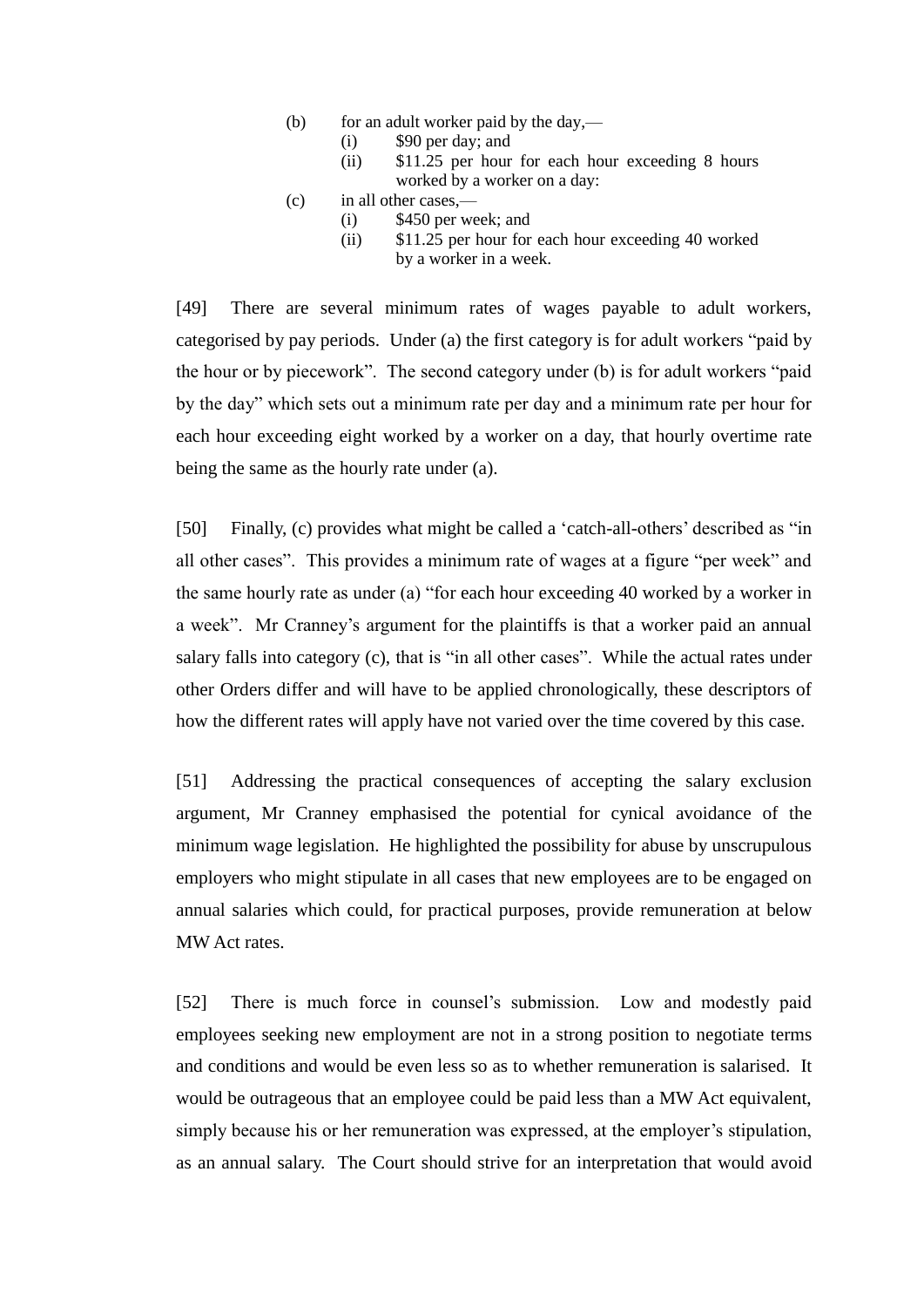- (b) for an adult worker paid by the day,—
	- (i) \$90 per day; and
	- (ii) \$11.25 per hour for each hour exceeding 8 hours worked by a worker on a day:
- (c) in all other cases,—
	- (i) \$450 per week; and
	- (ii) \$11.25 per hour for each hour exceeding 40 worked by a worker in a week.

[49] There are several minimum rates of wages payable to adult workers, categorised by pay periods. Under (a) the first category is for adult workers "paid by the hour or by piecework". The second category under (b) is for adult workers "paid by the day" which sets out a minimum rate per day and a minimum rate per hour for each hour exceeding eight worked by a worker on a day, that hourly overtime rate being the same as the hourly rate under (a).

[50] Finally, (c) provides what might be called a 'catch-all-others' described as "in all other cases". This provides a minimum rate of wages at a figure "per week" and the same hourly rate as under (a) "for each hour exceeding 40 worked by a worker in a week". Mr Cranney's argument for the plaintiffs is that a worker paid an annual salary falls into category (c), that is "in all other cases". While the actual rates under other Orders differ and will have to be applied chronologically, these descriptors of how the different rates will apply have not varied over the time covered by this case.

[51] Addressing the practical consequences of accepting the salary exclusion argument, Mr Cranney emphasised the potential for cynical avoidance of the minimum wage legislation. He highlighted the possibility for abuse by unscrupulous employers who might stipulate in all cases that new employees are to be engaged on annual salaries which could, for practical purposes, provide remuneration at below MW Act rates.

[52] There is much force in counsel's submission. Low and modestly paid employees seeking new employment are not in a strong position to negotiate terms and conditions and would be even less so as to whether remuneration is salarised. It would be outrageous that an employee could be paid less than a MW Act equivalent, simply because his or her remuneration was expressed, at the employer's stipulation, as an annual salary. The Court should strive for an interpretation that would avoid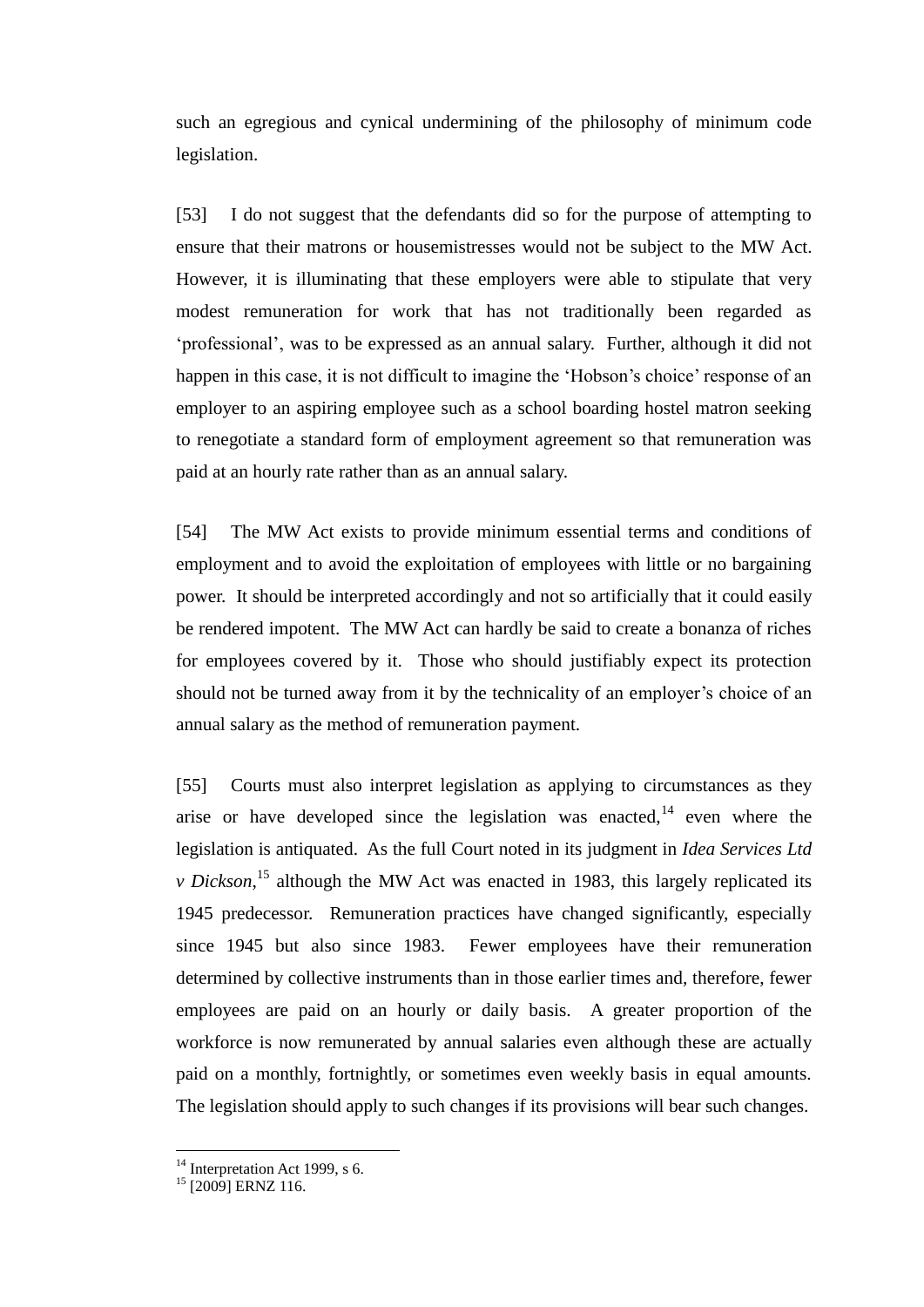such an egregious and cynical undermining of the philosophy of minimum code legislation.

[53] I do not suggest that the defendants did so for the purpose of attempting to ensure that their matrons or housemistresses would not be subject to the MW Act. However, it is illuminating that these employers were able to stipulate that very modest remuneration for work that has not traditionally been regarded as 'professional', was to be expressed as an annual salary. Further, although it did not happen in this case, it is not difficult to imagine the 'Hobson's choice' response of an employer to an aspiring employee such as a school boarding hostel matron seeking to renegotiate a standard form of employment agreement so that remuneration was paid at an hourly rate rather than as an annual salary.

[54] The MW Act exists to provide minimum essential terms and conditions of employment and to avoid the exploitation of employees with little or no bargaining power. It should be interpreted accordingly and not so artificially that it could easily be rendered impotent. The MW Act can hardly be said to create a bonanza of riches for employees covered by it. Those who should justifiably expect its protection should not be turned away from it by the technicality of an employer's choice of an annual salary as the method of remuneration payment.

[55] Courts must also interpret legislation as applying to circumstances as they arise or have developed since the legislation was enacted, $14$  even where the legislation is antiquated. As the full Court noted in its judgment in *Idea Services Ltd v Dickson*,<sup>15</sup> although the MW Act was enacted in 1983, this largely replicated its 1945 predecessor. Remuneration practices have changed significantly, especially since 1945 but also since 1983. Fewer employees have their remuneration determined by collective instruments than in those earlier times and, therefore, fewer employees are paid on an hourly or daily basis. A greater proportion of the workforce is now remunerated by annual salaries even although these are actually paid on a monthly, fortnightly, or sometimes even weekly basis in equal amounts. The legislation should apply to such changes if its provisions will bear such changes.

 $14$  Interpretation Act 1999, s 6.

<sup>&</sup>lt;sup>15</sup> [2009] ERNZ 116.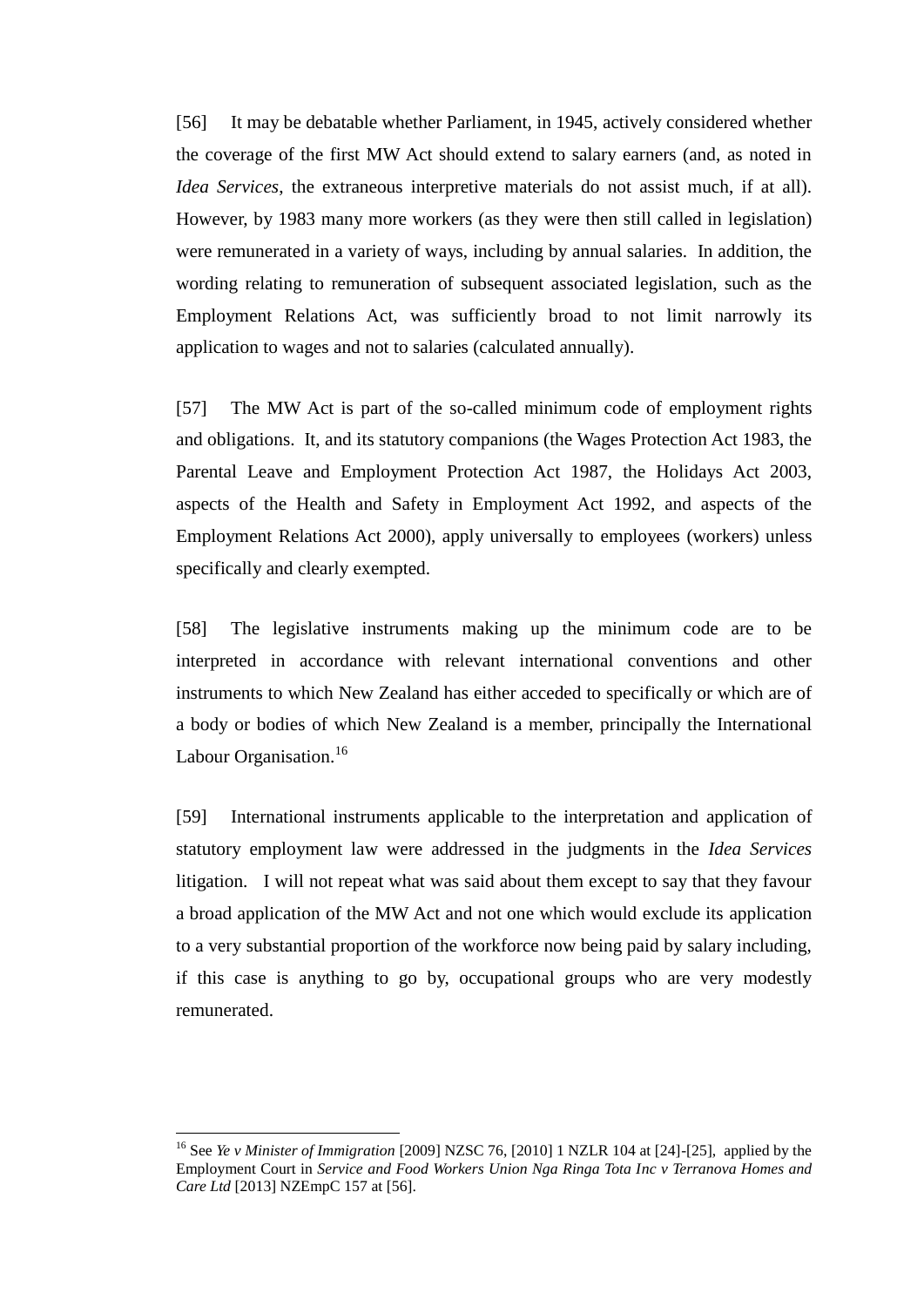[56] It may be debatable whether Parliament, in 1945, actively considered whether the coverage of the first MW Act should extend to salary earners (and, as noted in *Idea Services*, the extraneous interpretive materials do not assist much, if at all). However, by 1983 many more workers (as they were then still called in legislation) were remunerated in a variety of ways, including by annual salaries. In addition, the wording relating to remuneration of subsequent associated legislation, such as the Employment Relations Act, was sufficiently broad to not limit narrowly its application to wages and not to salaries (calculated annually).

[57] The MW Act is part of the so-called minimum code of employment rights and obligations. It, and its statutory companions (the Wages Protection Act 1983, the Parental Leave and Employment Protection Act 1987, the Holidays Act 2003, aspects of the Health and Safety in Employment Act 1992, and aspects of the Employment Relations Act 2000), apply universally to employees (workers) unless specifically and clearly exempted.

[58] The legislative instruments making up the minimum code are to be interpreted in accordance with relevant international conventions and other instruments to which New Zealand has either acceded to specifically or which are of a body or bodies of which New Zealand is a member, principally the International Labour Organisation.<sup>16</sup>

[59] International instruments applicable to the interpretation and application of statutory employment law were addressed in the judgments in the *Idea Services* litigation. I will not repeat what was said about them except to say that they favour a broad application of the MW Act and not one which would exclude its application to a very substantial proportion of the workforce now being paid by salary including, if this case is anything to go by, occupational groups who are very modestly remunerated.

<sup>16</sup> See *Ye v Minister of Immigration* [2009] NZSC 76, [2010] 1 NZLR 104 at [24]-[25], applied by the Employment Court in *Service and Food Workers Union Nga Ringa Tota Inc v Terranova Homes and Care Ltd* [2013] NZEmpC 157 at [56].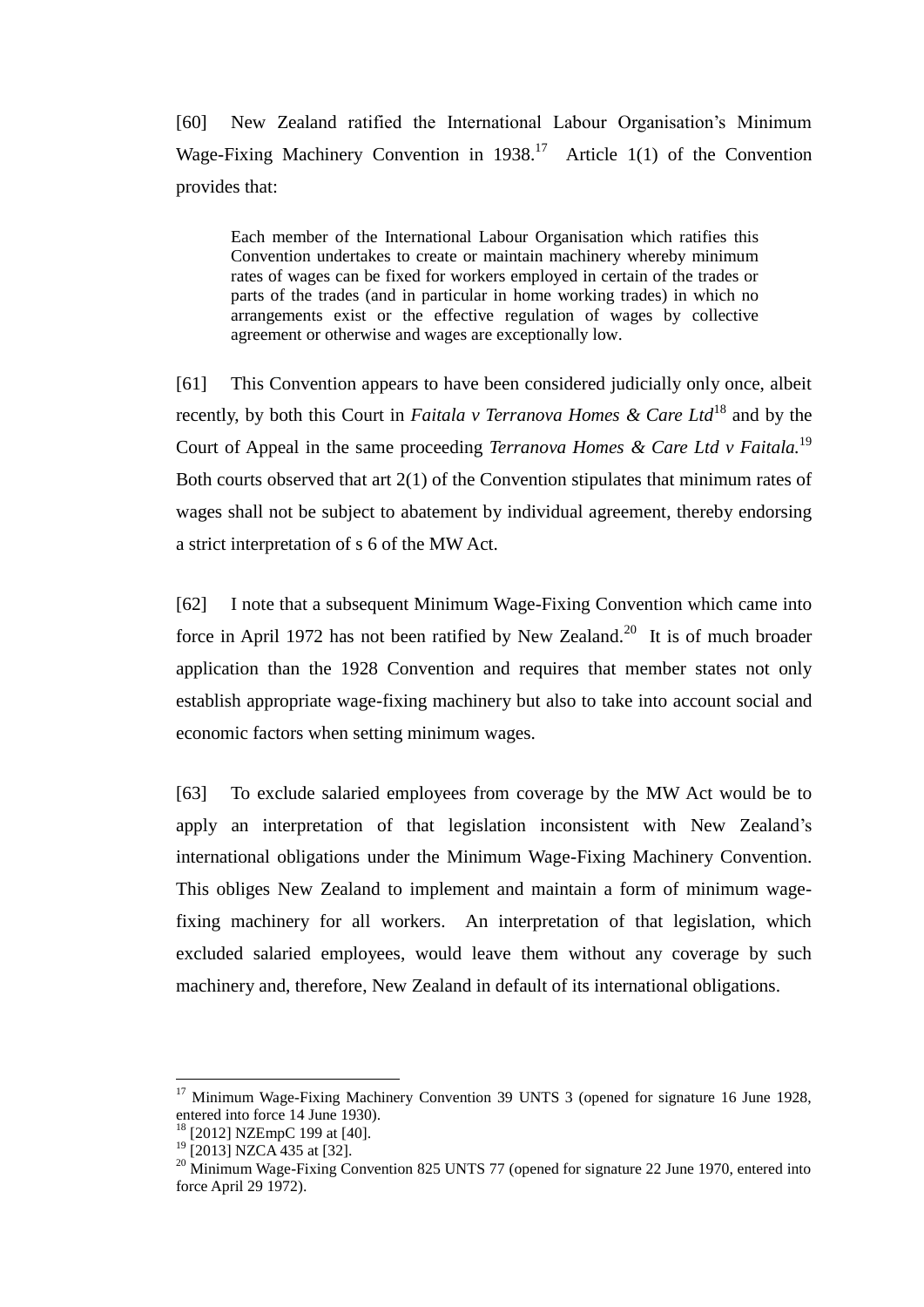[60] New Zealand ratified the International Labour Organisation's Minimum Wage-Fixing Machinery Convention in  $1938$ .<sup>17</sup> Article 1(1) of the Convention provides that:

Each member of the International Labour Organisation which ratifies this Convention undertakes to create or maintain machinery whereby minimum rates of wages can be fixed for workers employed in certain of the trades or parts of the trades (and in particular in home working trades) in which no arrangements exist or the effective regulation of wages by collective agreement or otherwise and wages are exceptionally low.

[61] This Convention appears to have been considered judicially only once, albeit recently, by both this Court in *Faitala v Terranova Homes & Care Ltd*<sup>18</sup> and by the Court of Appeal in the same proceeding *Terranova Homes & Care Ltd v Faitala*.<sup>19</sup> Both courts observed that art 2(1) of the Convention stipulates that minimum rates of wages shall not be subject to abatement by individual agreement, thereby endorsing a strict interpretation of s 6 of the MW Act.

[62] I note that a subsequent Minimum Wage-Fixing Convention which came into force in April 1972 has not been ratified by New Zealand.<sup>20</sup> It is of much broader application than the 1928 Convention and requires that member states not only establish appropriate wage-fixing machinery but also to take into account social and economic factors when setting minimum wages.

[63] To exclude salaried employees from coverage by the MW Act would be to apply an interpretation of that legislation inconsistent with New Zealand's international obligations under the Minimum Wage-Fixing Machinery Convention. This obliges New Zealand to implement and maintain a form of minimum wagefixing machinery for all workers. An interpretation of that legislation, which excluded salaried employees, would leave them without any coverage by such machinery and, therefore, New Zealand in default of its international obligations.

<sup>&</sup>lt;sup>17</sup> Minimum Wage-Fixing Machinery Convention 39 UNTS 3 (opened for signature 16 June 1928, entered into force 14 June 1930).

<sup>18</sup> [2012] NZEmpC 199 at [40].

 $^{19}$  [2013] NZCA 435 at [32].

 $20$  Minimum Wage-Fixing Convention 825 UNTS 77 (opened for signature 22 June 1970, entered into force April 29 1972).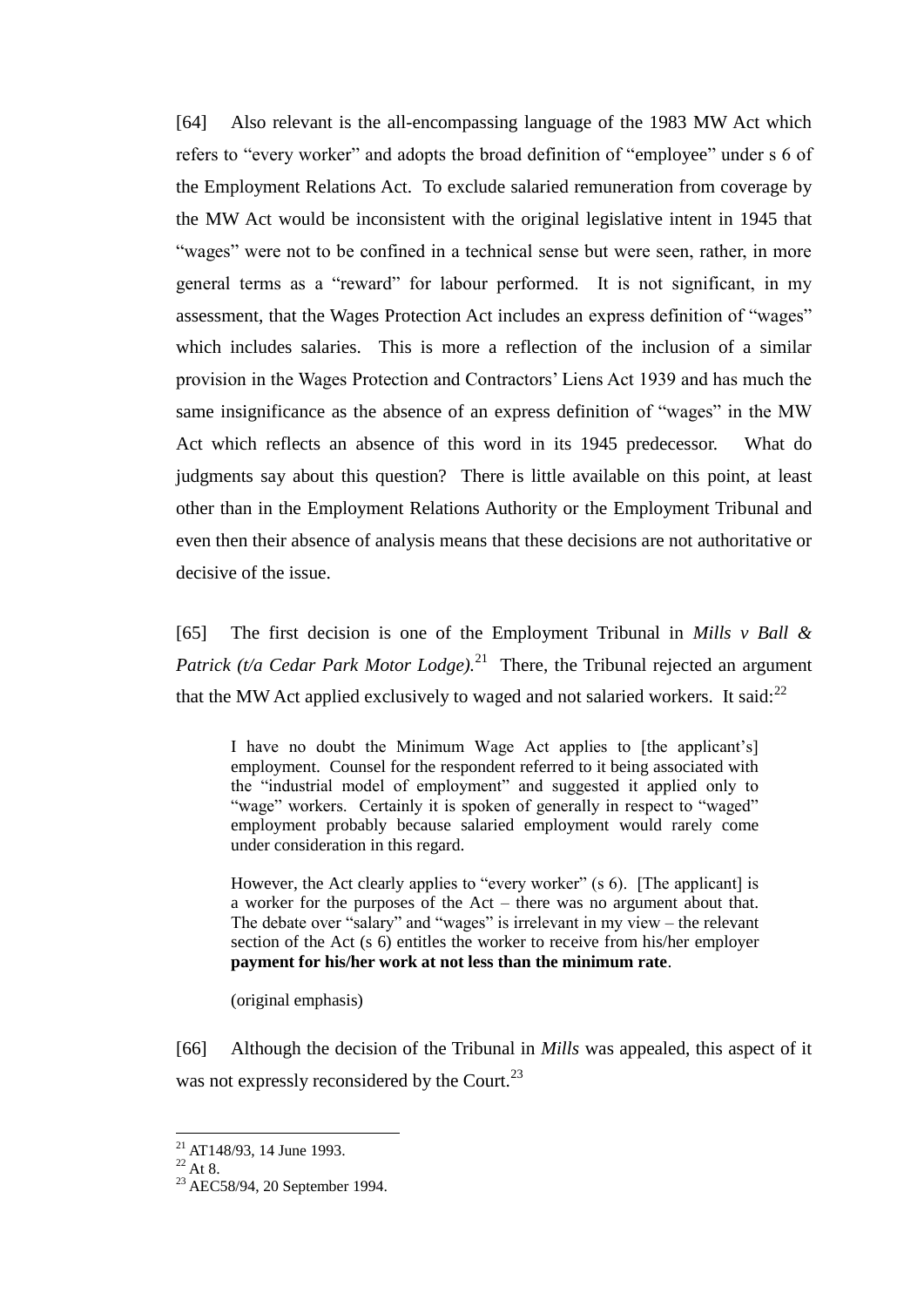[64] Also relevant is the all-encompassing language of the 1983 MW Act which refers to "every worker" and adopts the broad definition of "employee" under s 6 of the Employment Relations Act. To exclude salaried remuneration from coverage by the MW Act would be inconsistent with the original legislative intent in 1945 that "wages" were not to be confined in a technical sense but were seen, rather, in more general terms as a "reward" for labour performed. It is not significant, in my assessment, that the Wages Protection Act includes an express definition of "wages" which includes salaries. This is more a reflection of the inclusion of a similar provision in the Wages Protection and Contractors' Liens Act 1939 and has much the same insignificance as the absence of an express definition of "wages" in the MW Act which reflects an absence of this word in its 1945 predecessor. What do judgments say about this question? There is little available on this point, at least other than in the Employment Relations Authority or the Employment Tribunal and even then their absence of analysis means that these decisions are not authoritative or decisive of the issue.

[65] The first decision is one of the Employment Tribunal in *Mills v Ball &*  Patrick (t/a Cedar Park Motor Lodge).<sup>21</sup> There, the Tribunal rejected an argument that the MW Act applied exclusively to waged and not salaried workers. It said:<sup>22</sup>

I have no doubt the Minimum Wage Act applies to [the applicant's] employment. Counsel for the respondent referred to it being associated with the "industrial model of employment" and suggested it applied only to "wage" workers. Certainly it is spoken of generally in respect to "waged" employment probably because salaried employment would rarely come under consideration in this regard.

However, the Act clearly applies to "every worker" (s 6). [The applicant] is a worker for the purposes of the Act – there was no argument about that. The debate over "salary" and "wages" is irrelevant in my view – the relevant section of the Act (s 6) entitles the worker to receive from his/her employer **payment for his/her work at not less than the minimum rate**.

(original emphasis)

[66] Although the decision of the Tribunal in *Mills* was appealed, this aspect of it was not expressly reconsidered by the Court.<sup>23</sup>

 $21$  AT148/93, 14 June 1993.

 $^{22}$  At 8.

<sup>23</sup> AEC58/94, 20 September 1994.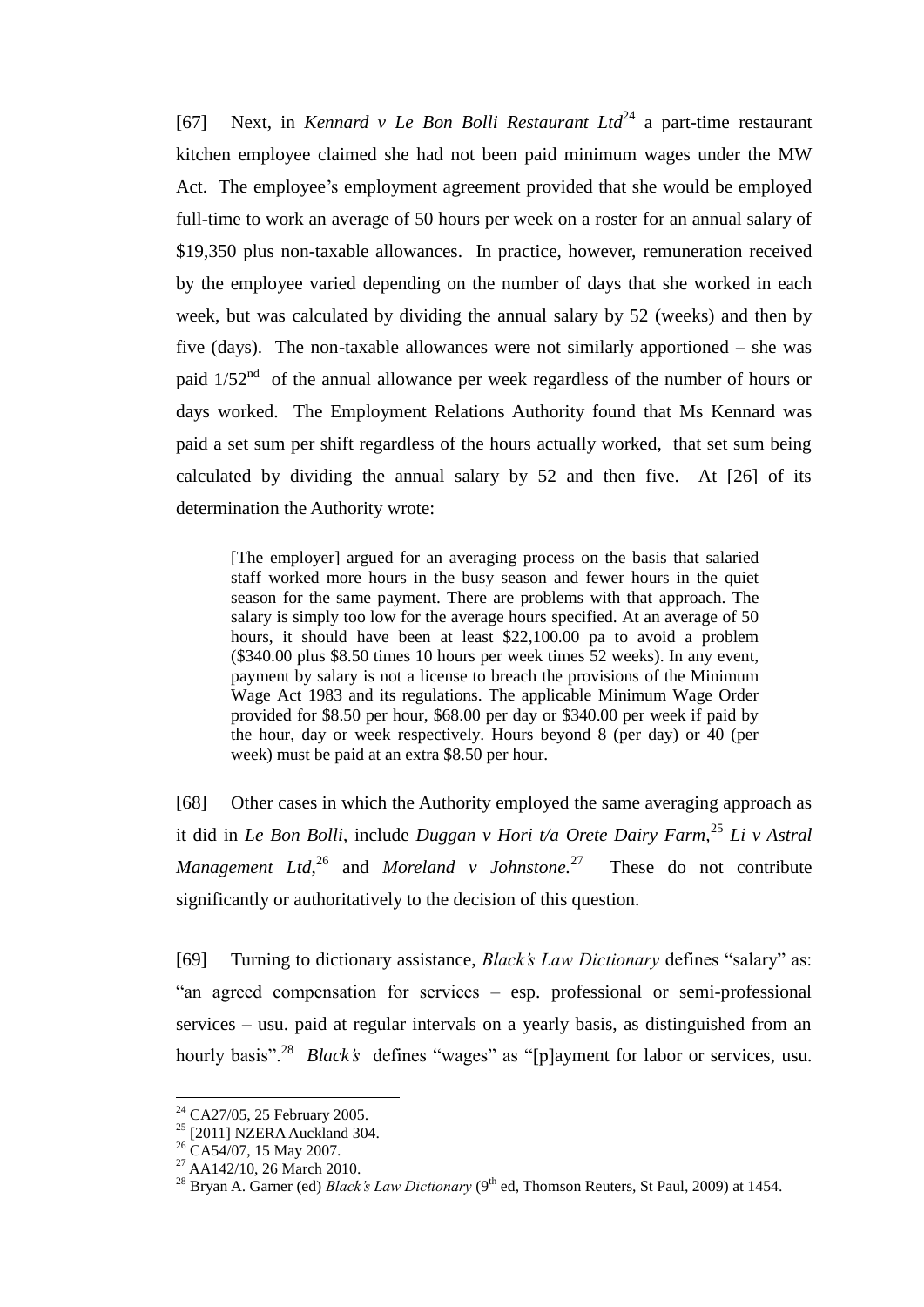[67] Next, in *Kennard v Le Bon Bolli Restaurant Ltd*<sup>24</sup> a part-time restaurant kitchen employee claimed she had not been paid minimum wages under the MW Act. The employee's employment agreement provided that she would be employed full-time to work an average of 50 hours per week on a roster for an annual salary of \$19,350 plus non-taxable allowances. In practice, however, remuneration received by the employee varied depending on the number of days that she worked in each week, but was calculated by dividing the annual salary by 52 (weeks) and then by five (days). The non-taxable allowances were not similarly apportioned – she was paid  $1/52<sup>nd</sup>$  of the annual allowance per week regardless of the number of hours or days worked. The Employment Relations Authority found that Ms Kennard was paid a set sum per shift regardless of the hours actually worked, that set sum being calculated by dividing the annual salary by 52 and then five. At [26] of its determination the Authority wrote:

[The employer] argued for an averaging process on the basis that salaried staff worked more hours in the busy season and fewer hours in the quiet season for the same payment. There are problems with that approach. The salary is simply too low for the average hours specified. At an average of 50 hours, it should have been at least \$22,100.00 pa to avoid a problem (\$340.00 plus \$8.50 times 10 hours per week times 52 weeks). In any event, payment by salary is not a license to breach the provisions of the Minimum Wage Act 1983 and its regulations. The applicable Minimum Wage Order provided for \$8.50 per hour, \$68.00 per day or \$340.00 per week if paid by the hour, day or week respectively. Hours beyond 8 (per day) or 40 (per week) must be paid at an extra \$8.50 per hour.

[68] Other cases in which the Authority employed the same averaging approach as it did in *Le Bon Bolli*, include *Duggan v Hori t/a Orete Dairy Farm,*<sup>25</sup> *Li v Astral Management Ltd*,<sup>26</sup> and *Moreland v Johnstone*.<sup>27</sup> These do not contribute significantly or authoritatively to the decision of this question.

[69] Turning to dictionary assistance, *Black's Law Dictionary* defines "salary" as: "an agreed compensation for services – esp. professional or semi-professional services – usu. paid at regular intervals on a yearly basis, as distinguished from an hourly basis".<sup>28</sup> *Black's* defines "wages" as "[p]ayment for labor or services, usu.

<sup>24</sup> CA27/05, 25 February 2005.

<sup>&</sup>lt;sup>25</sup> [2011] NZERA Auckland 304.

<sup>&</sup>lt;sup>26</sup> CA54/07, 15 May 2007.

<sup>27</sup> AA142/10, 26 March 2010.

<sup>&</sup>lt;sup>28</sup> Bryan A. Garner (ed) *Black's Law Dictionary* (9<sup>th</sup> ed, Thomson Reuters, St Paul, 2009) at 1454.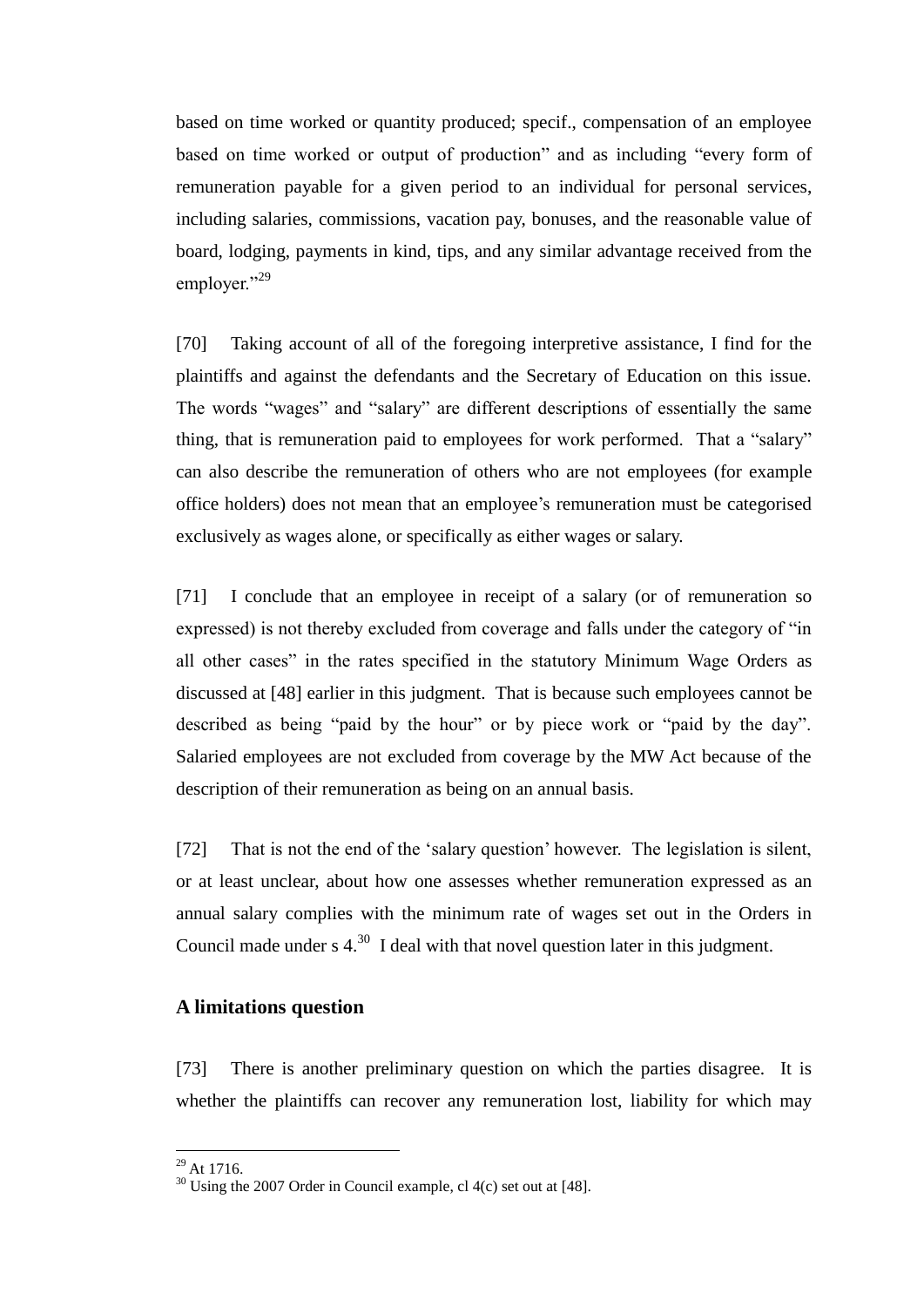based on time worked or quantity produced; specif., compensation of an employee based on time worked or output of production" and as including "every form of remuneration payable for a given period to an individual for personal services, including salaries, commissions, vacation pay, bonuses, and the reasonable value of board, lodging, payments in kind, tips, and any similar advantage received from the employer."<sup>29</sup>

[70] Taking account of all of the foregoing interpretive assistance, I find for the plaintiffs and against the defendants and the Secretary of Education on this issue. The words "wages" and "salary" are different descriptions of essentially the same thing, that is remuneration paid to employees for work performed. That a "salary" can also describe the remuneration of others who are not employees (for example office holders) does not mean that an employee's remuneration must be categorised exclusively as wages alone, or specifically as either wages or salary.

[71] I conclude that an employee in receipt of a salary (or of remuneration so expressed) is not thereby excluded from coverage and falls under the category of "in all other cases" in the rates specified in the statutory Minimum Wage Orders as discussed at [48] earlier in this judgment. That is because such employees cannot be described as being "paid by the hour" or by piece work or "paid by the day". Salaried employees are not excluded from coverage by the MW Act because of the description of their remuneration as being on an annual basis.

[72] That is not the end of the 'salary question' however. The legislation is silent, or at least unclear, about how one assesses whether remuneration expressed as an annual salary complies with the minimum rate of wages set out in the Orders in Council made under  $s$  4.<sup>30</sup> I deal with that novel question later in this judgment.

### **A limitations question**

[73] There is another preliminary question on which the parties disagree. It is whether the plaintiffs can recover any remuneration lost, liability for which may

 $^{29}$  At 1716.

 $30$  Using the 2007 Order in Council example, cl 4(c) set out at [48].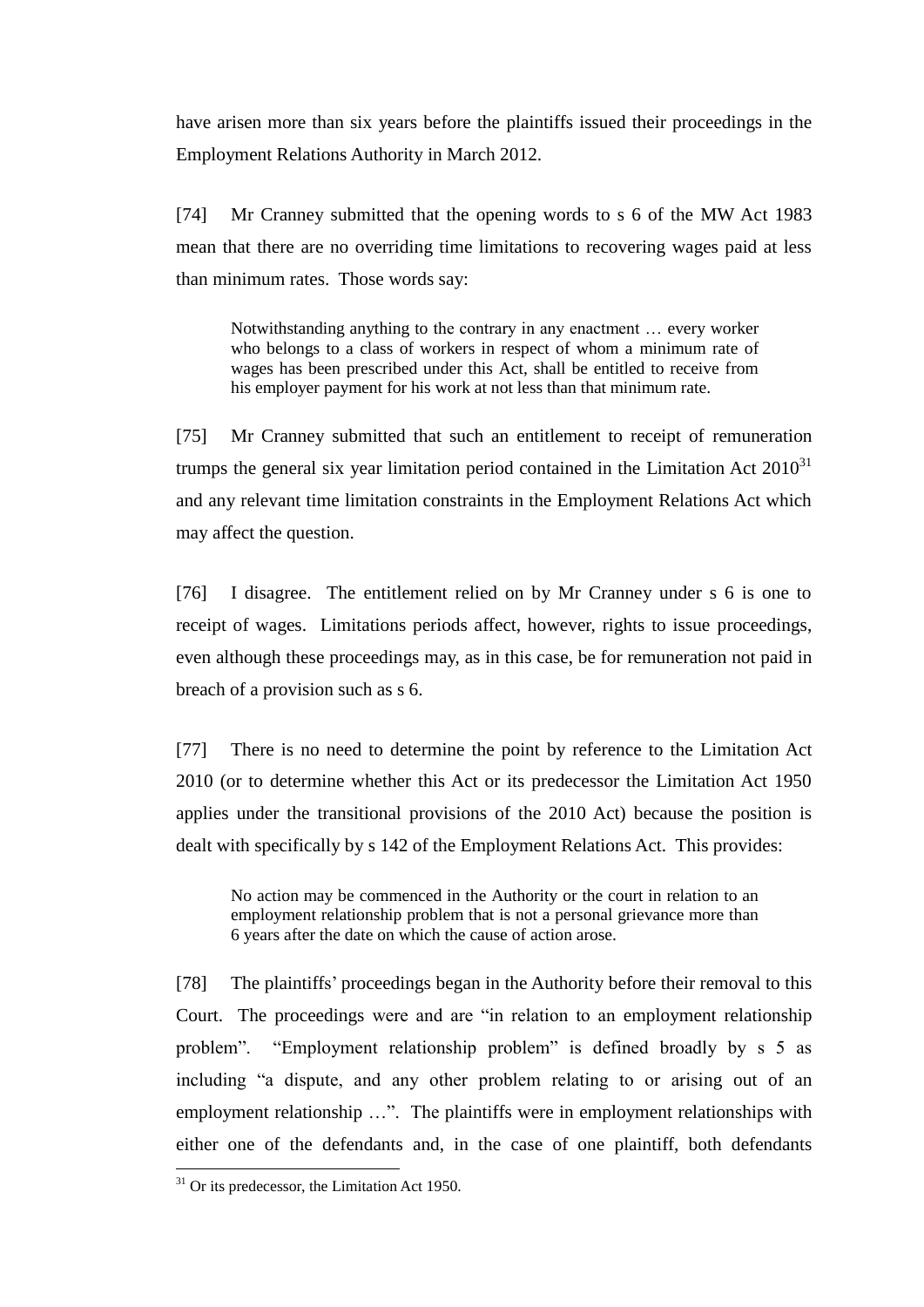have arisen more than six years before the plaintiffs issued their proceedings in the Employment Relations Authority in March 2012.

[74] Mr Cranney submitted that the opening words to s 6 of the MW Act 1983 mean that there are no overriding time limitations to recovering wages paid at less than minimum rates. Those words say:

Notwithstanding anything to the contrary in any enactment … every worker who belongs to a class of workers in respect of whom a minimum rate of wages has been prescribed under this Act, shall be entitled to receive from his employer payment for his work at not less than that minimum rate.

[75] Mr Cranney submitted that such an entitlement to receipt of remuneration trumps the general six year limitation period contained in the Limitation Act  $2010^{31}$ and any relevant time limitation constraints in the Employment Relations Act which may affect the question.

[76] I disagree. The entitlement relied on by Mr Cranney under s 6 is one to receipt of wages. Limitations periods affect, however, rights to issue proceedings, even although these proceedings may, as in this case, be for remuneration not paid in breach of a provision such as s 6.

[77] There is no need to determine the point by reference to the Limitation Act 2010 (or to determine whether this Act or its predecessor the Limitation Act 1950 applies under the transitional provisions of the 2010 Act) because the position is dealt with specifically by s 142 of the Employment Relations Act. This provides:

No action may be commenced in the Authority or the court in relation to an employment relationship problem that is not a personal grievance more than 6 years after the date on which the cause of action arose.

[78] The plaintiffs' proceedings began in the Authority before their removal to this Court. The proceedings were and are "in relation to an employment relationship problem". "Employment relationship problem" is defined broadly by s 5 as including "a dispute, and any other problem relating to or arising out of an employment relationship ...". The plaintiffs were in employment relationships with either one of the defendants and, in the case of one plaintiff, both defendants

 $31$  Or its predecessor, the Limitation Act 1950.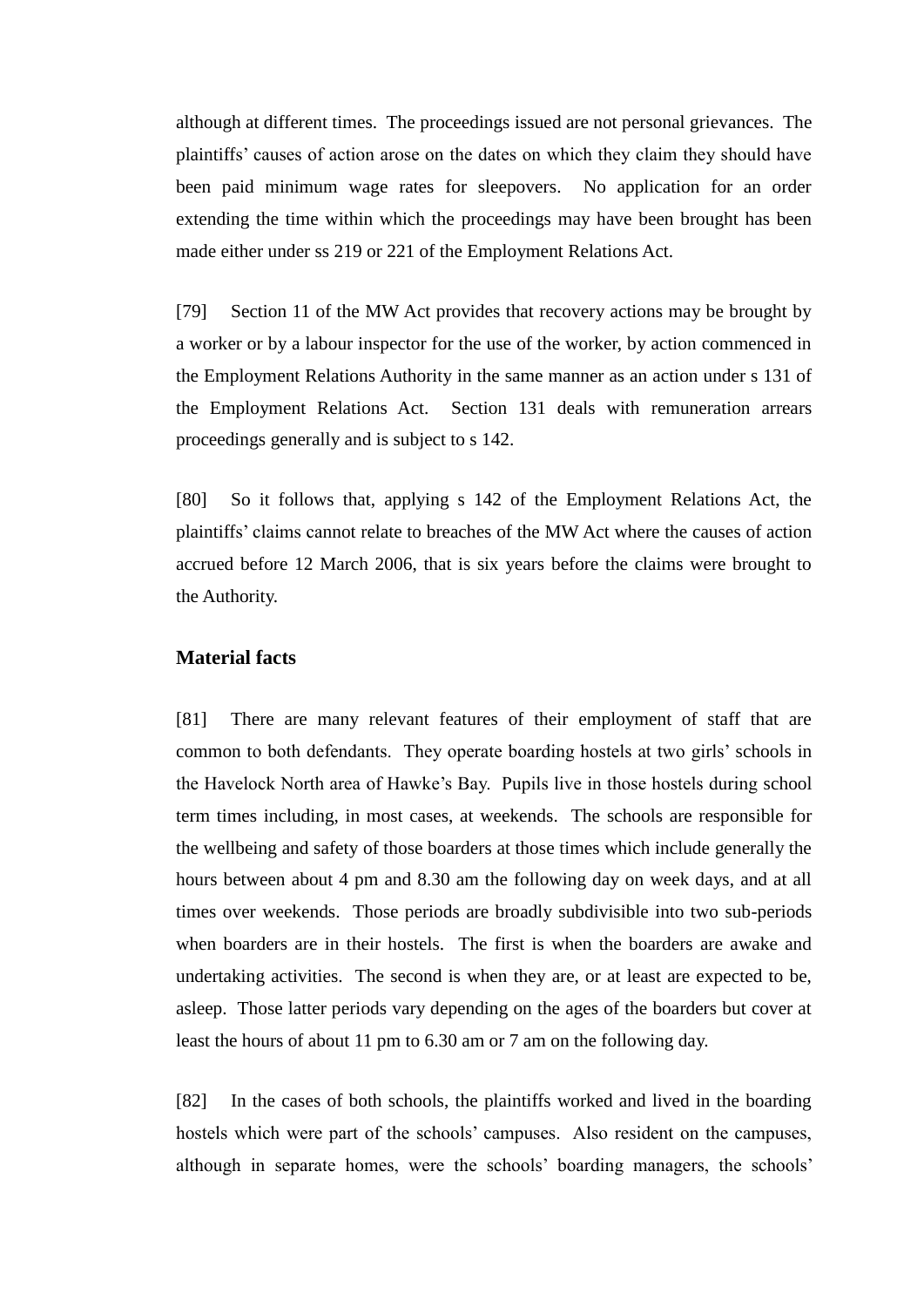although at different times. The proceedings issued are not personal grievances. The plaintiffs' causes of action arose on the dates on which they claim they should have been paid minimum wage rates for sleepovers. No application for an order extending the time within which the proceedings may have been brought has been made either under ss 219 or 221 of the Employment Relations Act.

[79] Section 11 of the MW Act provides that recovery actions may be brought by a worker or by a labour inspector for the use of the worker, by action commenced in the Employment Relations Authority in the same manner as an action under s 131 of the Employment Relations Act. Section 131 deals with remuneration arrears proceedings generally and is subject to s 142.

[80] So it follows that, applying s 142 of the Employment Relations Act, the plaintiffs' claims cannot relate to breaches of the MW Act where the causes of action accrued before 12 March 2006, that is six years before the claims were brought to the Authority.

### **Material facts**

[81] There are many relevant features of their employment of staff that are common to both defendants. They operate boarding hostels at two girls' schools in the Havelock North area of Hawke's Bay. Pupils live in those hostels during school term times including, in most cases, at weekends. The schools are responsible for the wellbeing and safety of those boarders at those times which include generally the hours between about 4 pm and 8.30 am the following day on week days, and at all times over weekends. Those periods are broadly subdivisible into two sub-periods when boarders are in their hostels. The first is when the boarders are awake and undertaking activities. The second is when they are, or at least are expected to be, asleep. Those latter periods vary depending on the ages of the boarders but cover at least the hours of about 11 pm to 6.30 am or 7 am on the following day.

[82] In the cases of both schools, the plaintiffs worked and lived in the boarding hostels which were part of the schools' campuses. Also resident on the campuses, although in separate homes, were the schools' boarding managers, the schools'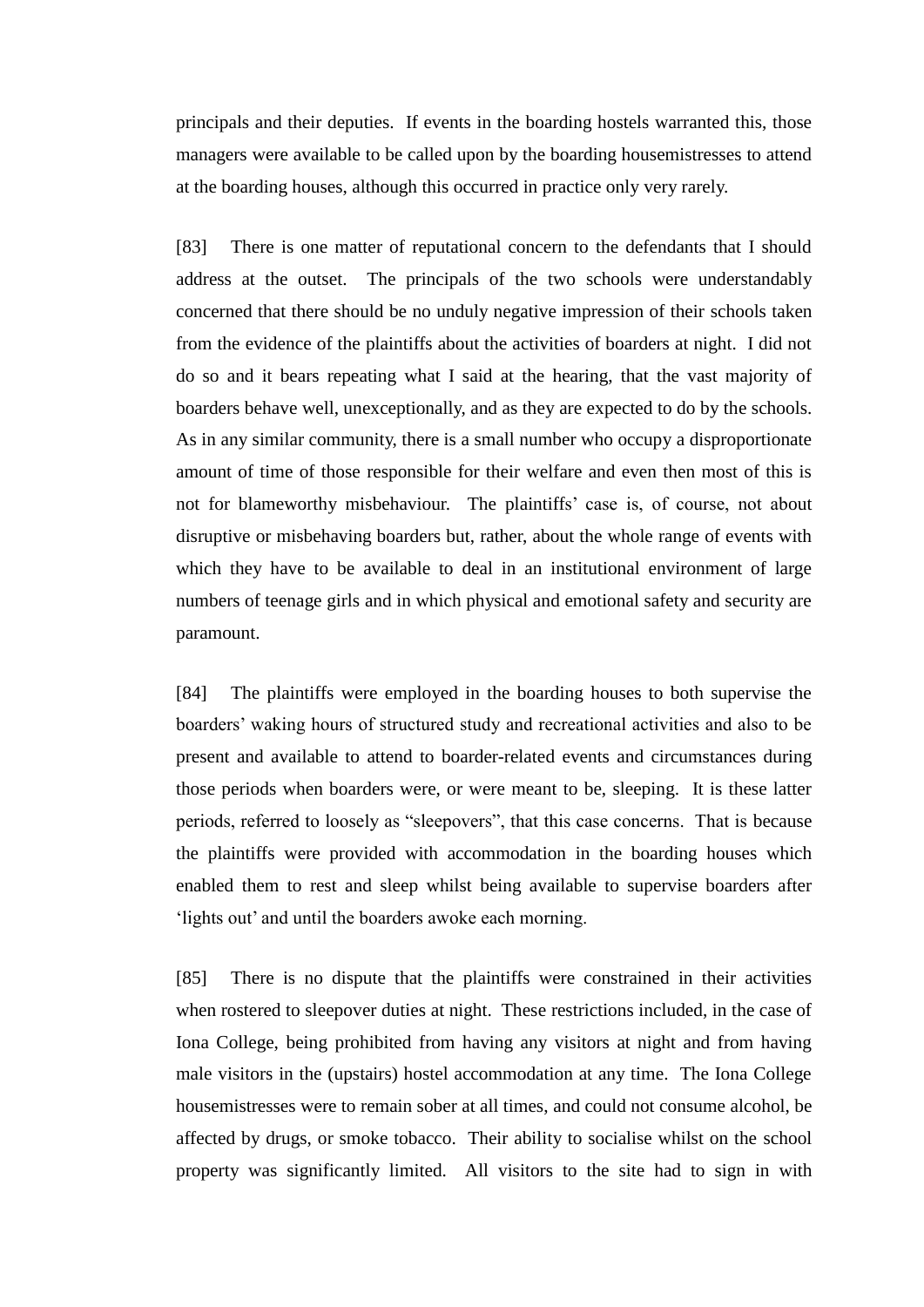principals and their deputies. If events in the boarding hostels warranted this, those managers were available to be called upon by the boarding housemistresses to attend at the boarding houses, although this occurred in practice only very rarely.

[83] There is one matter of reputational concern to the defendants that I should address at the outset. The principals of the two schools were understandably concerned that there should be no unduly negative impression of their schools taken from the evidence of the plaintiffs about the activities of boarders at night. I did not do so and it bears repeating what I said at the hearing, that the vast majority of boarders behave well, unexceptionally, and as they are expected to do by the schools. As in any similar community, there is a small number who occupy a disproportionate amount of time of those responsible for their welfare and even then most of this is not for blameworthy misbehaviour. The plaintiffs' case is, of course, not about disruptive or misbehaving boarders but, rather, about the whole range of events with which they have to be available to deal in an institutional environment of large numbers of teenage girls and in which physical and emotional safety and security are paramount.

[84] The plaintiffs were employed in the boarding houses to both supervise the boarders' waking hours of structured study and recreational activities and also to be present and available to attend to boarder-related events and circumstances during those periods when boarders were, or were meant to be, sleeping. It is these latter periods, referred to loosely as "sleepovers", that this case concerns. That is because the plaintiffs were provided with accommodation in the boarding houses which enabled them to rest and sleep whilst being available to supervise boarders after 'lights out' and until the boarders awoke each morning.

[85] There is no dispute that the plaintiffs were constrained in their activities when rostered to sleepover duties at night. These restrictions included, in the case of Iona College, being prohibited from having any visitors at night and from having male visitors in the (upstairs) hostel accommodation at any time. The Iona College housemistresses were to remain sober at all times, and could not consume alcohol, be affected by drugs, or smoke tobacco. Their ability to socialise whilst on the school property was significantly limited. All visitors to the site had to sign in with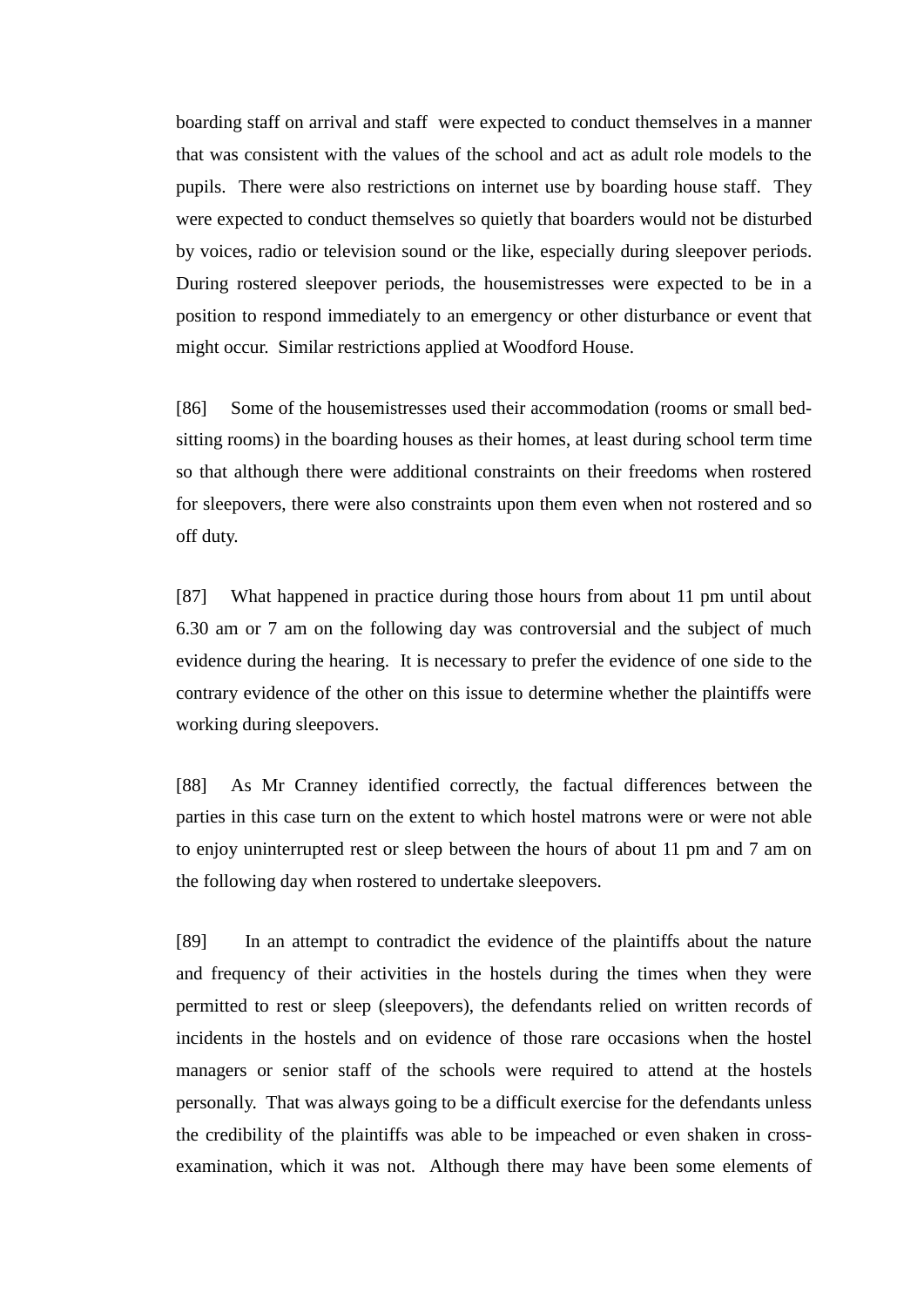boarding staff on arrival and staff were expected to conduct themselves in a manner that was consistent with the values of the school and act as adult role models to the pupils. There were also restrictions on internet use by boarding house staff. They were expected to conduct themselves so quietly that boarders would not be disturbed by voices, radio or television sound or the like, especially during sleepover periods. During rostered sleepover periods, the housemistresses were expected to be in a position to respond immediately to an emergency or other disturbance or event that might occur. Similar restrictions applied at Woodford House.

[86] Some of the housemistresses used their accommodation (rooms or small bedsitting rooms) in the boarding houses as their homes, at least during school term time so that although there were additional constraints on their freedoms when rostered for sleepovers, there were also constraints upon them even when not rostered and so off duty.

[87] What happened in practice during those hours from about 11 pm until about 6.30 am or 7 am on the following day was controversial and the subject of much evidence during the hearing. It is necessary to prefer the evidence of one side to the contrary evidence of the other on this issue to determine whether the plaintiffs were working during sleepovers.

[88] As Mr Cranney identified correctly, the factual differences between the parties in this case turn on the extent to which hostel matrons were or were not able to enjoy uninterrupted rest or sleep between the hours of about 11 pm and 7 am on the following day when rostered to undertake sleepovers.

[89] In an attempt to contradict the evidence of the plaintiffs about the nature and frequency of their activities in the hostels during the times when they were permitted to rest or sleep (sleepovers), the defendants relied on written records of incidents in the hostels and on evidence of those rare occasions when the hostel managers or senior staff of the schools were required to attend at the hostels personally. That was always going to be a difficult exercise for the defendants unless the credibility of the plaintiffs was able to be impeached or even shaken in crossexamination, which it was not. Although there may have been some elements of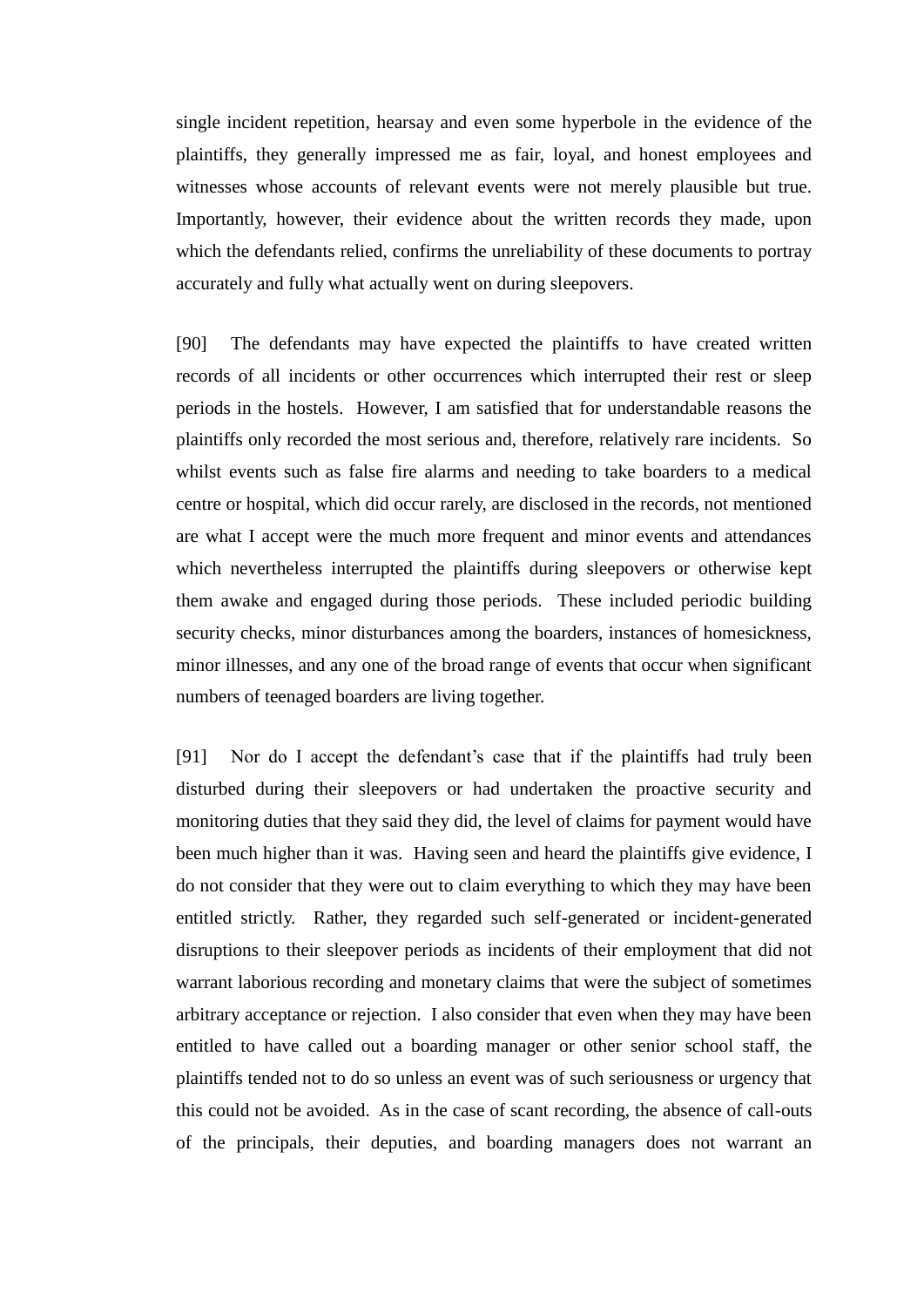single incident repetition, hearsay and even some hyperbole in the evidence of the plaintiffs, they generally impressed me as fair, loyal, and honest employees and witnesses whose accounts of relevant events were not merely plausible but true. Importantly, however, their evidence about the written records they made, upon which the defendants relied, confirms the unreliability of these documents to portray accurately and fully what actually went on during sleepovers.

[90] The defendants may have expected the plaintiffs to have created written records of all incidents or other occurrences which interrupted their rest or sleep periods in the hostels. However, I am satisfied that for understandable reasons the plaintiffs only recorded the most serious and, therefore, relatively rare incidents. So whilst events such as false fire alarms and needing to take boarders to a medical centre or hospital, which did occur rarely, are disclosed in the records, not mentioned are what I accept were the much more frequent and minor events and attendances which nevertheless interrupted the plaintiffs during sleepovers or otherwise kept them awake and engaged during those periods. These included periodic building security checks, minor disturbances among the boarders, instances of homesickness, minor illnesses, and any one of the broad range of events that occur when significant numbers of teenaged boarders are living together.

[91] Nor do I accept the defendant's case that if the plaintiffs had truly been disturbed during their sleepovers or had undertaken the proactive security and monitoring duties that they said they did, the level of claims for payment would have been much higher than it was. Having seen and heard the plaintiffs give evidence, I do not consider that they were out to claim everything to which they may have been entitled strictly. Rather, they regarded such self-generated or incident-generated disruptions to their sleepover periods as incidents of their employment that did not warrant laborious recording and monetary claims that were the subject of sometimes arbitrary acceptance or rejection. I also consider that even when they may have been entitled to have called out a boarding manager or other senior school staff, the plaintiffs tended not to do so unless an event was of such seriousness or urgency that this could not be avoided. As in the case of scant recording, the absence of call-outs of the principals, their deputies, and boarding managers does not warrant an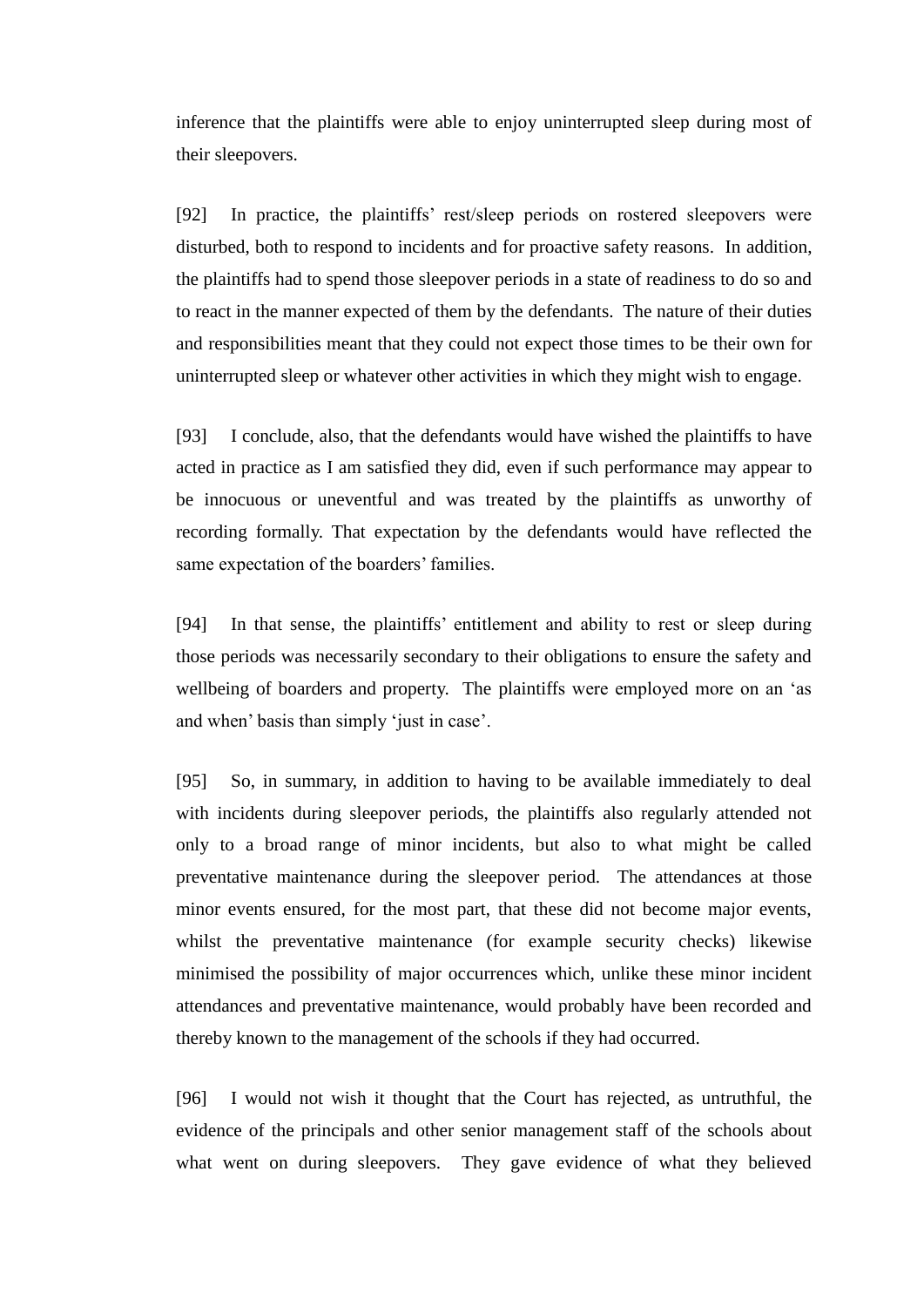inference that the plaintiffs were able to enjoy uninterrupted sleep during most of their sleepovers.

[92] In practice, the plaintiffs' rest/sleep periods on rostered sleepovers were disturbed, both to respond to incidents and for proactive safety reasons. In addition, the plaintiffs had to spend those sleepover periods in a state of readiness to do so and to react in the manner expected of them by the defendants. The nature of their duties and responsibilities meant that they could not expect those times to be their own for uninterrupted sleep or whatever other activities in which they might wish to engage.

[93] I conclude, also, that the defendants would have wished the plaintiffs to have acted in practice as I am satisfied they did, even if such performance may appear to be innocuous or uneventful and was treated by the plaintiffs as unworthy of recording formally. That expectation by the defendants would have reflected the same expectation of the boarders' families.

[94] In that sense, the plaintiffs' entitlement and ability to rest or sleep during those periods was necessarily secondary to their obligations to ensure the safety and wellbeing of boarders and property. The plaintiffs were employed more on an 'as and when' basis than simply 'just in case'.

[95] So, in summary, in addition to having to be available immediately to deal with incidents during sleepover periods, the plaintiffs also regularly attended not only to a broad range of minor incidents, but also to what might be called preventative maintenance during the sleepover period. The attendances at those minor events ensured, for the most part, that these did not become major events, whilst the preventative maintenance (for example security checks) likewise minimised the possibility of major occurrences which, unlike these minor incident attendances and preventative maintenance, would probably have been recorded and thereby known to the management of the schools if they had occurred.

[96] I would not wish it thought that the Court has rejected, as untruthful, the evidence of the principals and other senior management staff of the schools about what went on during sleepovers. They gave evidence of what they believed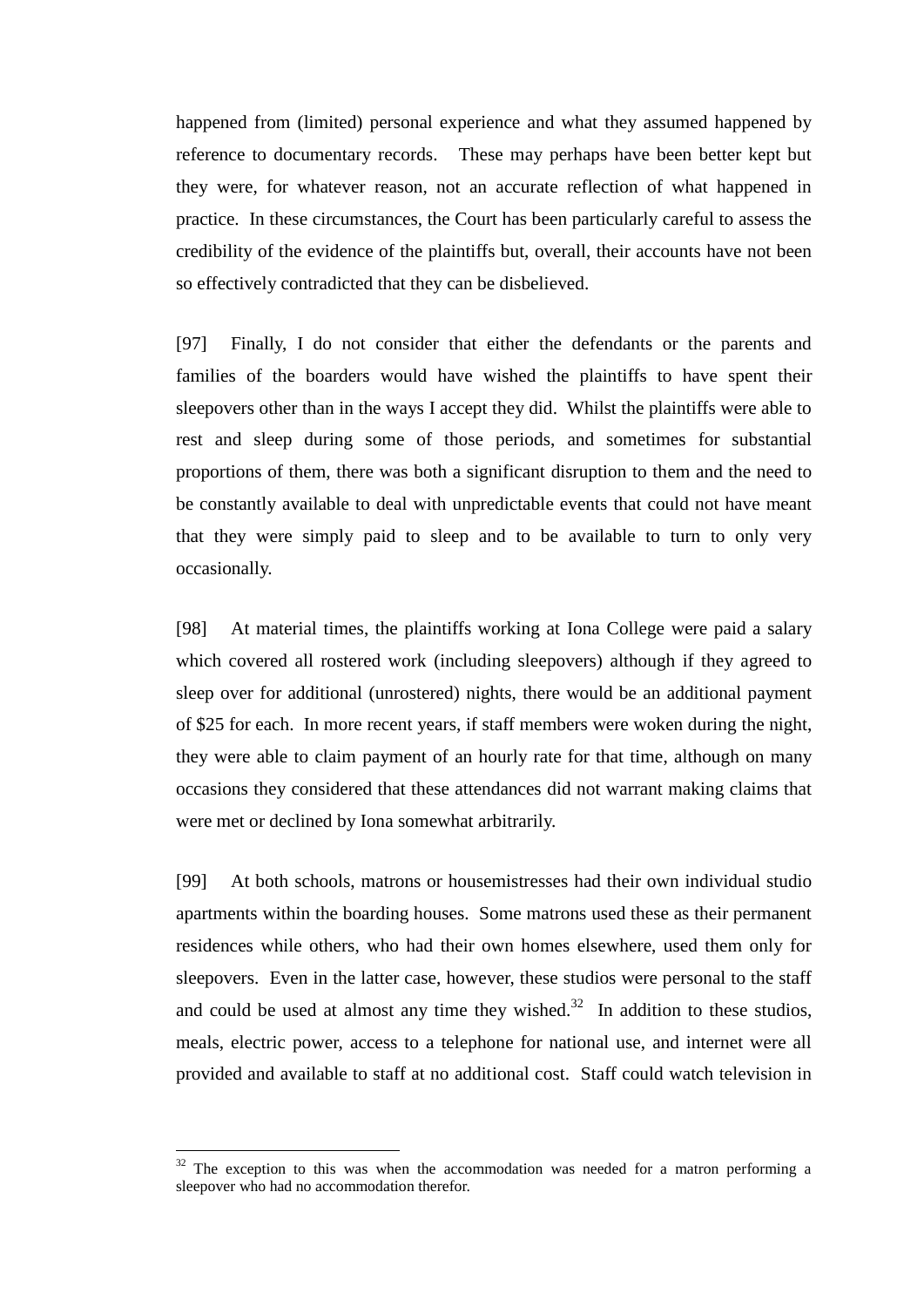happened from (limited) personal experience and what they assumed happened by reference to documentary records. These may perhaps have been better kept but they were, for whatever reason, not an accurate reflection of what happened in practice. In these circumstances, the Court has been particularly careful to assess the credibility of the evidence of the plaintiffs but, overall, their accounts have not been so effectively contradicted that they can be disbelieved.

[97] Finally, I do not consider that either the defendants or the parents and families of the boarders would have wished the plaintiffs to have spent their sleepovers other than in the ways I accept they did. Whilst the plaintiffs were able to rest and sleep during some of those periods, and sometimes for substantial proportions of them, there was both a significant disruption to them and the need to be constantly available to deal with unpredictable events that could not have meant that they were simply paid to sleep and to be available to turn to only very occasionally.

[98] At material times, the plaintiffs working at Iona College were paid a salary which covered all rostered work (including sleepovers) although if they agreed to sleep over for additional (unrostered) nights, there would be an additional payment of \$25 for each. In more recent years, if staff members were woken during the night, they were able to claim payment of an hourly rate for that time, although on many occasions they considered that these attendances did not warrant making claims that were met or declined by Iona somewhat arbitrarily.

[99] At both schools, matrons or housemistresses had their own individual studio apartments within the boarding houses. Some matrons used these as their permanent residences while others, who had their own homes elsewhere, used them only for sleepovers. Even in the latter case, however, these studios were personal to the staff and could be used at almost any time they wished.<sup>32</sup> In addition to these studios, meals, electric power, access to a telephone for national use, and internet were all provided and available to staff at no additional cost. Staff could watch television in

 $32$  The exception to this was when the accommodation was needed for a matron performing a sleepover who had no accommodation therefor.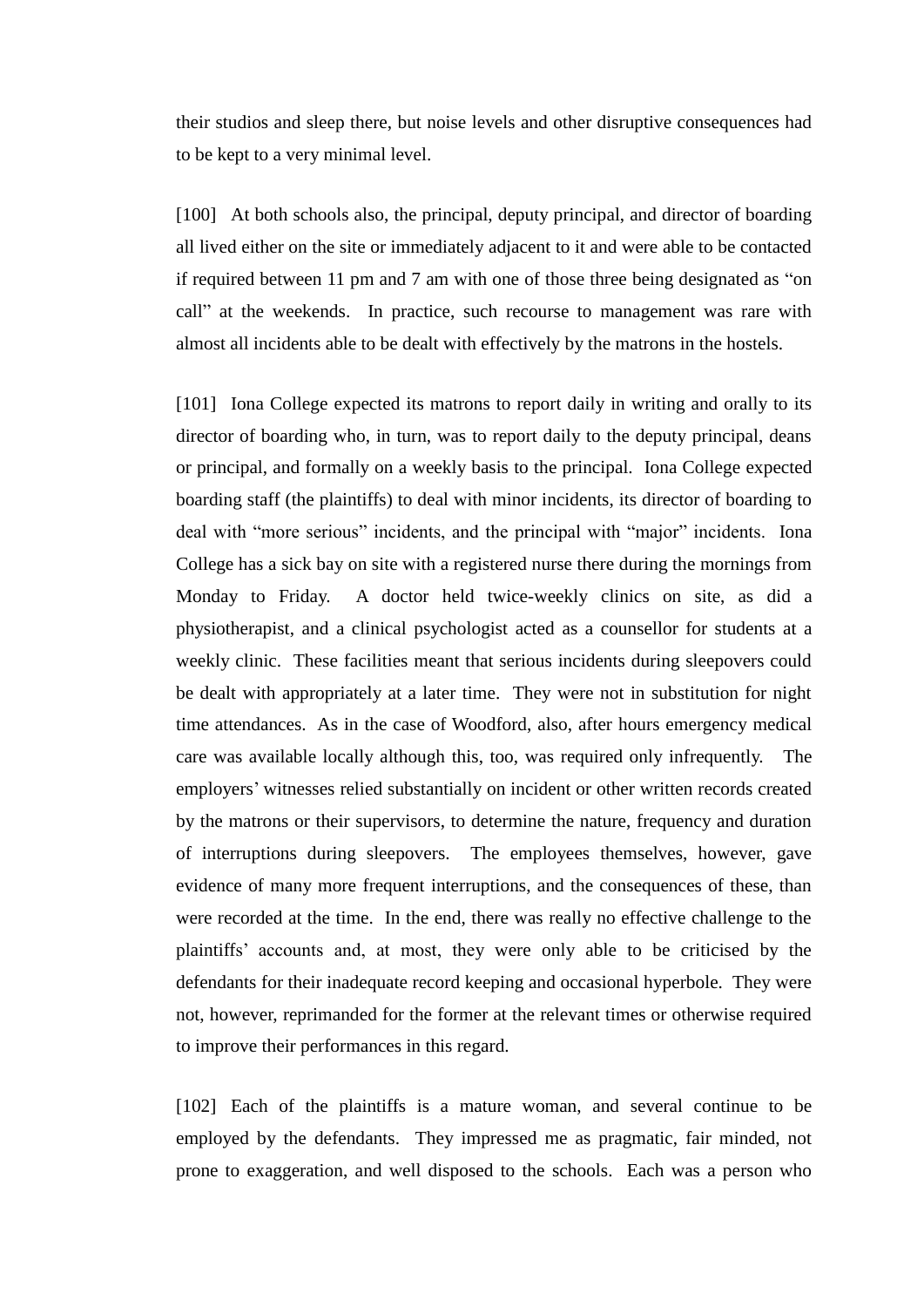their studios and sleep there, but noise levels and other disruptive consequences had to be kept to a very minimal level.

[100] At both schools also, the principal, deputy principal, and director of boarding all lived either on the site or immediately adjacent to it and were able to be contacted if required between 11 pm and 7 am with one of those three being designated as "on call" at the weekends. In practice, such recourse to management was rare with almost all incidents able to be dealt with effectively by the matrons in the hostels.

[101] Iona College expected its matrons to report daily in writing and orally to its director of boarding who, in turn, was to report daily to the deputy principal, deans or principal, and formally on a weekly basis to the principal. Iona College expected boarding staff (the plaintiffs) to deal with minor incidents, its director of boarding to deal with "more serious" incidents, and the principal with "major" incidents. Iona College has a sick bay on site with a registered nurse there during the mornings from Monday to Friday. A doctor held twice-weekly clinics on site, as did a physiotherapist, and a clinical psychologist acted as a counsellor for students at a weekly clinic. These facilities meant that serious incidents during sleepovers could be dealt with appropriately at a later time. They were not in substitution for night time attendances. As in the case of Woodford, also, after hours emergency medical care was available locally although this, too, was required only infrequently. The employers' witnesses relied substantially on incident or other written records created by the matrons or their supervisors, to determine the nature, frequency and duration of interruptions during sleepovers. The employees themselves, however, gave evidence of many more frequent interruptions, and the consequences of these, than were recorded at the time. In the end, there was really no effective challenge to the plaintiffs' accounts and, at most, they were only able to be criticised by the defendants for their inadequate record keeping and occasional hyperbole. They were not, however, reprimanded for the former at the relevant times or otherwise required to improve their performances in this regard.

[102] Each of the plaintiffs is a mature woman, and several continue to be employed by the defendants. They impressed me as pragmatic, fair minded, not prone to exaggeration, and well disposed to the schools. Each was a person who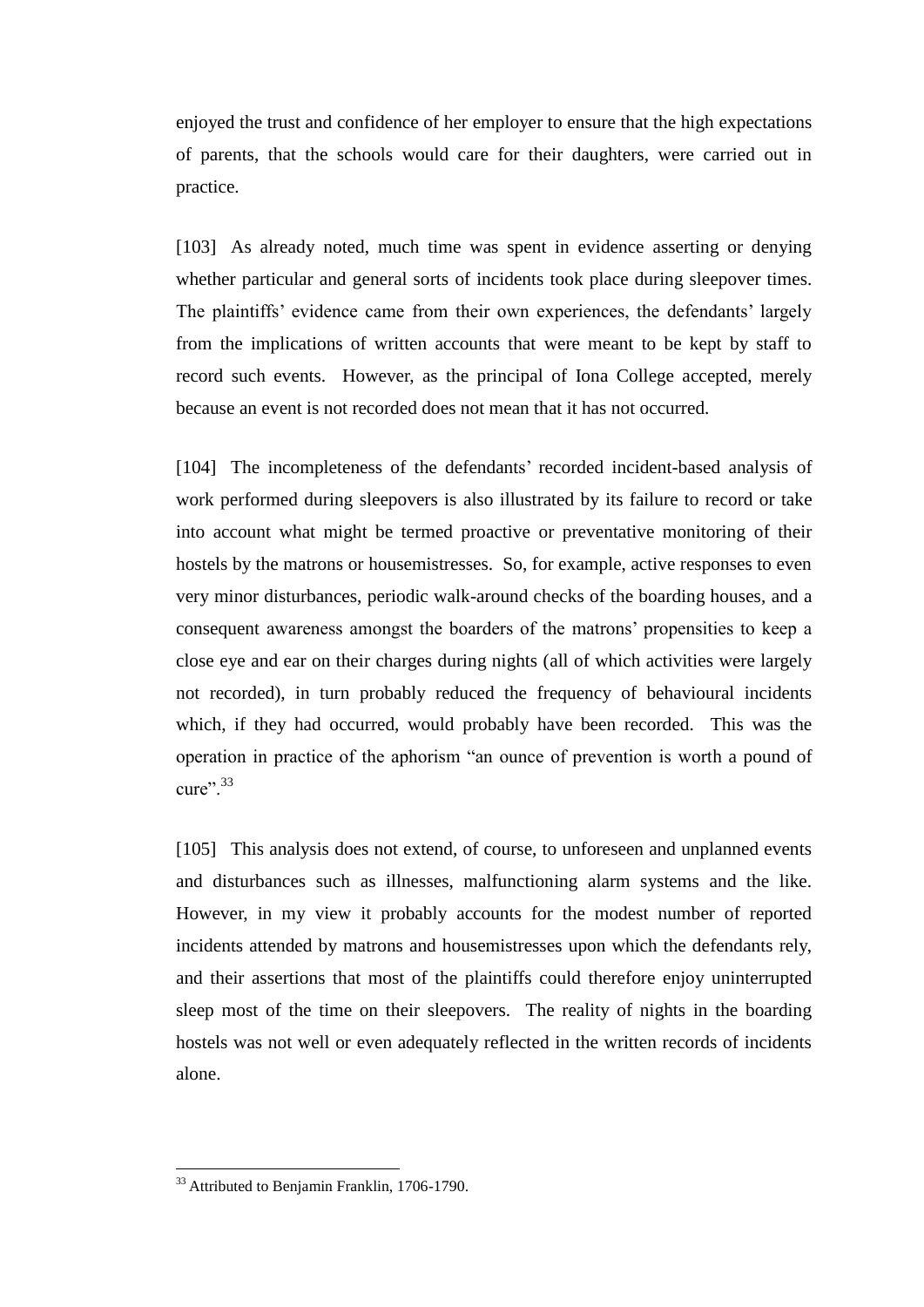enjoyed the trust and confidence of her employer to ensure that the high expectations of parents, that the schools would care for their daughters, were carried out in practice.

[103] As already noted, much time was spent in evidence asserting or denying whether particular and general sorts of incidents took place during sleepover times. The plaintiffs' evidence came from their own experiences, the defendants' largely from the implications of written accounts that were meant to be kept by staff to record such events. However, as the principal of Iona College accepted, merely because an event is not recorded does not mean that it has not occurred.

[104] The incompleteness of the defendants' recorded incident-based analysis of work performed during sleepovers is also illustrated by its failure to record or take into account what might be termed proactive or preventative monitoring of their hostels by the matrons or housemistresses. So, for example, active responses to even very minor disturbances, periodic walk-around checks of the boarding houses, and a consequent awareness amongst the boarders of the matrons' propensities to keep a close eye and ear on their charges during nights (all of which activities were largely not recorded), in turn probably reduced the frequency of behavioural incidents which, if they had occurred, would probably have been recorded. This was the operation in practice of the aphorism "an ounce of prevention is worth a pound of cure".  $33$ 

[105] This analysis does not extend, of course, to unforeseen and unplanned events and disturbances such as illnesses, malfunctioning alarm systems and the like. However, in my view it probably accounts for the modest number of reported incidents attended by matrons and housemistresses upon which the defendants rely, and their assertions that most of the plaintiffs could therefore enjoy uninterrupted sleep most of the time on their sleepovers. The reality of nights in the boarding hostels was not well or even adequately reflected in the written records of incidents alone.

<sup>&</sup>lt;sup>33</sup> Attributed to Benjamin Franklin, 1706-1790.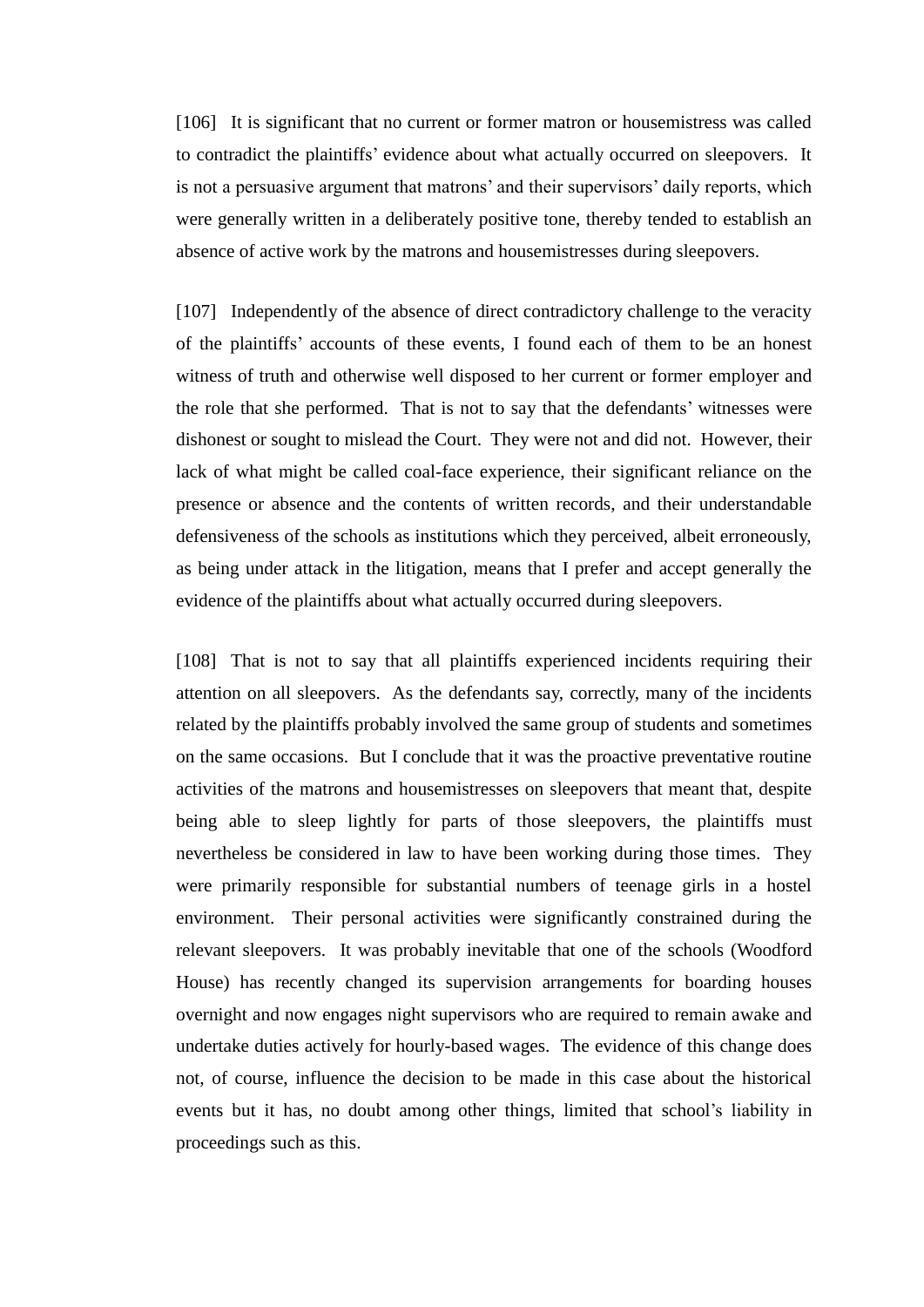[106] It is significant that no current or former matron or housemistress was called to contradict the plaintiffs' evidence about what actually occurred on sleepovers. It is not a persuasive argument that matrons' and their supervisors' daily reports, which were generally written in a deliberately positive tone, thereby tended to establish an absence of active work by the matrons and housemistresses during sleepovers.

[107] Independently of the absence of direct contradictory challenge to the veracity of the plaintiffs' accounts of these events, I found each of them to be an honest witness of truth and otherwise well disposed to her current or former employer and the role that she performed. That is not to say that the defendants' witnesses were dishonest or sought to mislead the Court. They were not and did not. However, their lack of what might be called coal-face experience, their significant reliance on the presence or absence and the contents of written records, and their understandable defensiveness of the schools as institutions which they perceived, albeit erroneously, as being under attack in the litigation, means that I prefer and accept generally the evidence of the plaintiffs about what actually occurred during sleepovers.

[108] That is not to say that all plaintiffs experienced incidents requiring their attention on all sleepovers. As the defendants say, correctly, many of the incidents related by the plaintiffs probably involved the same group of students and sometimes on the same occasions. But I conclude that it was the proactive preventative routine activities of the matrons and housemistresses on sleepovers that meant that, despite being able to sleep lightly for parts of those sleepovers, the plaintiffs must nevertheless be considered in law to have been working during those times. They were primarily responsible for substantial numbers of teenage girls in a hostel environment. Their personal activities were significantly constrained during the relevant sleepovers. It was probably inevitable that one of the schools (Woodford House) has recently changed its supervision arrangements for boarding houses overnight and now engages night supervisors who are required to remain awake and undertake duties actively for hourly-based wages. The evidence of this change does not, of course, influence the decision to be made in this case about the historical events but it has, no doubt among other things, limited that school's liability in proceedings such as this.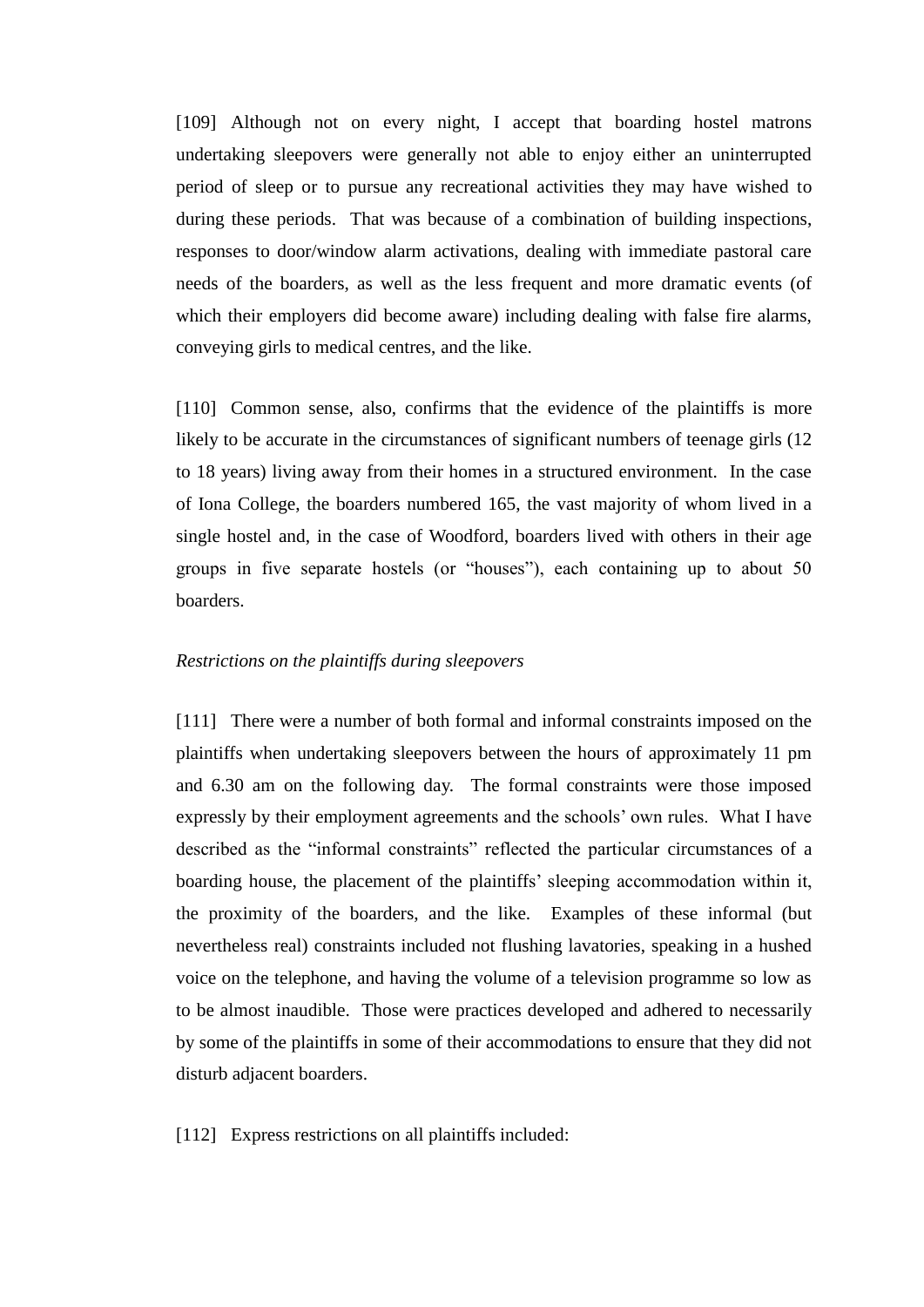[109] Although not on every night, I accept that boarding hostel matrons undertaking sleepovers were generally not able to enjoy either an uninterrupted period of sleep or to pursue any recreational activities they may have wished to during these periods. That was because of a combination of building inspections, responses to door/window alarm activations, dealing with immediate pastoral care needs of the boarders, as well as the less frequent and more dramatic events (of which their employers did become aware) including dealing with false fire alarms, conveying girls to medical centres, and the like.

[110] Common sense, also, confirms that the evidence of the plaintiffs is more likely to be accurate in the circumstances of significant numbers of teenage girls (12 to 18 years) living away from their homes in a structured environment. In the case of Iona College, the boarders numbered 165, the vast majority of whom lived in a single hostel and, in the case of Woodford, boarders lived with others in their age groups in five separate hostels (or "houses"), each containing up to about 50 boarders.

### *Restrictions on the plaintiffs during sleepovers*

[111] There were a number of both formal and informal constraints imposed on the plaintiffs when undertaking sleepovers between the hours of approximately 11 pm and 6.30 am on the following day. The formal constraints were those imposed expressly by their employment agreements and the schools' own rules. What I have described as the "informal constraints" reflected the particular circumstances of a boarding house, the placement of the plaintiffs' sleeping accommodation within it, the proximity of the boarders, and the like. Examples of these informal (but nevertheless real) constraints included not flushing lavatories, speaking in a hushed voice on the telephone, and having the volume of a television programme so low as to be almost inaudible. Those were practices developed and adhered to necessarily by some of the plaintiffs in some of their accommodations to ensure that they did not disturb adjacent boarders.

[112] Express restrictions on all plaintiffs included: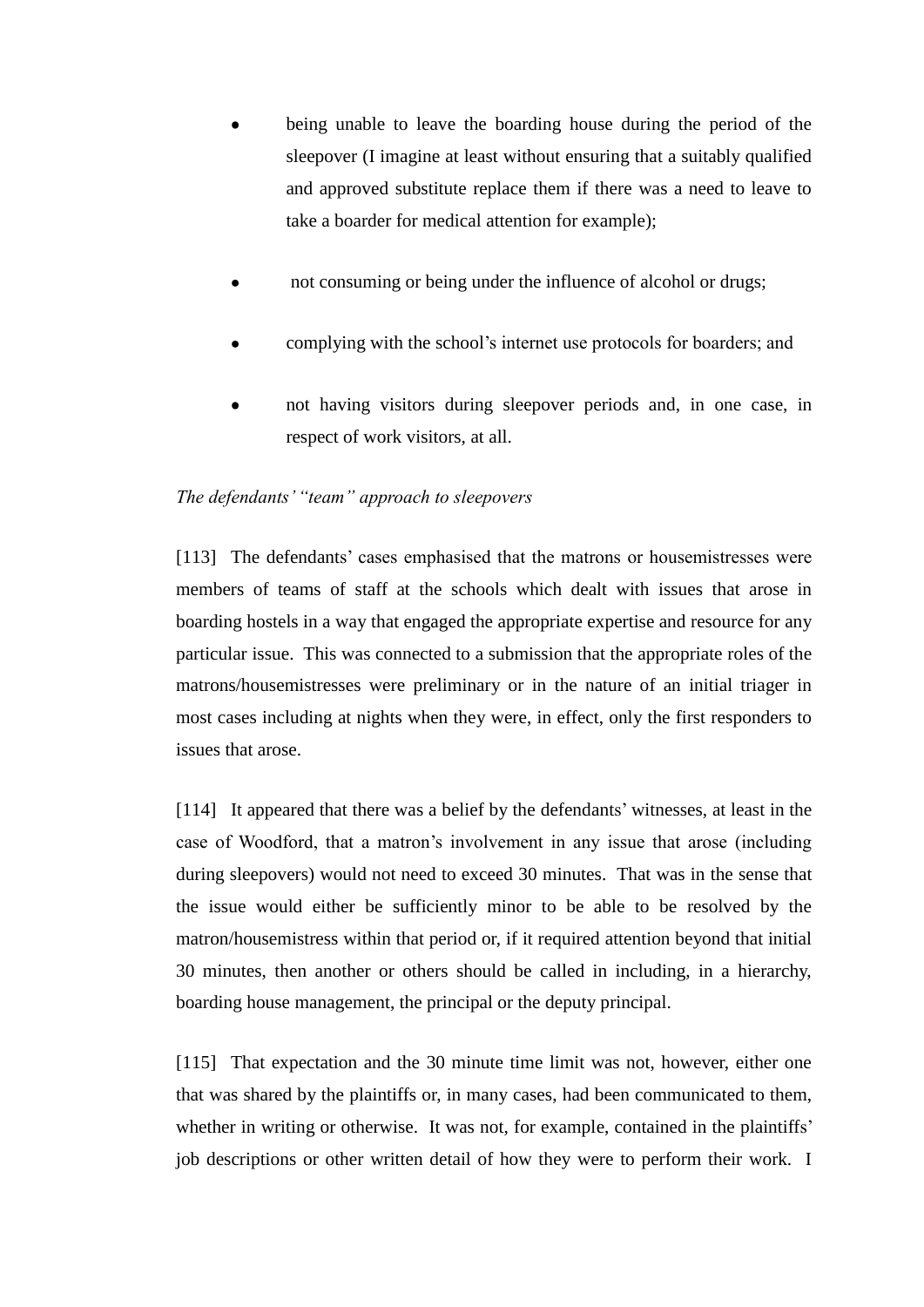- being unable to leave the boarding house during the period of the sleepover (I imagine at least without ensuring that a suitably qualified and approved substitute replace them if there was a need to leave to take a boarder for medical attention for example);
- not consuming or being under the influence of alcohol or drugs;
- complying with the school's internet use protocols for boarders; and
- not having visitors during sleepover periods and, in one case, in respect of work visitors, at all.

## *The defendants' "team" approach to sleepovers*

[113] The defendants' cases emphasised that the matrons or housemistresses were members of teams of staff at the schools which dealt with issues that arose in boarding hostels in a way that engaged the appropriate expertise and resource for any particular issue. This was connected to a submission that the appropriate roles of the matrons/housemistresses were preliminary or in the nature of an initial triager in most cases including at nights when they were, in effect, only the first responders to issues that arose.

[114] It appeared that there was a belief by the defendants' witnesses, at least in the case of Woodford, that a matron's involvement in any issue that arose (including during sleepovers) would not need to exceed 30 minutes. That was in the sense that the issue would either be sufficiently minor to be able to be resolved by the matron/housemistress within that period or, if it required attention beyond that initial 30 minutes, then another or others should be called in including, in a hierarchy, boarding house management, the principal or the deputy principal.

[115] That expectation and the 30 minute time limit was not, however, either one that was shared by the plaintiffs or, in many cases, had been communicated to them, whether in writing or otherwise. It was not, for example, contained in the plaintiffs' job descriptions or other written detail of how they were to perform their work. I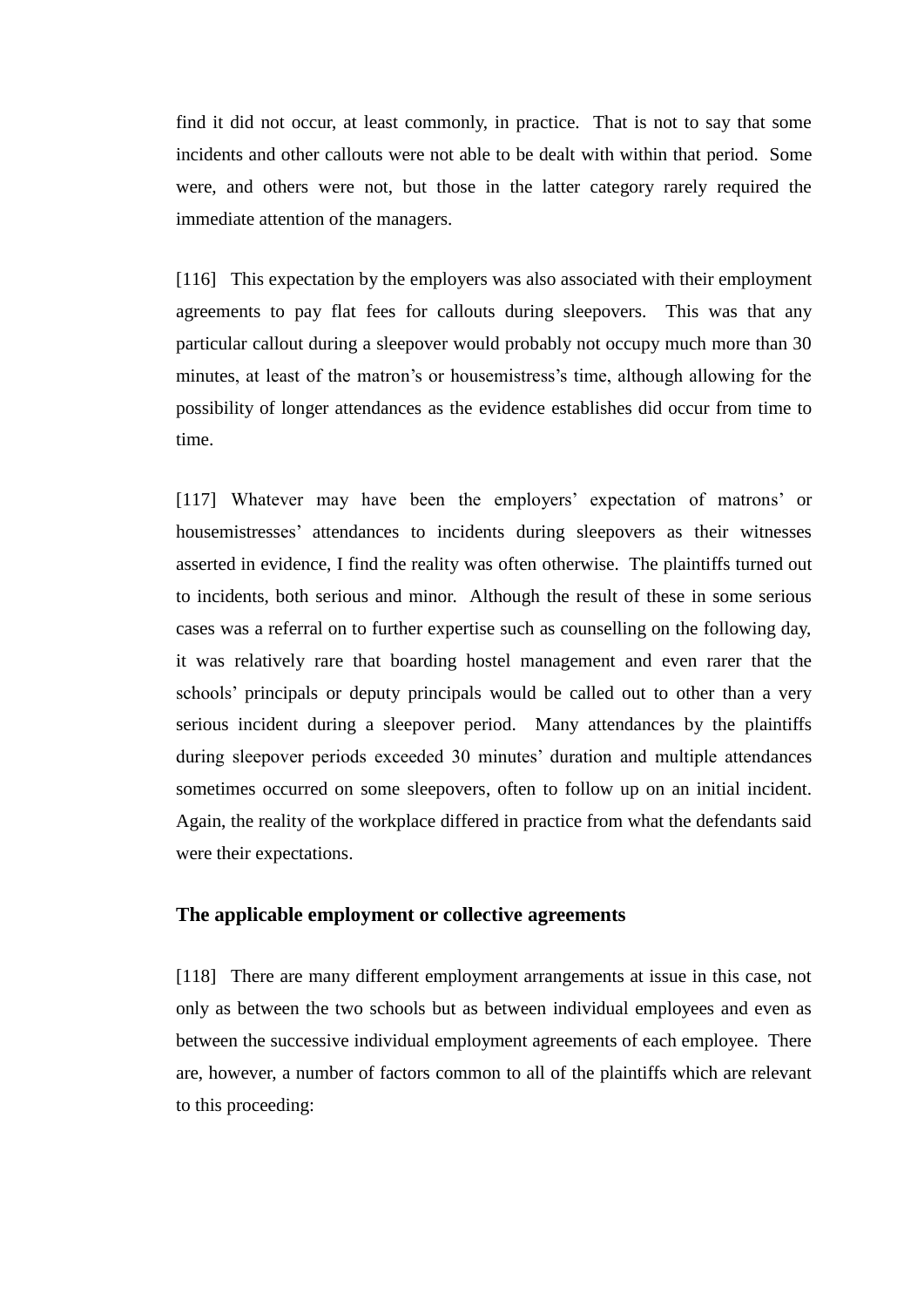find it did not occur, at least commonly, in practice. That is not to say that some incidents and other callouts were not able to be dealt with within that period. Some were, and others were not, but those in the latter category rarely required the immediate attention of the managers.

[116] This expectation by the employers was also associated with their employment agreements to pay flat fees for callouts during sleepovers. This was that any particular callout during a sleepover would probably not occupy much more than 30 minutes, at least of the matron's or housemistress's time, although allowing for the possibility of longer attendances as the evidence establishes did occur from time to time.

[117] Whatever may have been the employers' expectation of matrons' or housemistresses' attendances to incidents during sleepovers as their witnesses asserted in evidence, I find the reality was often otherwise. The plaintiffs turned out to incidents, both serious and minor. Although the result of these in some serious cases was a referral on to further expertise such as counselling on the following day, it was relatively rare that boarding hostel management and even rarer that the schools' principals or deputy principals would be called out to other than a very serious incident during a sleepover period. Many attendances by the plaintiffs during sleepover periods exceeded 30 minutes' duration and multiple attendances sometimes occurred on some sleepovers, often to follow up on an initial incident. Again, the reality of the workplace differed in practice from what the defendants said were their expectations.

### **The applicable employment or collective agreements**

[118] There are many different employment arrangements at issue in this case, not only as between the two schools but as between individual employees and even as between the successive individual employment agreements of each employee. There are, however, a number of factors common to all of the plaintiffs which are relevant to this proceeding: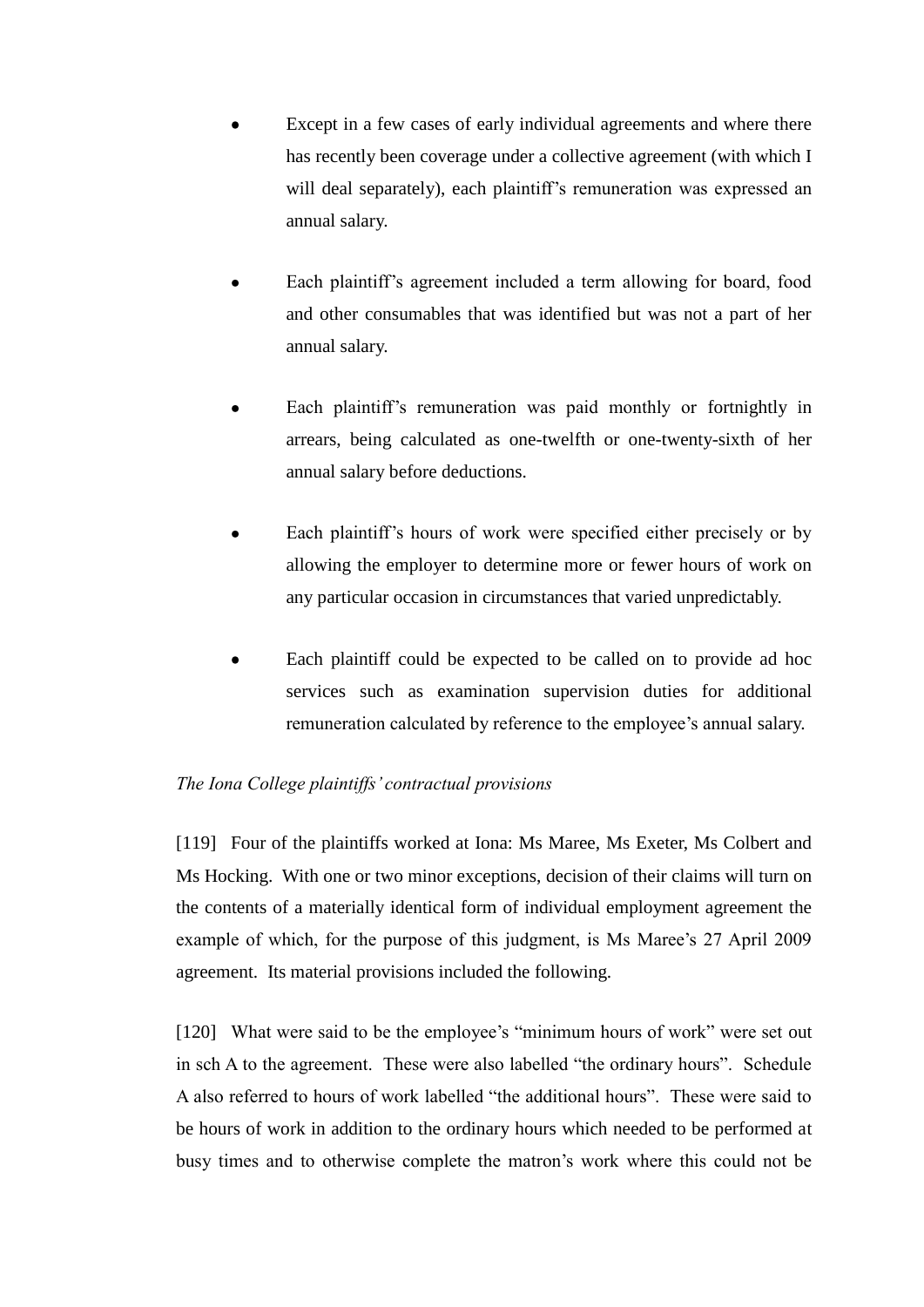- Except in a few cases of early individual agreements and where there has recently been coverage under a collective agreement (with which I will deal separately), each plaintiff's remuneration was expressed an annual salary.
- Each plaintiff's agreement included a term allowing for board, food and other consumables that was identified but was not a part of her annual salary.
- Each plaintiff's remuneration was paid monthly or fortnightly in arrears, being calculated as one-twelfth or one-twenty-sixth of her annual salary before deductions.
- Each plaintiff's hours of work were specified either precisely or by allowing the employer to determine more or fewer hours of work on any particular occasion in circumstances that varied unpredictably.
- Each plaintiff could be expected to be called on to provide ad hoc services such as examination supervision duties for additional remuneration calculated by reference to the employee's annual salary.

# *The Iona College plaintiffs' contractual provisions*

[119] Four of the plaintiffs worked at Iona: Ms Maree, Ms Exeter, Ms Colbert and Ms Hocking. With one or two minor exceptions, decision of their claims will turn on the contents of a materially identical form of individual employment agreement the example of which, for the purpose of this judgment, is Ms Maree's 27 April 2009 agreement. Its material provisions included the following.

[120] What were said to be the employee's "minimum hours of work" were set out in sch A to the agreement. These were also labelled "the ordinary hours". Schedule A also referred to hours of work labelled "the additional hours". These were said to be hours of work in addition to the ordinary hours which needed to be performed at busy times and to otherwise complete the matron's work where this could not be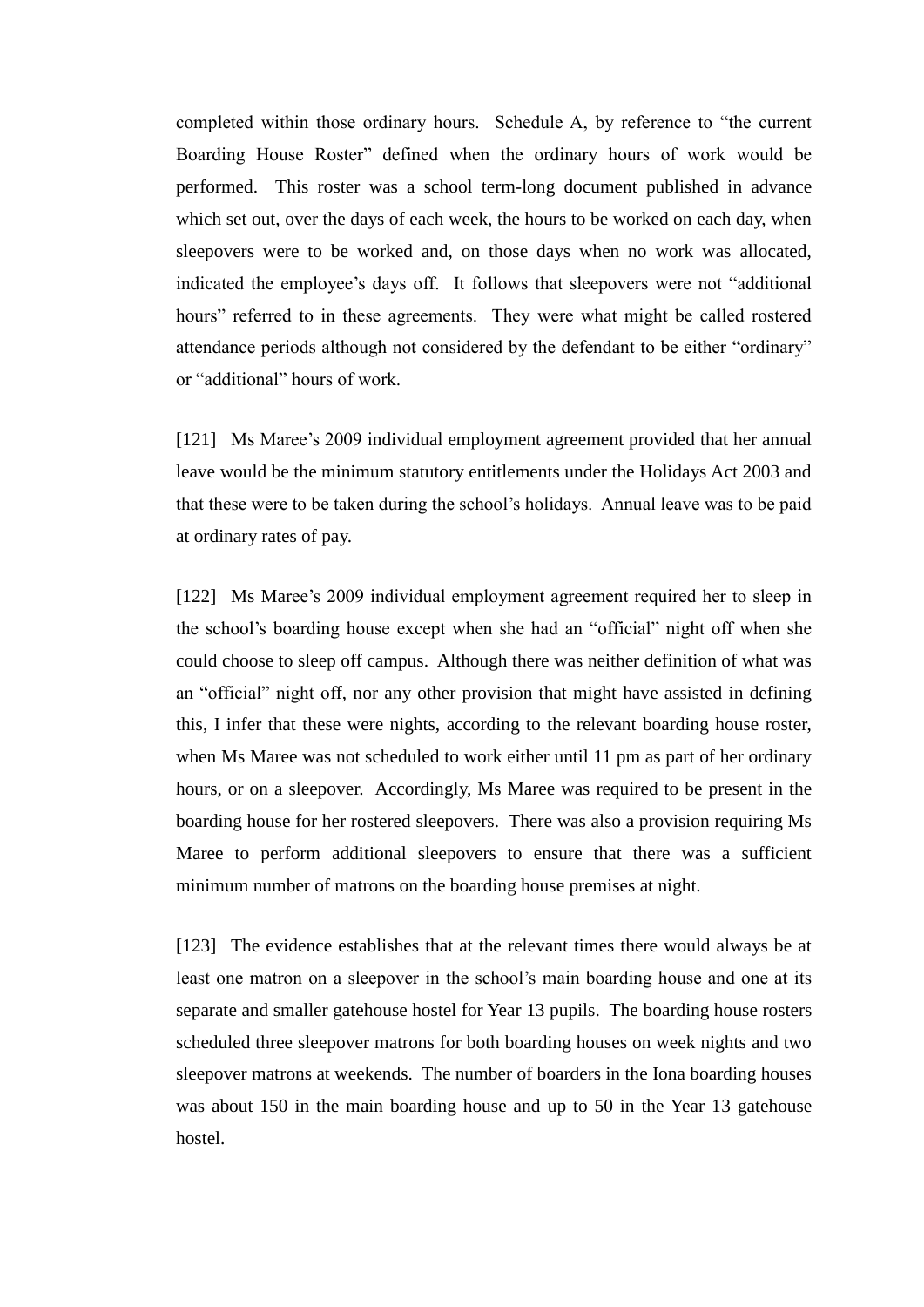completed within those ordinary hours. Schedule A, by reference to "the current Boarding House Roster" defined when the ordinary hours of work would be performed. This roster was a school term-long document published in advance which set out, over the days of each week, the hours to be worked on each day, when sleepovers were to be worked and, on those days when no work was allocated, indicated the employee's days off. It follows that sleepovers were not "additional hours" referred to in these agreements. They were what might be called rostered attendance periods although not considered by the defendant to be either "ordinary" or "additional" hours of work.

[121] Ms Maree's 2009 individual employment agreement provided that her annual leave would be the minimum statutory entitlements under the Holidays Act 2003 and that these were to be taken during the school's holidays. Annual leave was to be paid at ordinary rates of pay.

[122] Ms Maree's 2009 individual employment agreement required her to sleep in the school's boarding house except when she had an "official" night off when she could choose to sleep off campus. Although there was neither definition of what was an "official" night off, nor any other provision that might have assisted in defining this, I infer that these were nights, according to the relevant boarding house roster, when Ms Maree was not scheduled to work either until 11 pm as part of her ordinary hours, or on a sleepover. Accordingly, Ms Maree was required to be present in the boarding house for her rostered sleepovers. There was also a provision requiring Ms Maree to perform additional sleepovers to ensure that there was a sufficient minimum number of matrons on the boarding house premises at night.

[123] The evidence establishes that at the relevant times there would always be at least one matron on a sleepover in the school's main boarding house and one at its separate and smaller gatehouse hostel for Year 13 pupils. The boarding house rosters scheduled three sleepover matrons for both boarding houses on week nights and two sleepover matrons at weekends. The number of boarders in the Iona boarding houses was about 150 in the main boarding house and up to 50 in the Year 13 gatehouse hostel.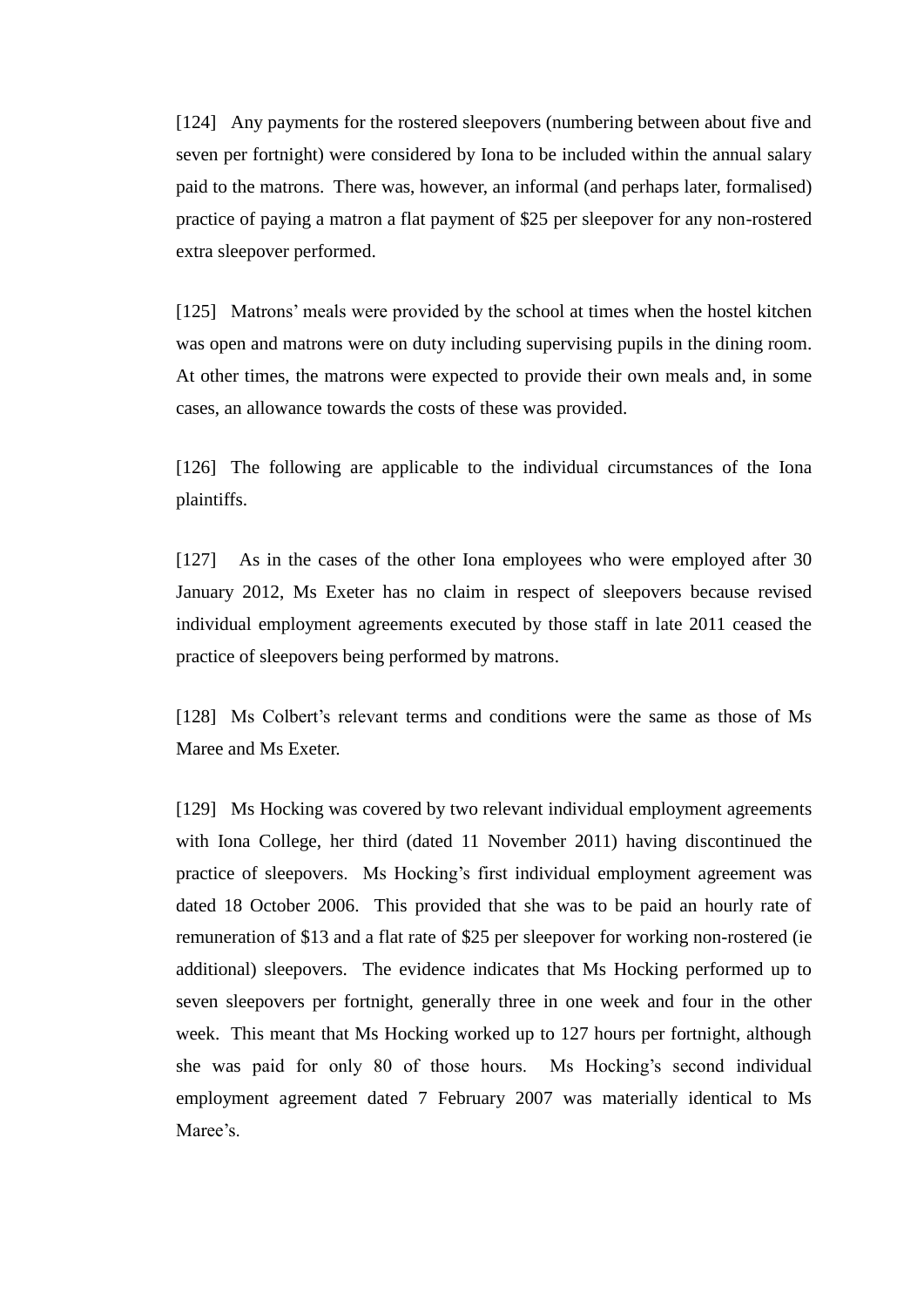[124] Any payments for the rostered sleepovers (numbering between about five and seven per fortnight) were considered by Iona to be included within the annual salary paid to the matrons. There was, however, an informal (and perhaps later, formalised) practice of paying a matron a flat payment of \$25 per sleepover for any non-rostered extra sleepover performed.

[125] Matrons' meals were provided by the school at times when the hostel kitchen was open and matrons were on duty including supervising pupils in the dining room. At other times, the matrons were expected to provide their own meals and, in some cases, an allowance towards the costs of these was provided.

[126] The following are applicable to the individual circumstances of the Iona plaintiffs.

[127] As in the cases of the other Iona employees who were employed after 30 January 2012, Ms Exeter has no claim in respect of sleepovers because revised individual employment agreements executed by those staff in late 2011 ceased the practice of sleepovers being performed by matrons.

[128] Ms Colbert's relevant terms and conditions were the same as those of Ms Maree and Ms Exeter.

[129] Ms Hocking was covered by two relevant individual employment agreements with Iona College, her third (dated 11 November 2011) having discontinued the practice of sleepovers. Ms Hocking's first individual employment agreement was dated 18 October 2006. This provided that she was to be paid an hourly rate of remuneration of \$13 and a flat rate of \$25 per sleepover for working non-rostered (ie additional) sleepovers. The evidence indicates that Ms Hocking performed up to seven sleepovers per fortnight, generally three in one week and four in the other week. This meant that Ms Hocking worked up to 127 hours per fortnight, although she was paid for only 80 of those hours. Ms Hocking's second individual employment agreement dated 7 February 2007 was materially identical to Ms Maree's.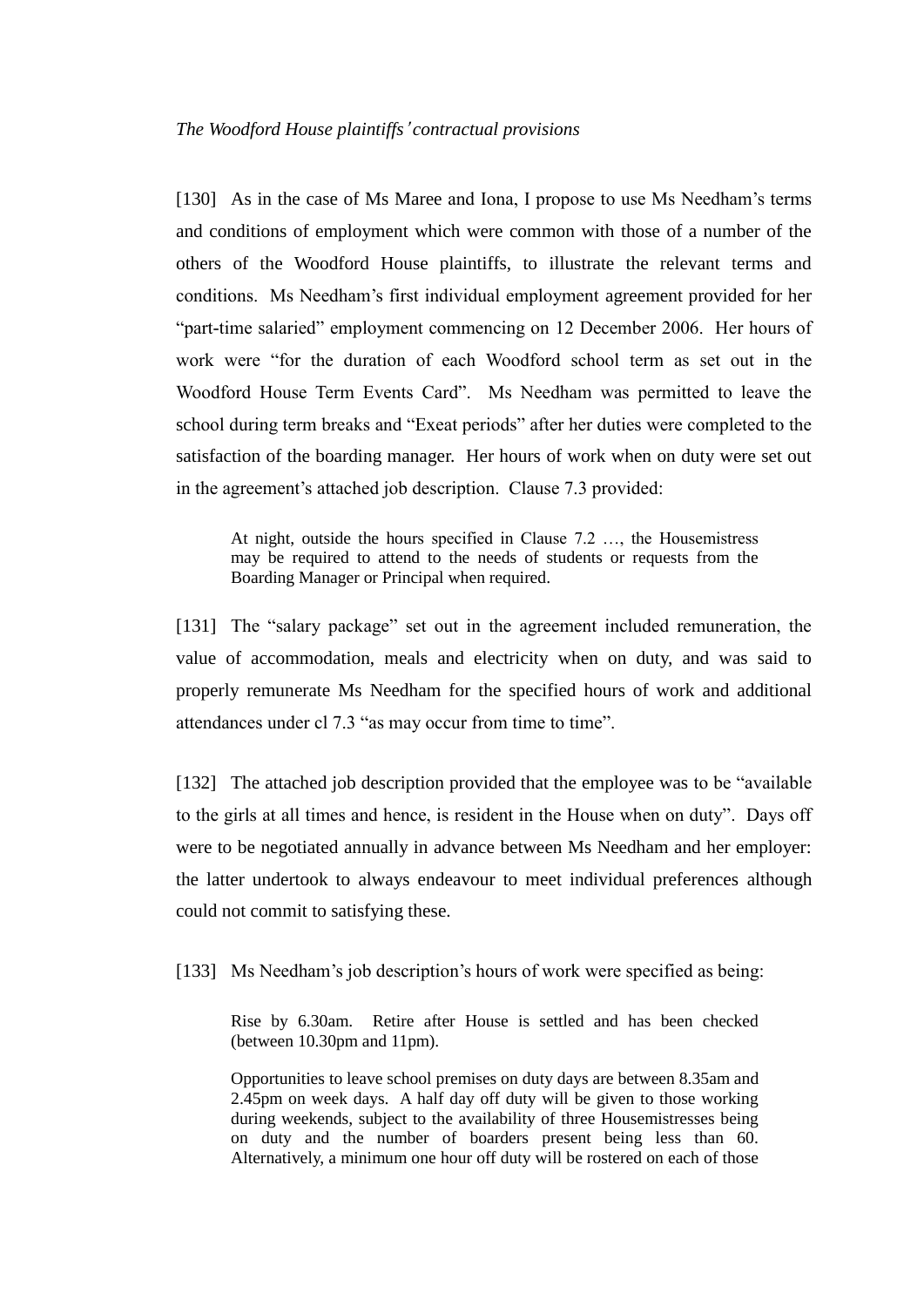[130] As in the case of Ms Maree and Iona, I propose to use Ms Needham's terms and conditions of employment which were common with those of a number of the others of the Woodford House plaintiffs, to illustrate the relevant terms and conditions. Ms Needham's first individual employment agreement provided for her "part-time salaried" employment commencing on 12 December 2006. Her hours of work were "for the duration of each Woodford school term as set out in the Woodford House Term Events Card". Ms Needham was permitted to leave the school during term breaks and "Exeat periods" after her duties were completed to the satisfaction of the boarding manager. Her hours of work when on duty were set out in the agreement's attached job description. Clause 7.3 provided:

At night, outside the hours specified in Clause 7.2 …, the Housemistress may be required to attend to the needs of students or requests from the Boarding Manager or Principal when required.

[131] The "salary package" set out in the agreement included remuneration, the value of accommodation, meals and electricity when on duty, and was said to properly remunerate Ms Needham for the specified hours of work and additional attendances under cl 7.3 "as may occur from time to time".

[132] The attached job description provided that the employee was to be "available" to the girls at all times and hence, is resident in the House when on duty". Days off were to be negotiated annually in advance between Ms Needham and her employer: the latter undertook to always endeavour to meet individual preferences although could not commit to satisfying these.

[133] Ms Needham's job description's hours of work were specified as being:

Rise by 6.30am. Retire after House is settled and has been checked (between 10.30pm and 11pm).

Opportunities to leave school premises on duty days are between 8.35am and 2.45pm on week days. A half day off duty will be given to those working during weekends, subject to the availability of three Housemistresses being on duty and the number of boarders present being less than 60. Alternatively, a minimum one hour off duty will be rostered on each of those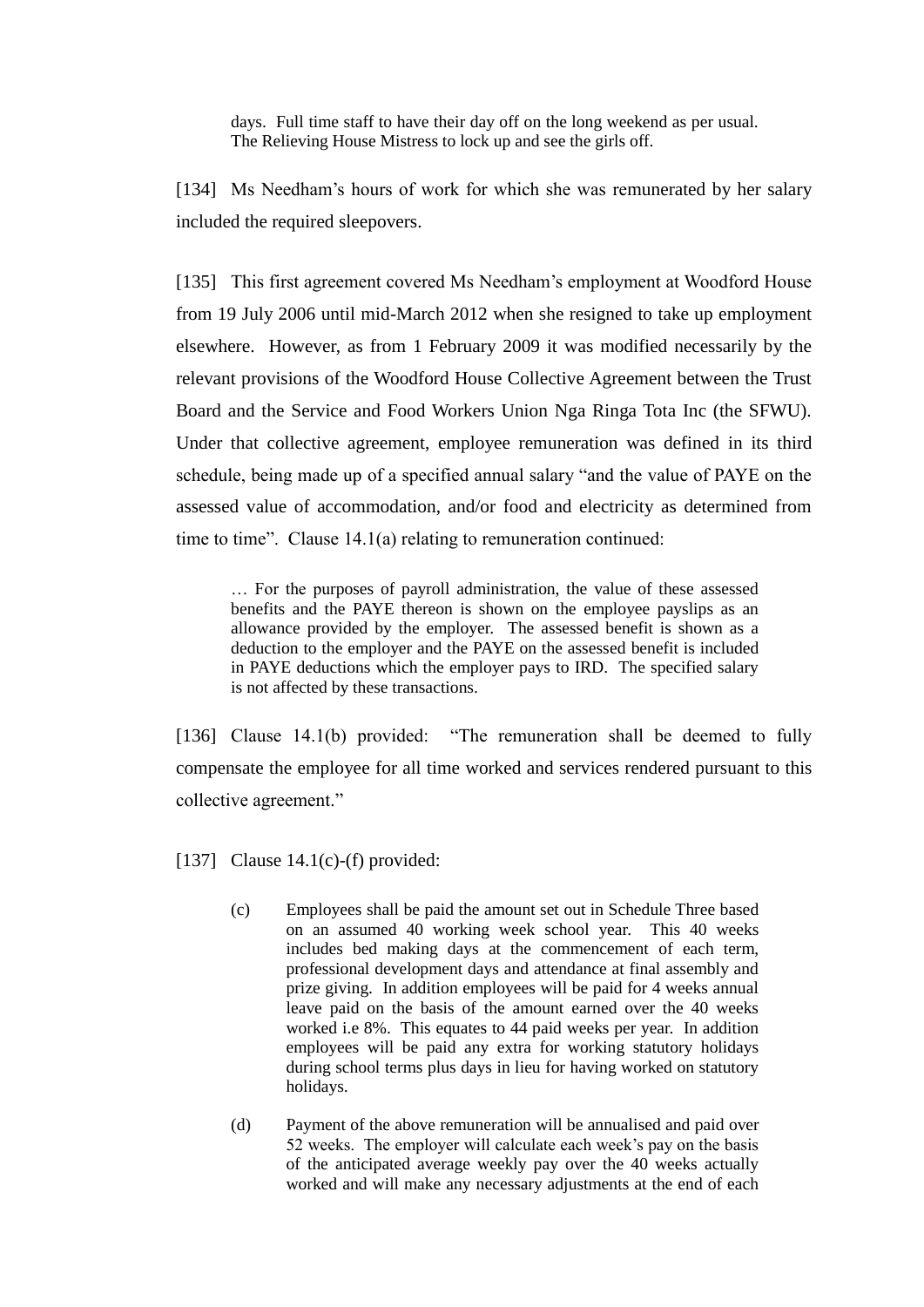days. Full time staff to have their day off on the long weekend as per usual. The Relieving House Mistress to lock up and see the girls off.

[134] Ms Needham's hours of work for which she was remunerated by her salary included the required sleepovers.

[135] This first agreement covered Ms Needham's employment at Woodford House from 19 July 2006 until mid-March 2012 when she resigned to take up employment elsewhere. However, as from 1 February 2009 it was modified necessarily by the relevant provisions of the Woodford House Collective Agreement between the Trust Board and the Service and Food Workers Union Nga Ringa Tota Inc (the SFWU). Under that collective agreement, employee remuneration was defined in its third schedule, being made up of a specified annual salary "and the value of PAYE on the assessed value of accommodation, and/or food and electricity as determined from time to time". Clause 14.1(a) relating to remuneration continued:

… For the purposes of payroll administration, the value of these assessed benefits and the PAYE thereon is shown on the employee payslips as an allowance provided by the employer. The assessed benefit is shown as a deduction to the employer and the PAYE on the assessed benefit is included in PAYE deductions which the employer pays to IRD. The specified salary is not affected by these transactions.

[136] Clause 14.1(b) provided: "The remuneration shall be deemed to fully compensate the employee for all time worked and services rendered pursuant to this collective agreement."

[137] Clause  $14.1(c)$ -(f) provided:

- (c) Employees shall be paid the amount set out in Schedule Three based on an assumed 40 working week school year. This 40 weeks includes bed making days at the commencement of each term, professional development days and attendance at final assembly and prize giving. In addition employees will be paid for 4 weeks annual leave paid on the basis of the amount earned over the 40 weeks worked i.e 8%. This equates to 44 paid weeks per year. In addition employees will be paid any extra for working statutory holidays during school terms plus days in lieu for having worked on statutory holidays.
- (d) Payment of the above remuneration will be annualised and paid over 52 weeks. The employer will calculate each week's pay on the basis of the anticipated average weekly pay over the 40 weeks actually worked and will make any necessary adjustments at the end of each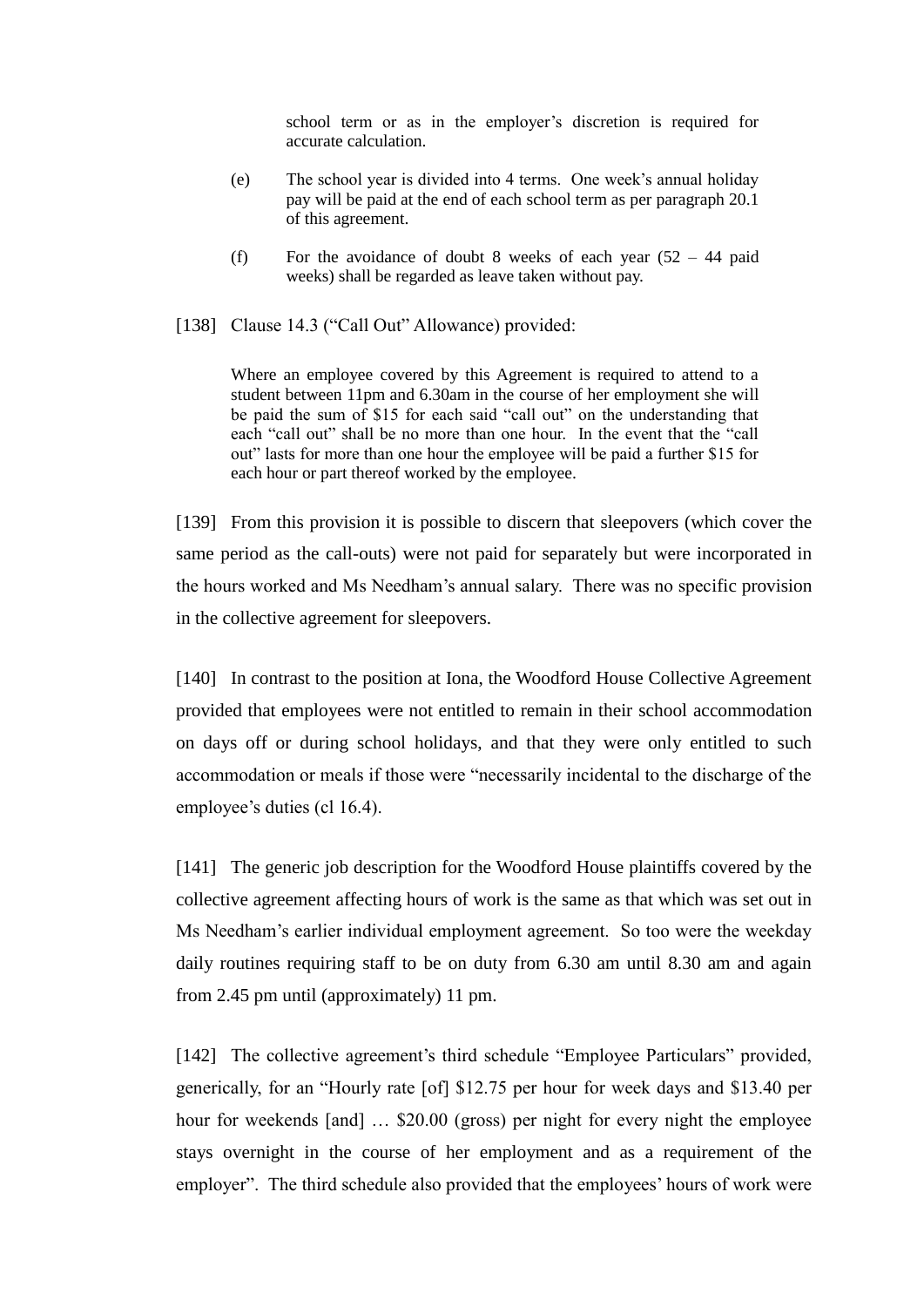school term or as in the employer's discretion is required for accurate calculation.

- (e) The school year is divided into 4 terms. One week's annual holiday pay will be paid at the end of each school term as per paragraph 20.1 of this agreement.
- (f) For the avoidance of doubt 8 weeks of each year  $(52 44$  paid weeks) shall be regarded as leave taken without pay.

[138] Clause 14.3 ("Call Out" Allowance) provided:

Where an employee covered by this Agreement is required to attend to a student between 11pm and 6.30am in the course of her employment she will be paid the sum of \$15 for each said "call out" on the understanding that each "call out" shall be no more than one hour. In the event that the "call out" lasts for more than one hour the employee will be paid a further \$15 for each hour or part thereof worked by the employee.

[139] From this provision it is possible to discern that sleepovers (which cover the same period as the call-outs) were not paid for separately but were incorporated in the hours worked and Ms Needham's annual salary. There was no specific provision in the collective agreement for sleepovers.

[140] In contrast to the position at Iona, the Woodford House Collective Agreement provided that employees were not entitled to remain in their school accommodation on days off or during school holidays, and that they were only entitled to such accommodation or meals if those were "necessarily incidental to the discharge of the employee's duties (cl 16.4).

[141] The generic job description for the Woodford House plaintiffs covered by the collective agreement affecting hours of work is the same as that which was set out in Ms Needham's earlier individual employment agreement. So too were the weekday daily routines requiring staff to be on duty from 6.30 am until 8.30 am and again from 2.45 pm until (approximately) 11 pm.

[142] The collective agreement's third schedule "Employee Particulars" provided, generically, for an "Hourly rate [of] \$12.75 per hour for week days and \$13.40 per hour for weekends [and] ... \$20.00 (gross) per night for every night the employee stays overnight in the course of her employment and as a requirement of the employer". The third schedule also provided that the employees' hours of work were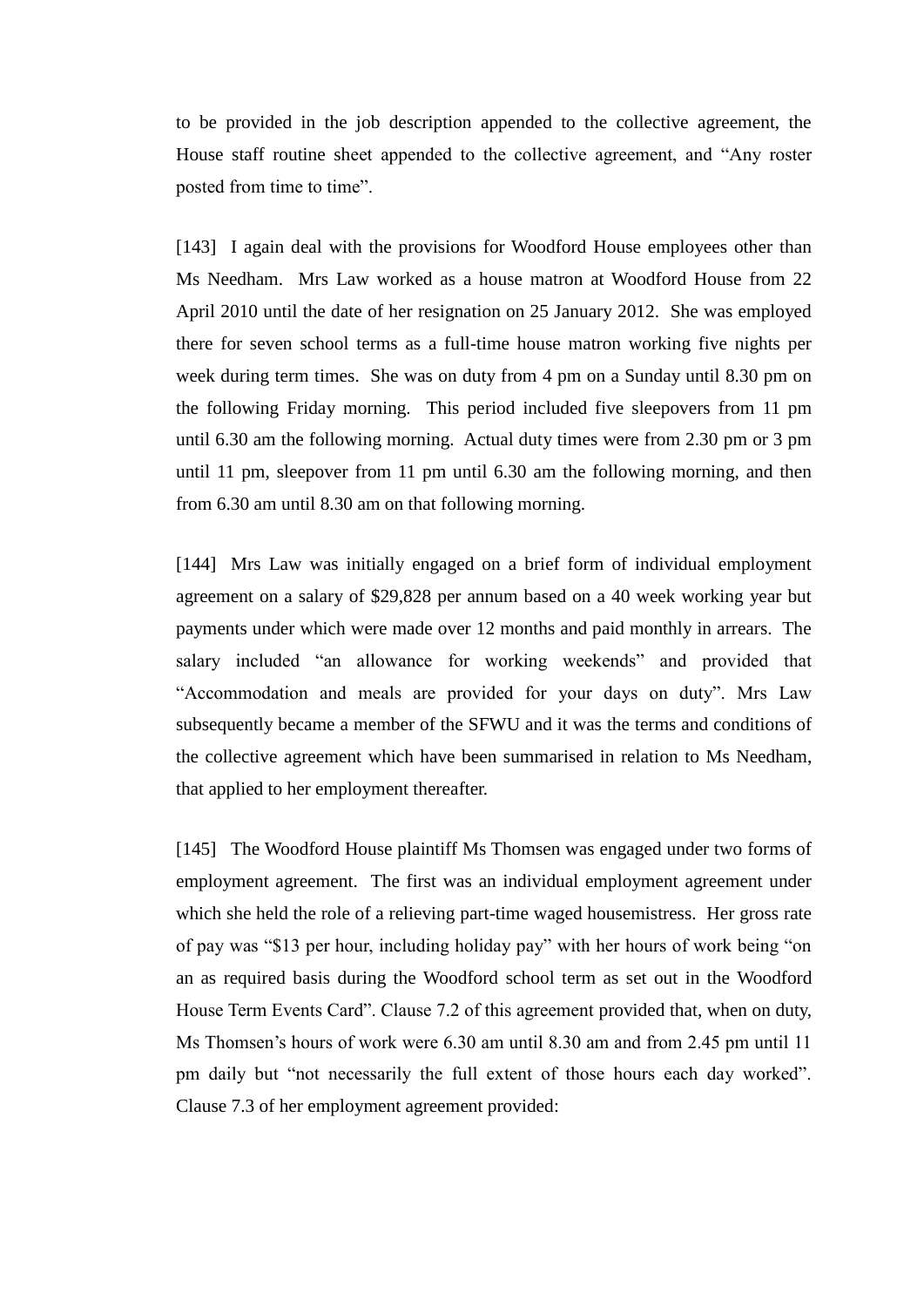to be provided in the job description appended to the collective agreement, the House staff routine sheet appended to the collective agreement, and "Any roster posted from time to time".

[143] I again deal with the provisions for Woodford House employees other than Ms Needham. Mrs Law worked as a house matron at Woodford House from 22 April 2010 until the date of her resignation on 25 January 2012. She was employed there for seven school terms as a full-time house matron working five nights per week during term times. She was on duty from 4 pm on a Sunday until 8.30 pm on the following Friday morning. This period included five sleepovers from 11 pm until 6.30 am the following morning. Actual duty times were from 2.30 pm or 3 pm until 11 pm, sleepover from 11 pm until 6.30 am the following morning, and then from 6.30 am until 8.30 am on that following morning.

[144] Mrs Law was initially engaged on a brief form of individual employment agreement on a salary of \$29,828 per annum based on a 40 week working year but payments under which were made over 12 months and paid monthly in arrears. The salary included "an allowance for working weekends" and provided that "Accommodation and meals are provided for your days on duty". Mrs Law subsequently became a member of the SFWU and it was the terms and conditions of the collective agreement which have been summarised in relation to Ms Needham, that applied to her employment thereafter.

[145] The Woodford House plaintiff Ms Thomsen was engaged under two forms of employment agreement. The first was an individual employment agreement under which she held the role of a relieving part-time waged housemistress. Her gross rate of pay was "\$13 per hour, including holiday pay" with her hours of work being "on an as required basis during the Woodford school term as set out in the Woodford House Term Events Card". Clause 7.2 of this agreement provided that, when on duty, Ms Thomsen's hours of work were 6.30 am until 8.30 am and from 2.45 pm until 11 pm daily but "not necessarily the full extent of those hours each day worked". Clause 7.3 of her employment agreement provided: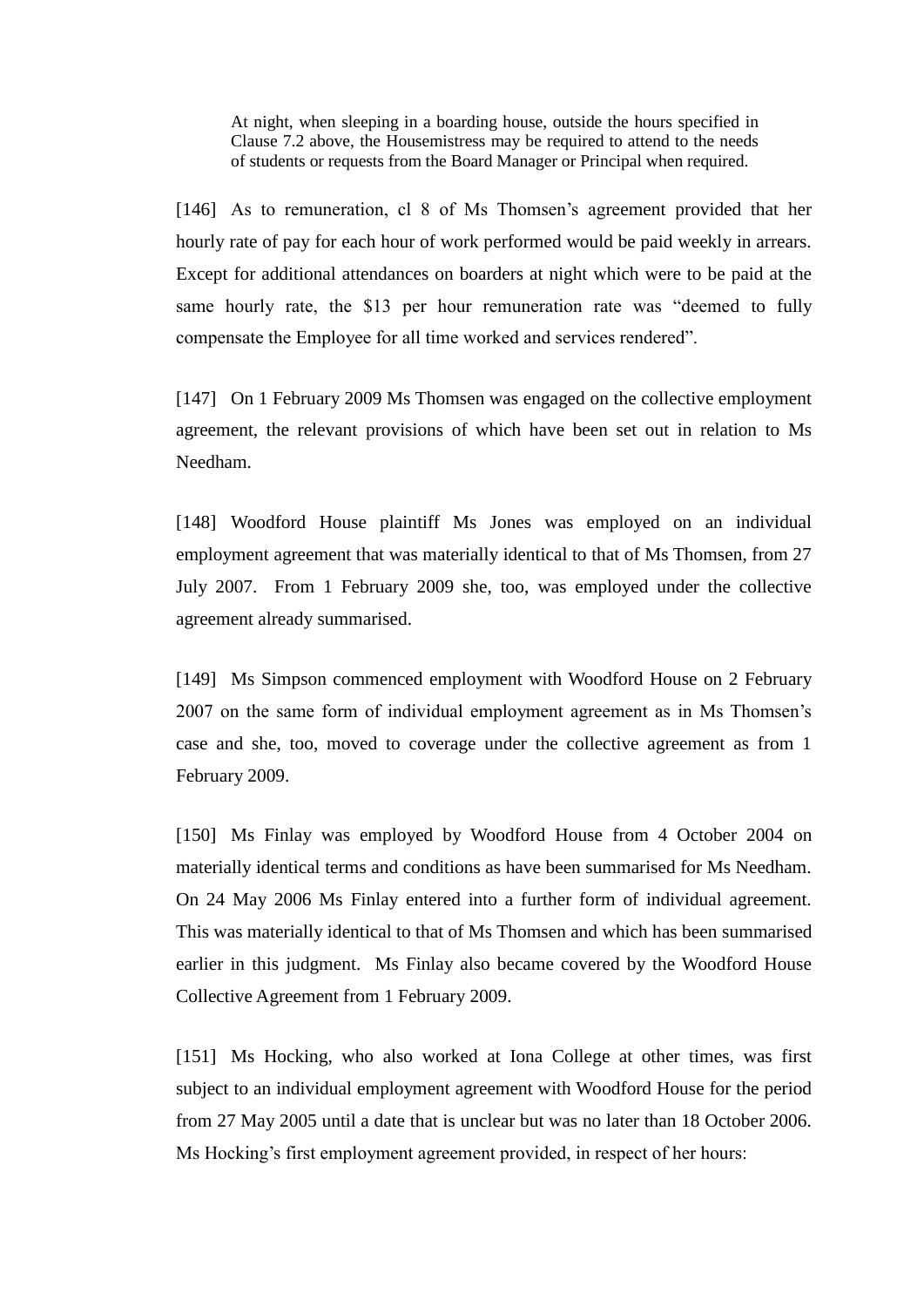At night, when sleeping in a boarding house, outside the hours specified in Clause 7.2 above, the Housemistress may be required to attend to the needs of students or requests from the Board Manager or Principal when required.

[146] As to remuneration, cl 8 of Ms Thomsen's agreement provided that her hourly rate of pay for each hour of work performed would be paid weekly in arrears. Except for additional attendances on boarders at night which were to be paid at the same hourly rate, the \$13 per hour remuneration rate was "deemed to fully compensate the Employee for all time worked and services rendered".

[147] On 1 February 2009 Ms Thomsen was engaged on the collective employment agreement, the relevant provisions of which have been set out in relation to Ms Needham.

[148] Woodford House plaintiff Ms Jones was employed on an individual employment agreement that was materially identical to that of Ms Thomsen, from 27 July 2007. From 1 February 2009 she, too, was employed under the collective agreement already summarised.

[149] Ms Simpson commenced employment with Woodford House on 2 February 2007 on the same form of individual employment agreement as in Ms Thomsen's case and she, too, moved to coverage under the collective agreement as from 1 February 2009.

[150] Ms Finlay was employed by Woodford House from 4 October 2004 on materially identical terms and conditions as have been summarised for Ms Needham. On 24 May 2006 Ms Finlay entered into a further form of individual agreement. This was materially identical to that of Ms Thomsen and which has been summarised earlier in this judgment. Ms Finlay also became covered by the Woodford House Collective Agreement from 1 February 2009.

[151] Ms Hocking, who also worked at Iona College at other times, was first subject to an individual employment agreement with Woodford House for the period from 27 May 2005 until a date that is unclear but was no later than 18 October 2006. Ms Hocking's first employment agreement provided, in respect of her hours: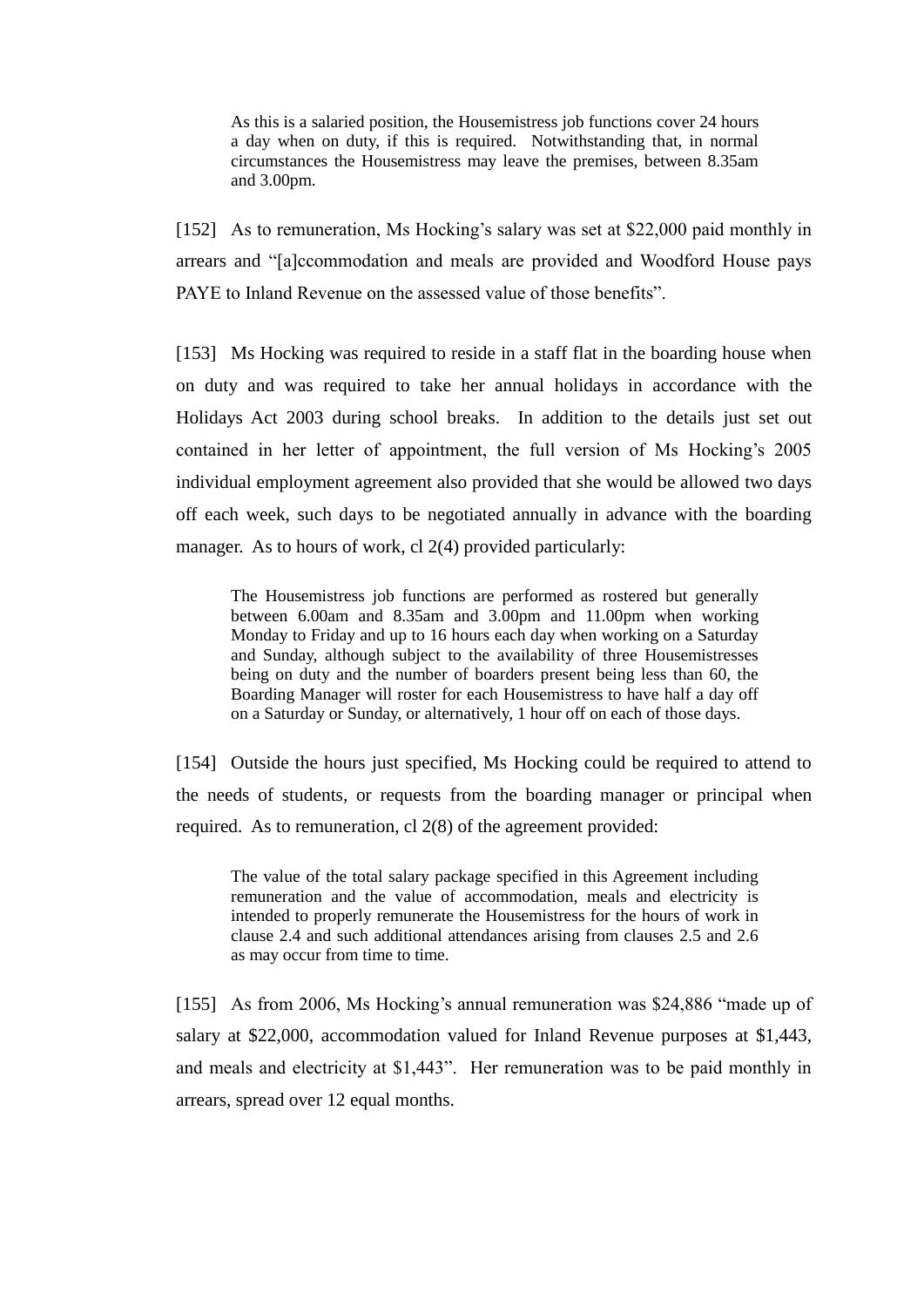As this is a salaried position, the Housemistress job functions cover 24 hours a day when on duty, if this is required. Notwithstanding that, in normal circumstances the Housemistress may leave the premises, between 8.35am and 3.00pm.

[152] As to remuneration, Ms Hocking's salary was set at \$22,000 paid monthly in arrears and "[a]ccommodation and meals are provided and Woodford House pays PAYE to Inland Revenue on the assessed value of those benefits".

[153] Ms Hocking was required to reside in a staff flat in the boarding house when on duty and was required to take her annual holidays in accordance with the Holidays Act 2003 during school breaks. In addition to the details just set out contained in her letter of appointment, the full version of Ms Hocking's 2005 individual employment agreement also provided that she would be allowed two days off each week, such days to be negotiated annually in advance with the boarding manager. As to hours of work, cl 2(4) provided particularly:

The Housemistress job functions are performed as rostered but generally between 6.00am and 8.35am and 3.00pm and 11.00pm when working Monday to Friday and up to 16 hours each day when working on a Saturday and Sunday, although subject to the availability of three Housemistresses being on duty and the number of boarders present being less than 60, the Boarding Manager will roster for each Housemistress to have half a day off on a Saturday or Sunday, or alternatively, 1 hour off on each of those days.

[154] Outside the hours just specified, Ms Hocking could be required to attend to the needs of students, or requests from the boarding manager or principal when required. As to remuneration, cl 2(8) of the agreement provided:

The value of the total salary package specified in this Agreement including remuneration and the value of accommodation, meals and electricity is intended to properly remunerate the Housemistress for the hours of work in clause 2.4 and such additional attendances arising from clauses 2.5 and 2.6 as may occur from time to time.

[155] As from 2006, Ms Hocking's annual remuneration was \$24,886 "made up of salary at \$22,000, accommodation valued for Inland Revenue purposes at \$1,443, and meals and electricity at \$1,443". Her remuneration was to be paid monthly in arrears, spread over 12 equal months.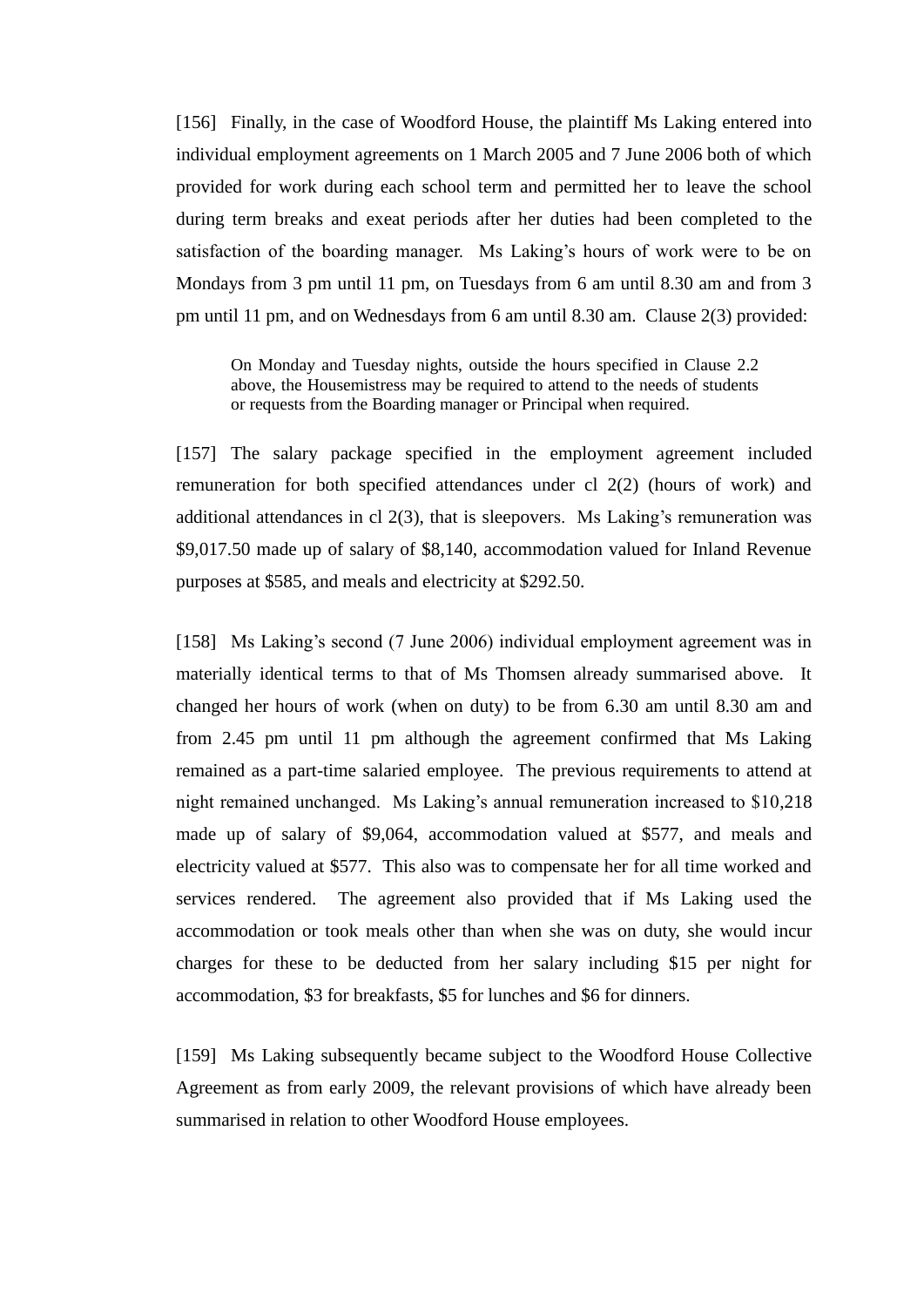[156] Finally, in the case of Woodford House, the plaintiff Ms Laking entered into individual employment agreements on 1 March 2005 and 7 June 2006 both of which provided for work during each school term and permitted her to leave the school during term breaks and exeat periods after her duties had been completed to the satisfaction of the boarding manager. Ms Laking's hours of work were to be on Mondays from 3 pm until 11 pm, on Tuesdays from 6 am until 8.30 am and from 3 pm until 11 pm, and on Wednesdays from 6 am until 8.30 am. Clause 2(3) provided:

On Monday and Tuesday nights, outside the hours specified in Clause 2.2 above, the Housemistress may be required to attend to the needs of students or requests from the Boarding manager or Principal when required.

[157] The salary package specified in the employment agreement included remuneration for both specified attendances under cl 2(2) (hours of work) and additional attendances in cl 2(3), that is sleepovers. Ms Laking's remuneration was \$9,017.50 made up of salary of \$8,140, accommodation valued for Inland Revenue purposes at \$585, and meals and electricity at \$292.50.

[158] Ms Laking's second (7 June 2006) individual employment agreement was in materially identical terms to that of Ms Thomsen already summarised above. It changed her hours of work (when on duty) to be from 6.30 am until 8.30 am and from 2.45 pm until 11 pm although the agreement confirmed that Ms Laking remained as a part-time salaried employee. The previous requirements to attend at night remained unchanged. Ms Laking's annual remuneration increased to \$10,218 made up of salary of \$9,064, accommodation valued at \$577, and meals and electricity valued at \$577. This also was to compensate her for all time worked and services rendered. The agreement also provided that if Ms Laking used the accommodation or took meals other than when she was on duty, she would incur charges for these to be deducted from her salary including \$15 per night for accommodation, \$3 for breakfasts, \$5 for lunches and \$6 for dinners.

[159] Ms Laking subsequently became subject to the Woodford House Collective Agreement as from early 2009, the relevant provisions of which have already been summarised in relation to other Woodford House employees.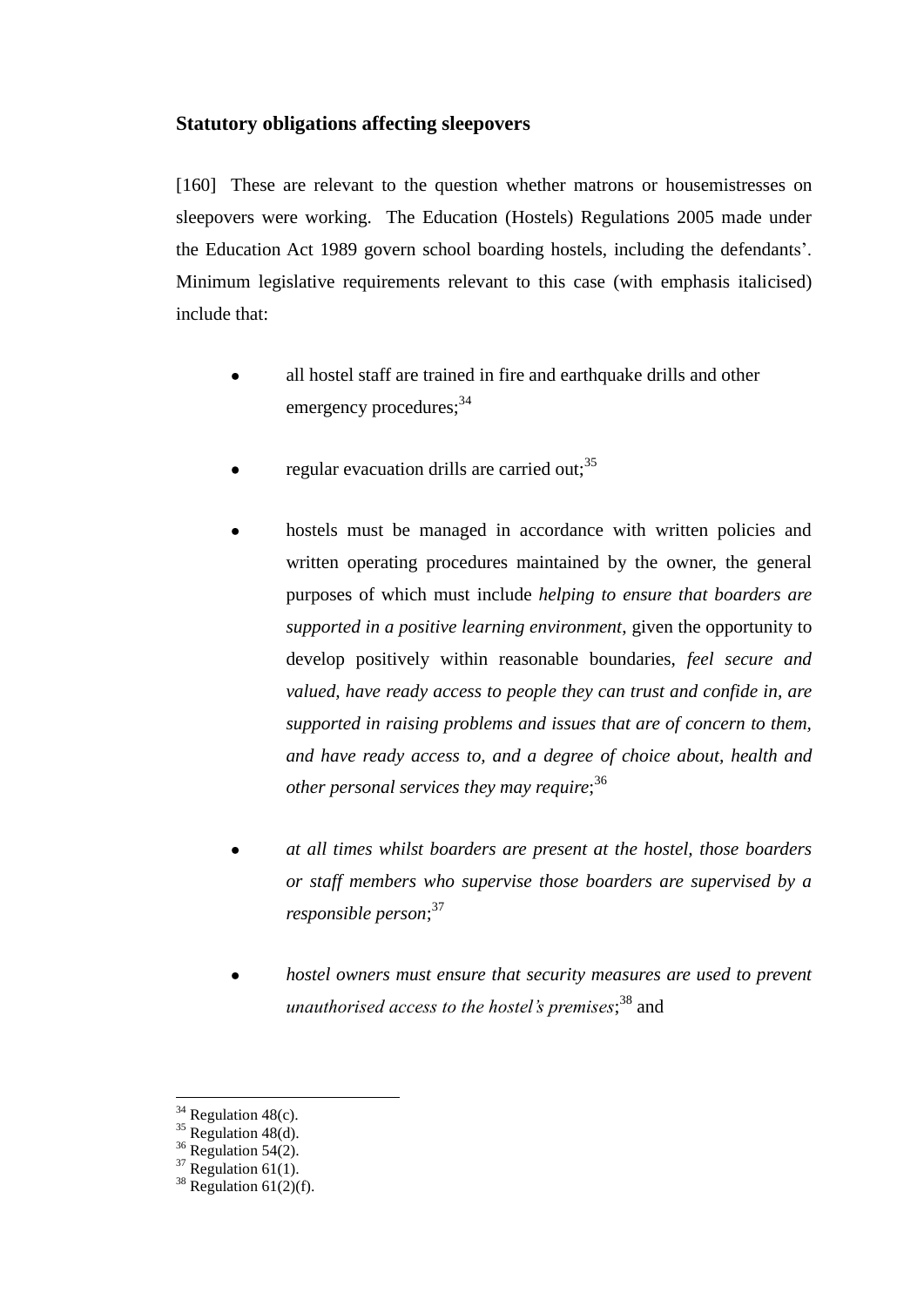# **Statutory obligations affecting sleepovers**

[160] These are relevant to the question whether matrons or housemistresses on sleepovers were working. The Education (Hostels) Regulations 2005 made under the Education Act 1989 govern school boarding hostels, including the defendants'. Minimum legislative requirements relevant to this case (with emphasis italicised) include that:

- all hostel staff are trained in fire and earthquake drills and other emergency procedures:  $34$
- regular evacuation drills are carried out;  $35$
- hostels must be managed in accordance with written policies and written operating procedures maintained by the owner, the general purposes of which must include *helping to ensure that boarders are supported in a positive learning environment*, given the opportunity to develop positively within reasonable boundaries, *feel secure and valued, have ready access to people they can trust and confide in, are supported in raising problems and issues that are of concern to them, and have ready access to, and a degree of choice about, health and other personal services they may require*; 36
- *at all times whilst boarders are present at the hostel, those boarders or staff members who supervise those boarders are supervised by a responsible person*; 37
- *hostel owners must ensure that security measures are used to prevent unauthorised access to the hostel's premises*; <sup>38</sup> and

 $34$  Regulation 48(c).

 $35$  Regulation 48(d).

 $36$  Regulation 54(2).

 $37$  Regulation 61(1).

 $38$  Regulation 61(2)(f).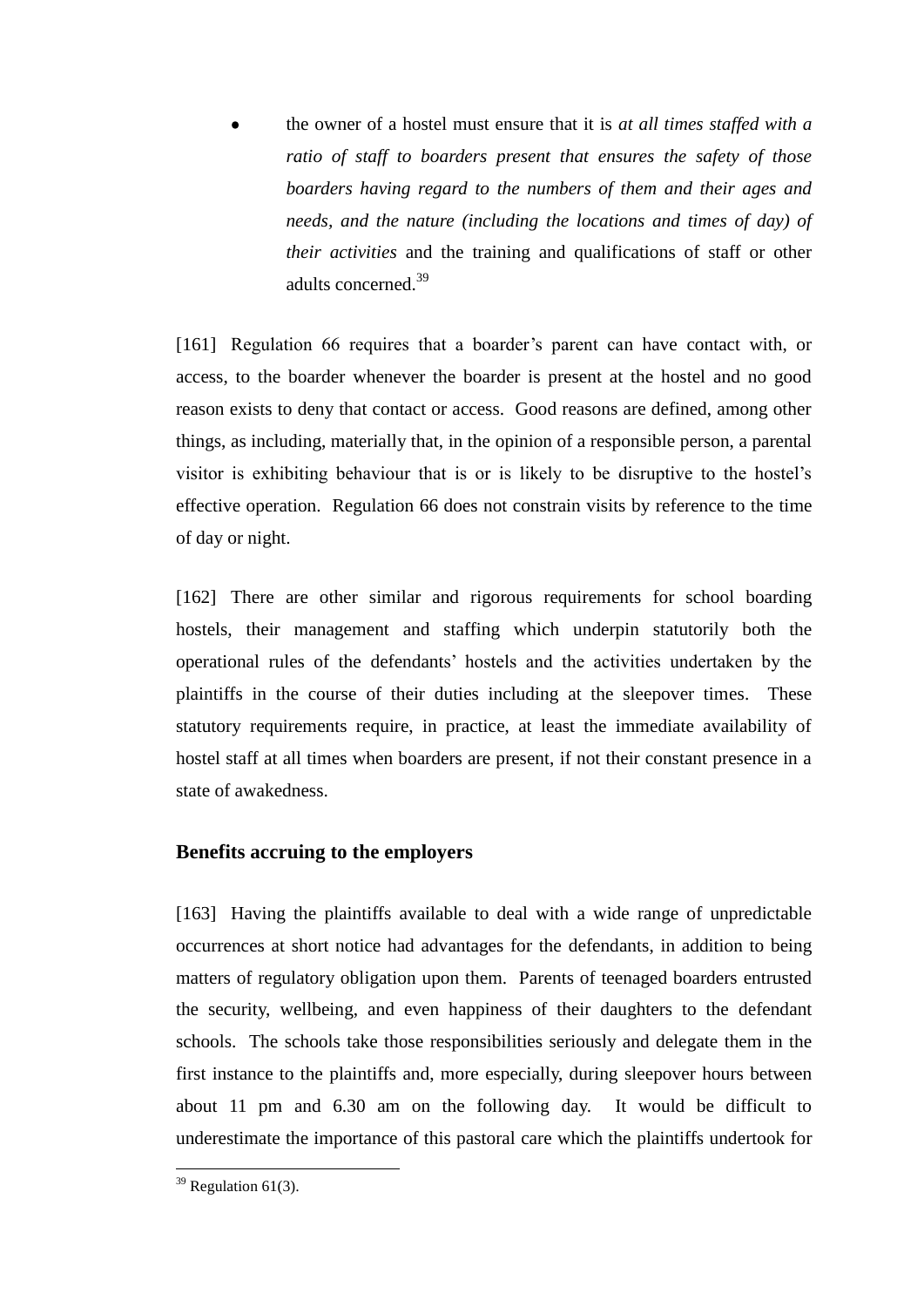the owner of a hostel must ensure that it is *at all times staffed with a ratio of staff to boarders present that ensures the safety of those boarders having regard to the numbers of them and their ages and needs, and the nature (including the locations and times of day) of their activities* and the training and qualifications of staff or other adults concerned.<sup>39</sup>

[161] Regulation 66 requires that a boarder's parent can have contact with, or access, to the boarder whenever the boarder is present at the hostel and no good reason exists to deny that contact or access. Good reasons are defined, among other things, as including, materially that, in the opinion of a responsible person, a parental visitor is exhibiting behaviour that is or is likely to be disruptive to the hostel's effective operation. Regulation 66 does not constrain visits by reference to the time of day or night.

[162] There are other similar and rigorous requirements for school boarding hostels, their management and staffing which underpin statutorily both the operational rules of the defendants' hostels and the activities undertaken by the plaintiffs in the course of their duties including at the sleepover times. These statutory requirements require, in practice, at least the immediate availability of hostel staff at all times when boarders are present, if not their constant presence in a state of awakedness.

# **Benefits accruing to the employers**

[163] Having the plaintiffs available to deal with a wide range of unpredictable occurrences at short notice had advantages for the defendants, in addition to being matters of regulatory obligation upon them. Parents of teenaged boarders entrusted the security, wellbeing, and even happiness of their daughters to the defendant schools. The schools take those responsibilities seriously and delegate them in the first instance to the plaintiffs and, more especially, during sleepover hours between about 11 pm and 6.30 am on the following day. It would be difficult to underestimate the importance of this pastoral care which the plaintiffs undertook for

 $39$  Regulation 61(3).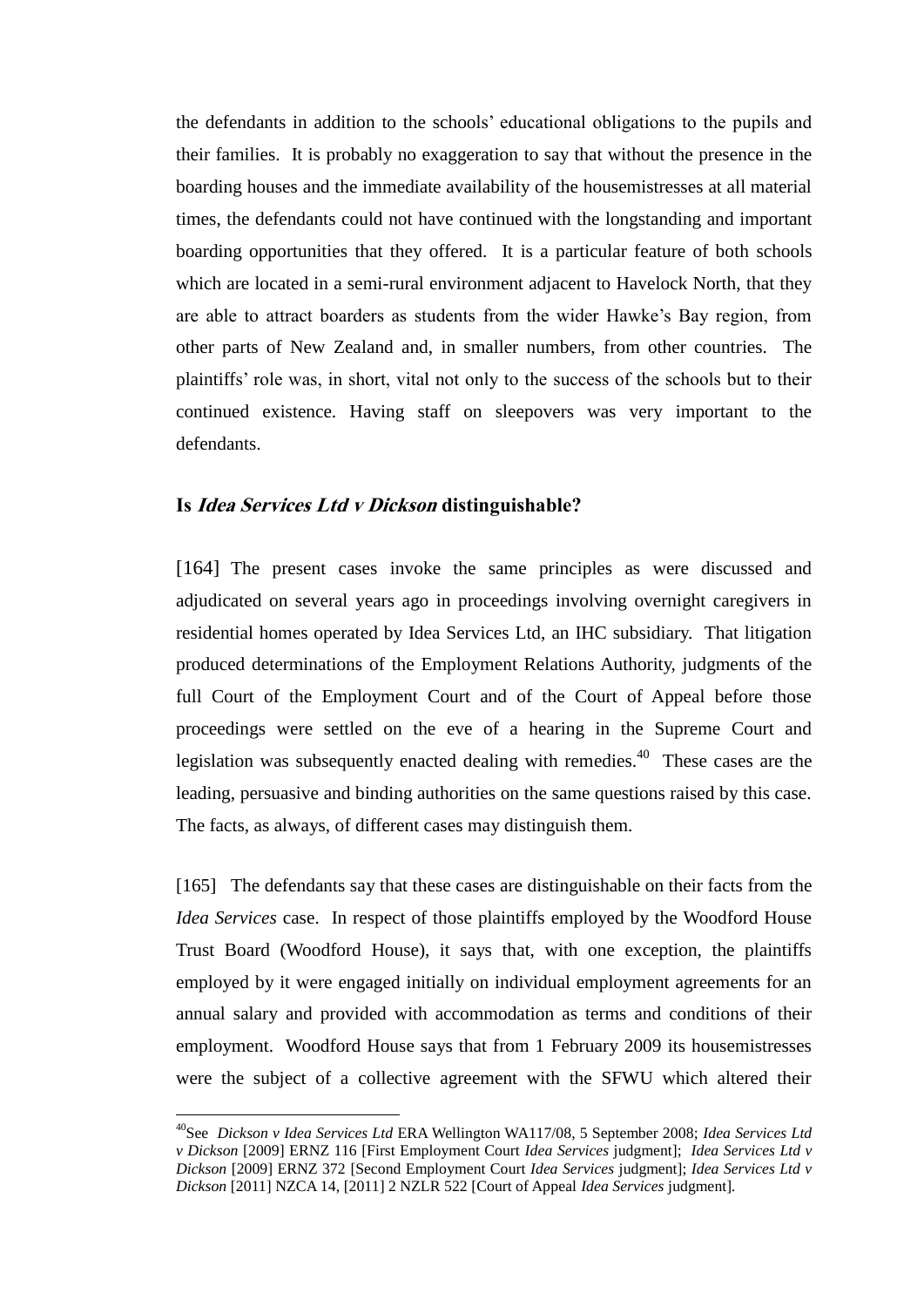the defendants in addition to the schools' educational obligations to the pupils and their families. It is probably no exaggeration to say that without the presence in the boarding houses and the immediate availability of the housemistresses at all material times, the defendants could not have continued with the longstanding and important boarding opportunities that they offered. It is a particular feature of both schools which are located in a semi-rural environment adjacent to Havelock North, that they are able to attract boarders as students from the wider Hawke's Bay region, from other parts of New Zealand and, in smaller numbers, from other countries. The plaintiffs' role was, in short, vital not only to the success of the schools but to their continued existence. Having staff on sleepovers was very important to the defendants.

### **Is Idea Services Ltd v Dickson distinguishable?**

 $\overline{a}$ 

[164] The present cases invoke the same principles as were discussed and adjudicated on several years ago in proceedings involving overnight caregivers in residential homes operated by Idea Services Ltd, an IHC subsidiary. That litigation produced determinations of the Employment Relations Authority, judgments of the full Court of the Employment Court and of the Court of Appeal before those proceedings were settled on the eve of a hearing in the Supreme Court and legislation was subsequently enacted dealing with remedies.<sup>40</sup> These cases are the leading, persuasive and binding authorities on the same questions raised by this case. The facts, as always, of different cases may distinguish them.

[165] The defendants say that these cases are distinguishable on their facts from the *Idea Services* case. In respect of those plaintiffs employed by the Woodford House Trust Board (Woodford House), it says that, with one exception, the plaintiffs employed by it were engaged initially on individual employment agreements for an annual salary and provided with accommodation as terms and conditions of their employment. Woodford House says that from 1 February 2009 its housemistresses were the subject of a collective agreement with the SFWU which altered their

<sup>40</sup>See *Dickson v Idea Services Ltd* ERA Wellington WA117/08, 5 September 2008; *Idea Services Ltd v Dickson* [2009] ERNZ 116 [First Employment Court *Idea Services* judgment]; *Idea Services Ltd v Dickson* [2009] ERNZ 372 [Second Employment Court *Idea Services* judgment]; *Idea Services Ltd v Dickson* [2011] NZCA 14, [2011] 2 NZLR 522 [Court of Appeal *Idea Services* judgment]*.*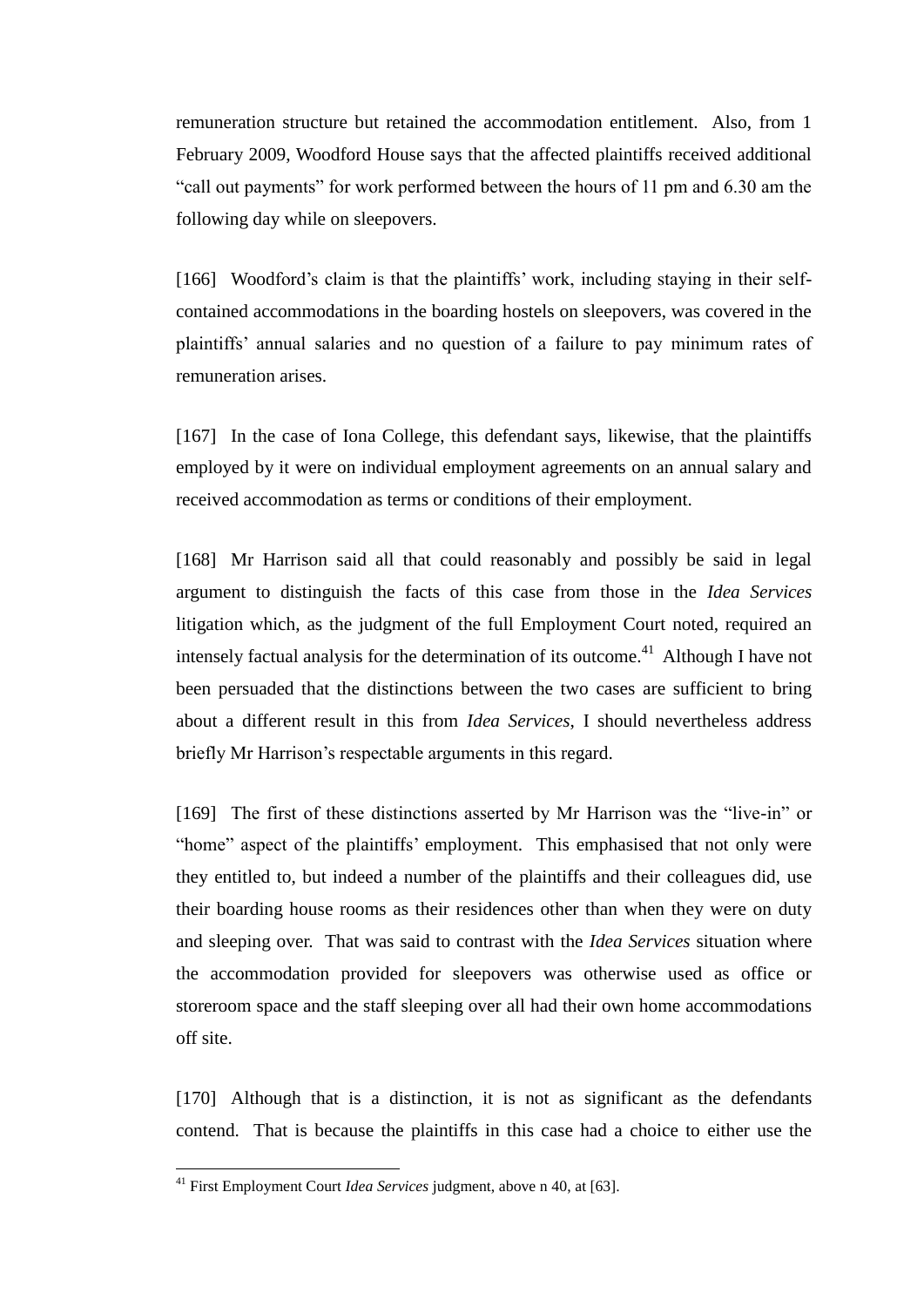remuneration structure but retained the accommodation entitlement. Also, from 1 February 2009, Woodford House says that the affected plaintiffs received additional "call out payments" for work performed between the hours of 11 pm and 6.30 am the following day while on sleepovers.

[166] Woodford's claim is that the plaintiffs' work, including staying in their selfcontained accommodations in the boarding hostels on sleepovers, was covered in the plaintiffs' annual salaries and no question of a failure to pay minimum rates of remuneration arises.

[167] In the case of Iona College, this defendant says, likewise, that the plaintiffs employed by it were on individual employment agreements on an annual salary and received accommodation as terms or conditions of their employment.

[168] Mr Harrison said all that could reasonably and possibly be said in legal argument to distinguish the facts of this case from those in the *Idea Services* litigation which, as the judgment of the full Employment Court noted, required an intensely factual analysis for the determination of its outcome.<sup>41</sup> Although I have not been persuaded that the distinctions between the two cases are sufficient to bring about a different result in this from *Idea Services*, I should nevertheless address briefly Mr Harrison's respectable arguments in this regard.

[169] The first of these distinctions asserted by Mr Harrison was the "live-in" or "home" aspect of the plaintiffs' employment. This emphasised that not only were they entitled to, but indeed a number of the plaintiffs and their colleagues did, use their boarding house rooms as their residences other than when they were on duty and sleeping over. That was said to contrast with the *Idea Services* situation where the accommodation provided for sleepovers was otherwise used as office or storeroom space and the staff sleeping over all had their own home accommodations off site.

[170] Although that is a distinction, it is not as significant as the defendants contend. That is because the plaintiffs in this case had a choice to either use the

<sup>41</sup> First Employment Court *Idea Services* judgment, above n 40, at [63].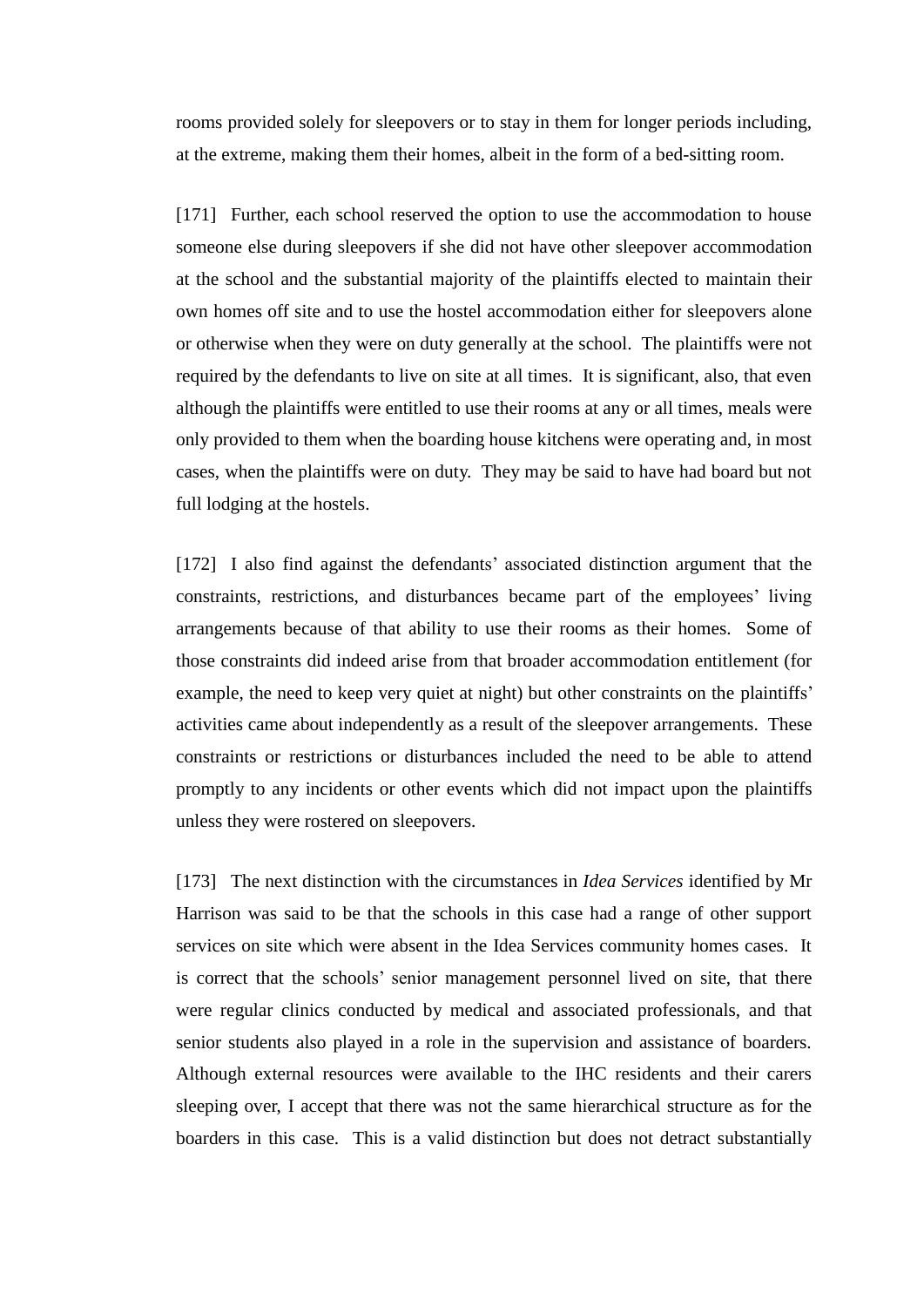rooms provided solely for sleepovers or to stay in them for longer periods including, at the extreme, making them their homes, albeit in the form of a bed-sitting room.

[171] Further, each school reserved the option to use the accommodation to house someone else during sleepovers if she did not have other sleepover accommodation at the school and the substantial majority of the plaintiffs elected to maintain their own homes off site and to use the hostel accommodation either for sleepovers alone or otherwise when they were on duty generally at the school. The plaintiffs were not required by the defendants to live on site at all times. It is significant, also, that even although the plaintiffs were entitled to use their rooms at any or all times, meals were only provided to them when the boarding house kitchens were operating and, in most cases, when the plaintiffs were on duty. They may be said to have had board but not full lodging at the hostels.

[172] I also find against the defendants' associated distinction argument that the constraints, restrictions, and disturbances became part of the employees' living arrangements because of that ability to use their rooms as their homes. Some of those constraints did indeed arise from that broader accommodation entitlement (for example, the need to keep very quiet at night) but other constraints on the plaintiffs' activities came about independently as a result of the sleepover arrangements. These constraints or restrictions or disturbances included the need to be able to attend promptly to any incidents or other events which did not impact upon the plaintiffs unless they were rostered on sleepovers.

[173] The next distinction with the circumstances in *Idea Services* identified by Mr Harrison was said to be that the schools in this case had a range of other support services on site which were absent in the Idea Services community homes cases. It is correct that the schools' senior management personnel lived on site, that there were regular clinics conducted by medical and associated professionals, and that senior students also played in a role in the supervision and assistance of boarders. Although external resources were available to the IHC residents and their carers sleeping over, I accept that there was not the same hierarchical structure as for the boarders in this case. This is a valid distinction but does not detract substantially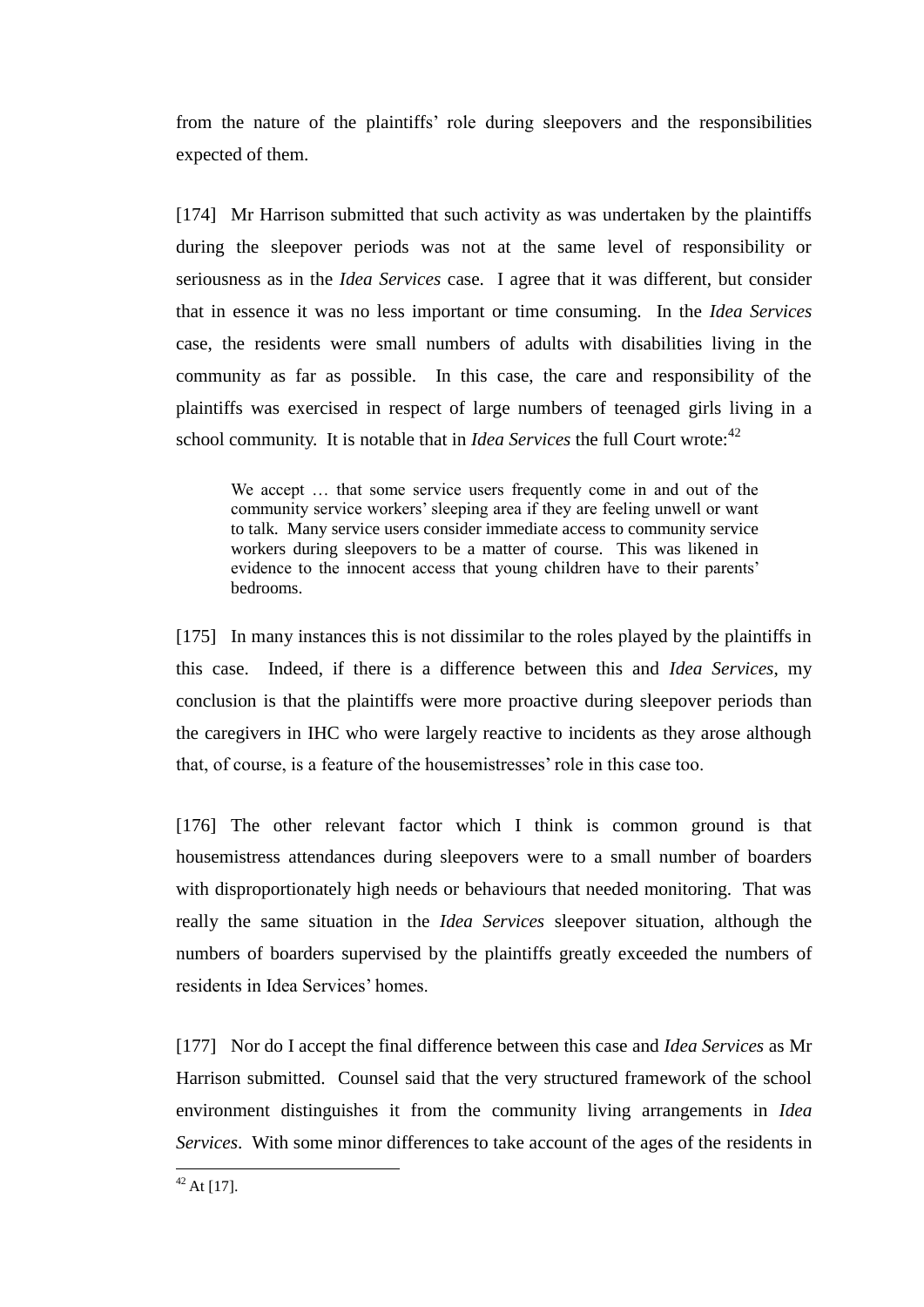from the nature of the plaintiffs' role during sleepovers and the responsibilities expected of them.

[174] Mr Harrison submitted that such activity as was undertaken by the plaintiffs during the sleepover periods was not at the same level of responsibility or seriousness as in the *Idea Services* case. I agree that it was different, but consider that in essence it was no less important or time consuming. In the *Idea Services* case, the residents were small numbers of adults with disabilities living in the community as far as possible. In this case, the care and responsibility of the plaintiffs was exercised in respect of large numbers of teenaged girls living in a school community. It is notable that in *Idea Services* the full Court wrote:<sup>42</sup>

We accept … that some service users frequently come in and out of the community service workers' sleeping area if they are feeling unwell or want to talk. Many service users consider immediate access to community service workers during sleepovers to be a matter of course. This was likened in evidence to the innocent access that young children have to their parents' bedrooms.

[175] In many instances this is not dissimilar to the roles played by the plaintiffs in this case. Indeed, if there is a difference between this and *Idea Services*, my conclusion is that the plaintiffs were more proactive during sleepover periods than the caregivers in IHC who were largely reactive to incidents as they arose although that, of course, is a feature of the housemistresses' role in this case too.

[176] The other relevant factor which I think is common ground is that housemistress attendances during sleepovers were to a small number of boarders with disproportionately high needs or behaviours that needed monitoring. That was really the same situation in the *Idea Services* sleepover situation, although the numbers of boarders supervised by the plaintiffs greatly exceeded the numbers of residents in Idea Services' homes.

[177] Nor do I accept the final difference between this case and *Idea Services* as Mr Harrison submitted. Counsel said that the very structured framework of the school environment distinguishes it from the community living arrangements in *Idea Services*. With some minor differences to take account of the ages of the residents in

 $42$  At [17].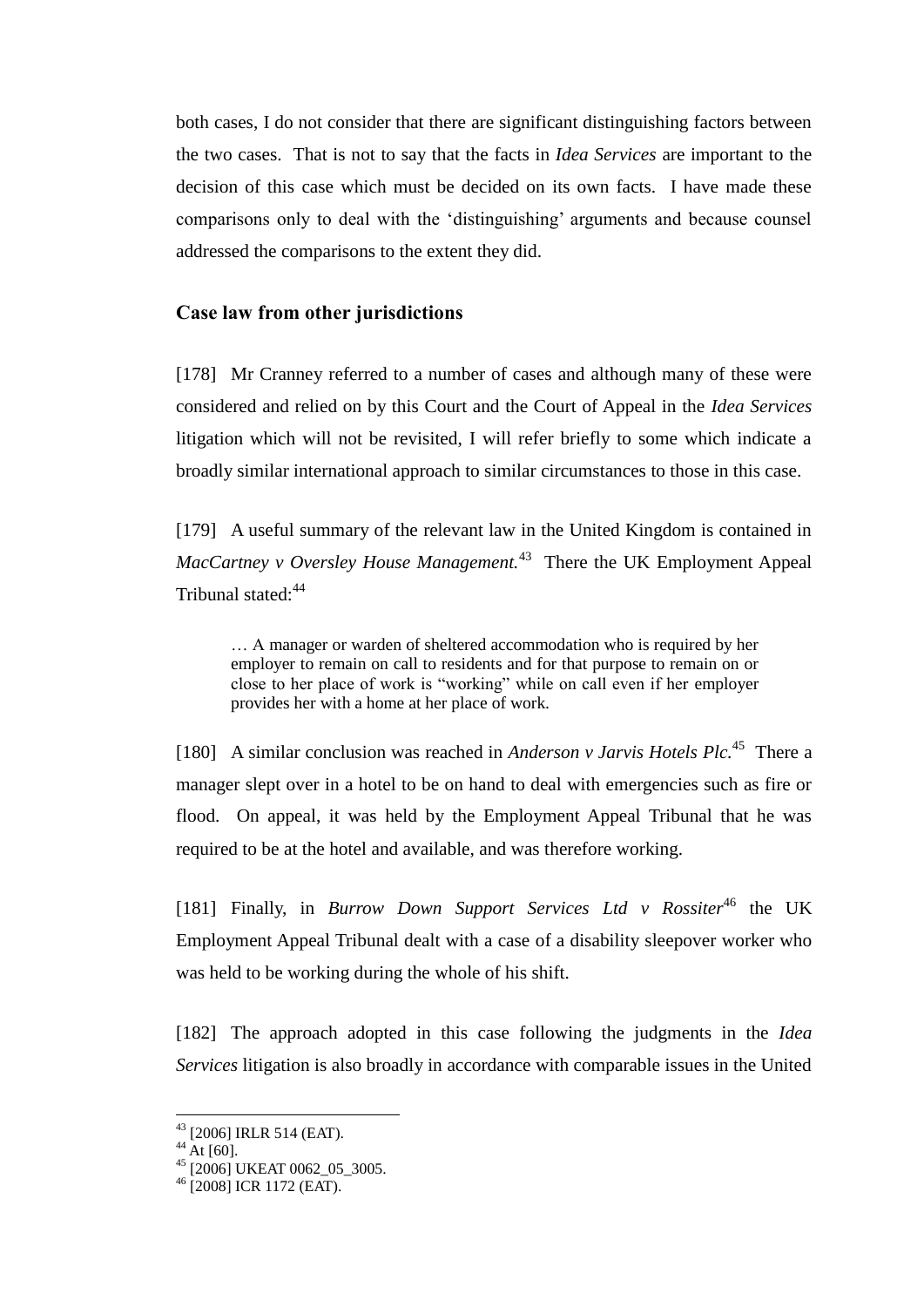both cases, I do not consider that there are significant distinguishing factors between the two cases. That is not to say that the facts in *Idea Services* are important to the decision of this case which must be decided on its own facts. I have made these comparisons only to deal with the 'distinguishing' arguments and because counsel addressed the comparisons to the extent they did.

### **Case law from other jurisdictions**

[178] Mr Cranney referred to a number of cases and although many of these were considered and relied on by this Court and the Court of Appeal in the *Idea Services* litigation which will not be revisited, I will refer briefly to some which indicate a broadly similar international approach to similar circumstances to those in this case.

[179] A useful summary of the relevant law in the United Kingdom is contained in *MacCartney v Oversley House Management.*<sup>43</sup> There the UK Employment Appeal Tribunal stated:<sup>44</sup>

… A manager or warden of sheltered accommodation who is required by her employer to remain on call to residents and for that purpose to remain on or close to her place of work is "working" while on call even if her employer provides her with a home at her place of work.

[180] A similar conclusion was reached in *Anderson v Jarvis Hotels Plc*.<sup>45</sup> There a manager slept over in a hotel to be on hand to deal with emergencies such as fire or flood. On appeal, it was held by the Employment Appeal Tribunal that he was required to be at the hotel and available, and was therefore working.

[181] Finally, in *Burrow Down Support Services Ltd v Rossiter*<sup>46</sup> the UK Employment Appeal Tribunal dealt with a case of a disability sleepover worker who was held to be working during the whole of his shift.

[182] The approach adopted in this case following the judgments in the *Idea Services* litigation is also broadly in accordance with comparable issues in the United

<sup>43</sup> [2006] IRLR 514 (EAT).

 $44$  At [60].

 $^{45}$  [2006] UKEAT 0062\_05\_3005.

<sup>46</sup> [2008] ICR 1172 (EAT).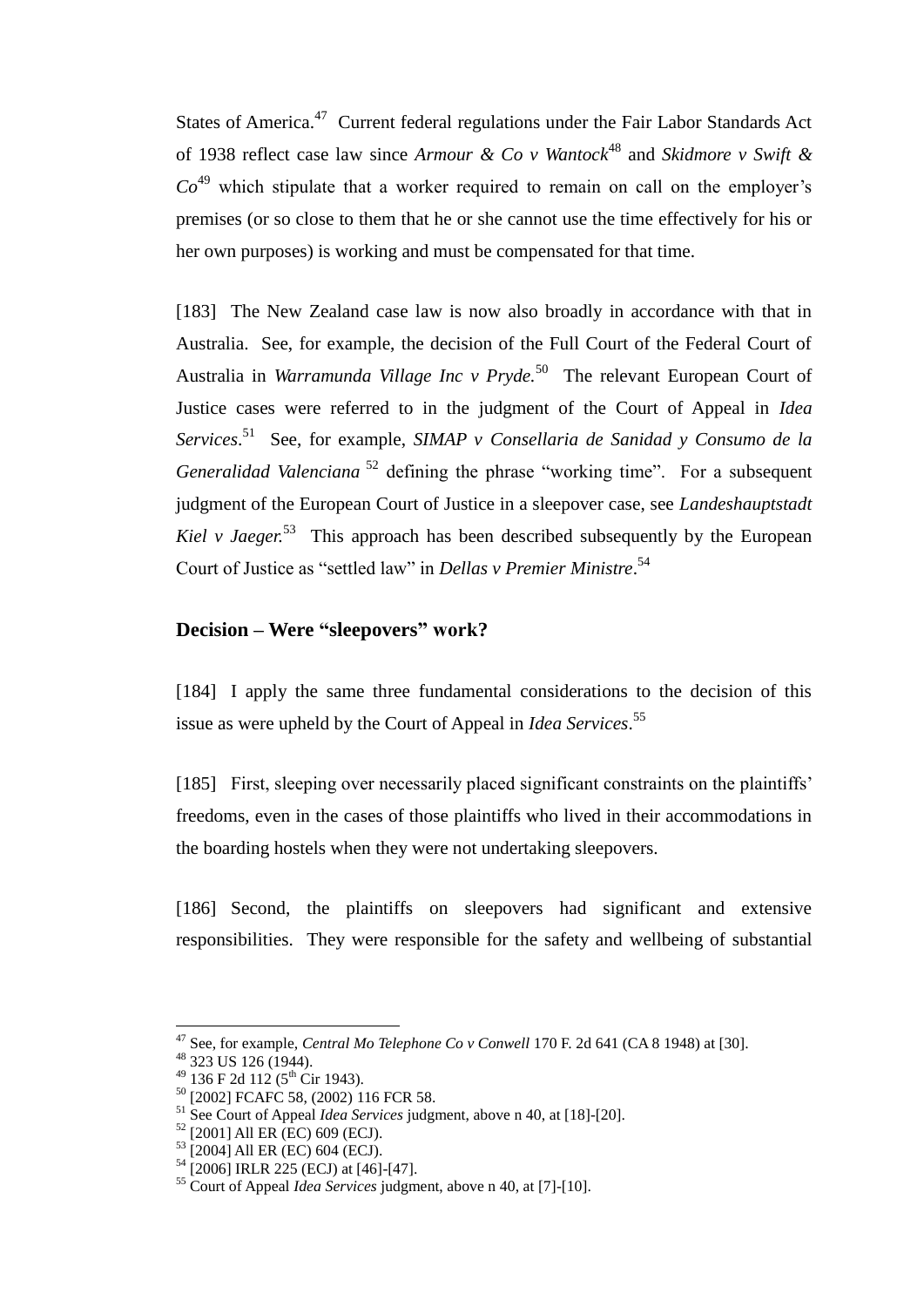States of America.<sup>47</sup> Current federal regulations under the Fair Labor Standards Act of 1938 reflect case law since *Armour & Co v Wantock*<sup>48</sup> and *Skidmore v Swift &*   $Co<sup>49</sup>$  which stipulate that a worker required to remain on call on the employer's premises (or so close to them that he or she cannot use the time effectively for his or her own purposes) is working and must be compensated for that time.

[183] The New Zealand case law is now also broadly in accordance with that in Australia. See, for example, the decision of the Full Court of the Federal Court of Australia in *Warramunda Village Inc v Pryde*.<sup>50</sup> The relevant European Court of Justice cases were referred to in the judgment of the Court of Appeal in *Idea Services*. 51 See, for example, *SIMAP v Consellaria de Sanidad y Consumo de la Generalidad Valenciana*<sup>52</sup> defining the phrase "working time". For a subsequent judgment of the European Court of Justice in a sleepover case, see *Landeshauptstadt Kiel v Jaeger.*<sup>53</sup> This approach has been described subsequently by the European Court of Justice as "settled law" in *Dellas v Premier Ministre*. 54

### **Decision – Were "sleepovers" work?**

[184] I apply the same three fundamental considerations to the decision of this issue as were upheld by the Court of Appeal in *Idea Services*. 55

[185] First, sleeping over necessarily placed significant constraints on the plaintiffs' freedoms, even in the cases of those plaintiffs who lived in their accommodations in the boarding hostels when they were not undertaking sleepovers.

[186] Second, the plaintiffs on sleepovers had significant and extensive responsibilities. They were responsible for the safety and wellbeing of substantial

<sup>47</sup> See, for example, *Central Mo Telephone Co v Conwell* 170 F. 2d 641 (CA 8 1948) at [30].

<sup>48</sup> 323 US 126 (1944).

 $49$  136 F 2d 112 ( $5^{\text{th}}$  Cir 1943).

<sup>50</sup> [2002] FCAFC 58, (2002) 116 FCR 58.

<sup>51</sup> See Court of Appeal *Idea Services* judgment, above n 40, at [18]-[20].

 $52$  [2001] All ER (EC) 609 (ECJ).

<sup>53</sup> [2004] All ER (EC) 604 (ECJ).

<sup>54</sup> [2006] IRLR 225 (ECJ) at [46]-[47].

<sup>55</sup> Court of Appeal *Idea Services* judgment, above n 40, at [7]-[10].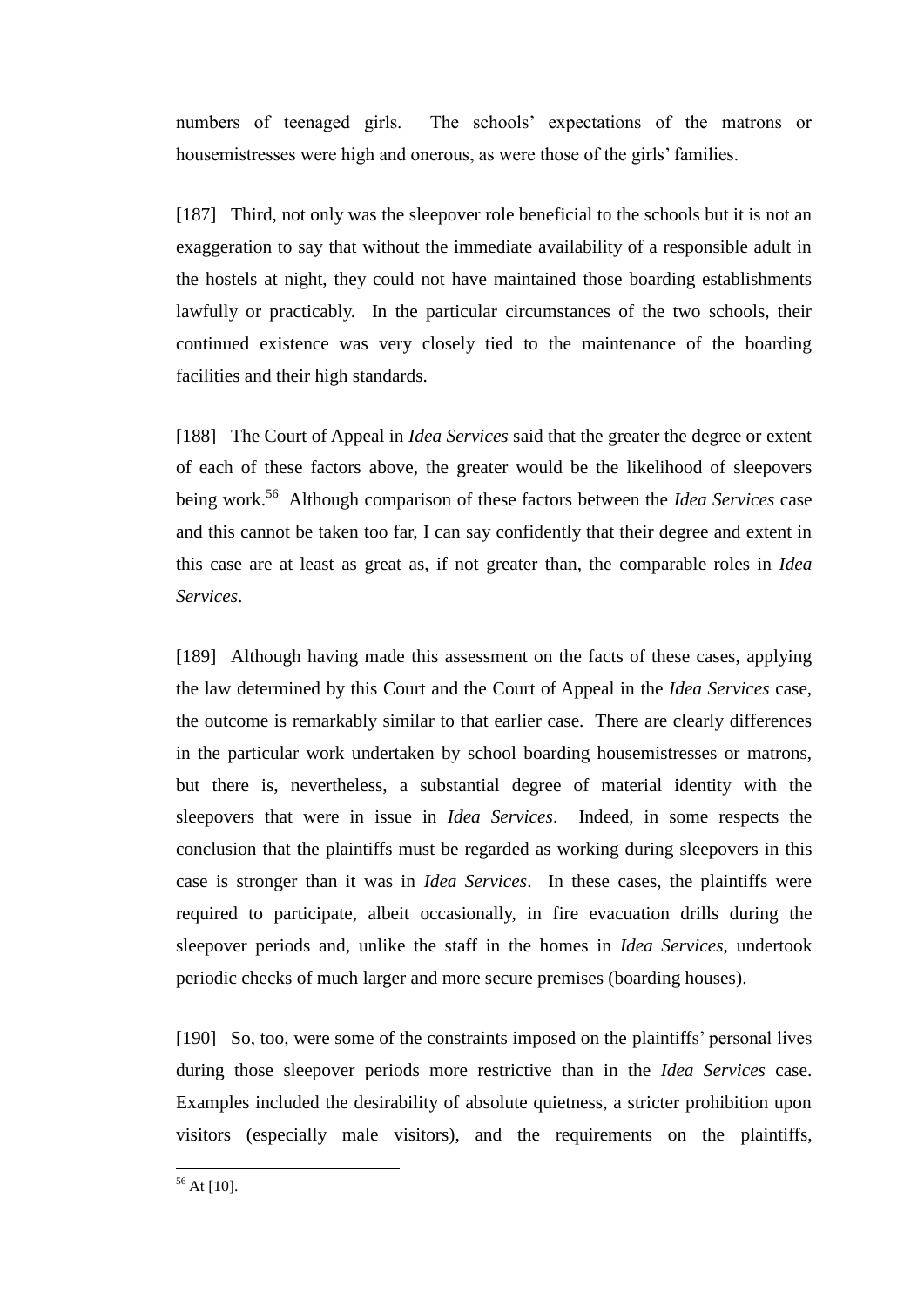numbers of teenaged girls. The schools' expectations of the matrons or housemistresses were high and onerous, as were those of the girls' families.

[187] Third, not only was the sleepover role beneficial to the schools but it is not an exaggeration to say that without the immediate availability of a responsible adult in the hostels at night, they could not have maintained those boarding establishments lawfully or practicably. In the particular circumstances of the two schools, their continued existence was very closely tied to the maintenance of the boarding facilities and their high standards.

[188] The Court of Appeal in *Idea Services* said that the greater the degree or extent of each of these factors above, the greater would be the likelihood of sleepovers being work.<sup>56</sup> Although comparison of these factors between the *Idea Services* case and this cannot be taken too far, I can say confidently that their degree and extent in this case are at least as great as, if not greater than, the comparable roles in *Idea Services*.

[189] Although having made this assessment on the facts of these cases, applying the law determined by this Court and the Court of Appeal in the *Idea Services* case, the outcome is remarkably similar to that earlier case. There are clearly differences in the particular work undertaken by school boarding housemistresses or matrons, but there is, nevertheless, a substantial degree of material identity with the sleepovers that were in issue in *Idea Services*. Indeed, in some respects the conclusion that the plaintiffs must be regarded as working during sleepovers in this case is stronger than it was in *Idea Services*. In these cases, the plaintiffs were required to participate, albeit occasionally, in fire evacuation drills during the sleepover periods and, unlike the staff in the homes in *Idea Services*, undertook periodic checks of much larger and more secure premises (boarding houses).

[190] So, too, were some of the constraints imposed on the plaintiffs' personal lives during those sleepover periods more restrictive than in the *Idea Services* case. Examples included the desirability of absolute quietness, a stricter prohibition upon visitors (especially male visitors), and the requirements on the plaintiffs,

 $56$  At [10].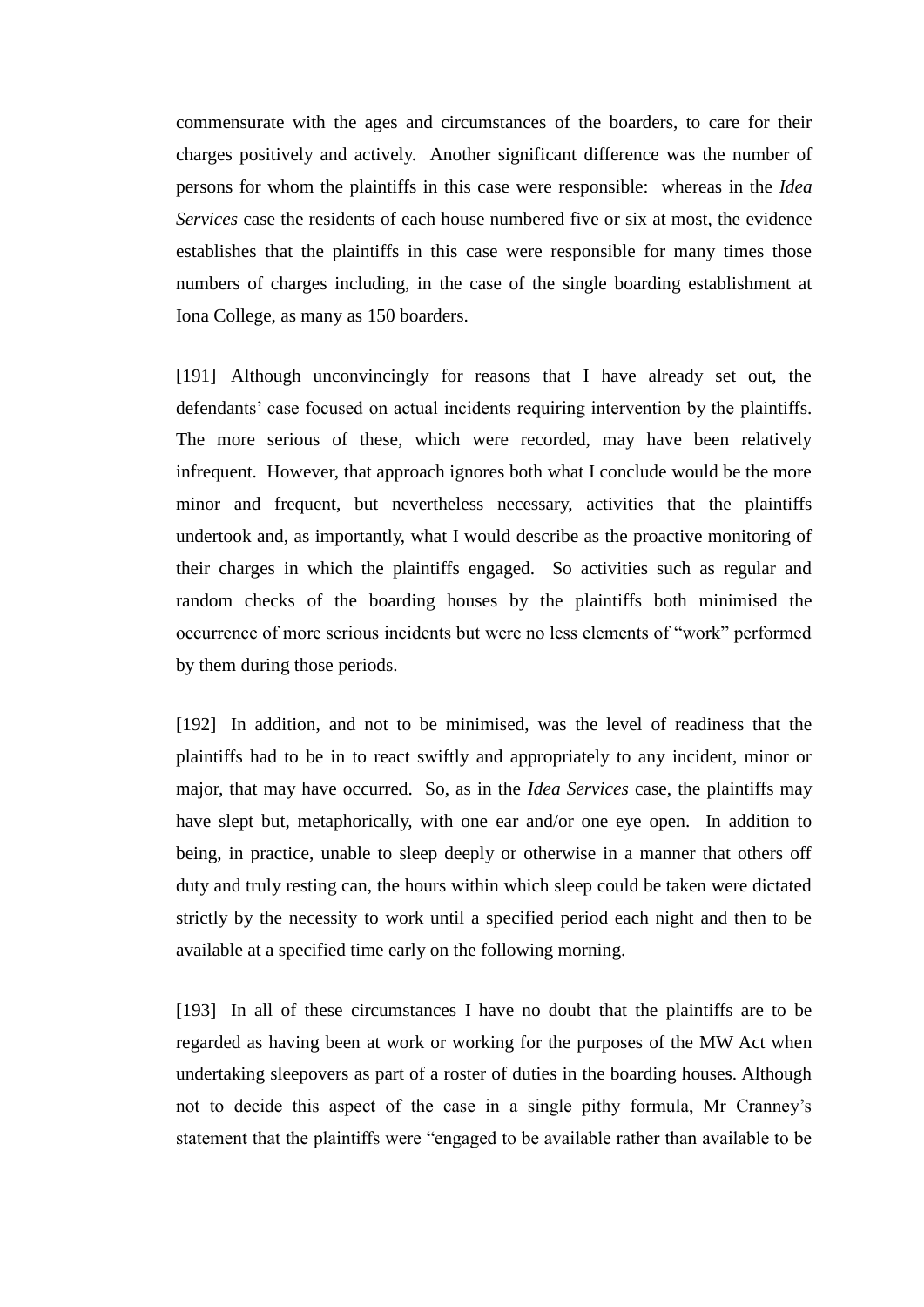commensurate with the ages and circumstances of the boarders, to care for their charges positively and actively. Another significant difference was the number of persons for whom the plaintiffs in this case were responsible: whereas in the *Idea Services* case the residents of each house numbered five or six at most, the evidence establishes that the plaintiffs in this case were responsible for many times those numbers of charges including, in the case of the single boarding establishment at Iona College, as many as 150 boarders.

[191] Although unconvincingly for reasons that I have already set out, the defendants' case focused on actual incidents requiring intervention by the plaintiffs. The more serious of these, which were recorded, may have been relatively infrequent. However, that approach ignores both what I conclude would be the more minor and frequent, but nevertheless necessary, activities that the plaintiffs undertook and, as importantly, what I would describe as the proactive monitoring of their charges in which the plaintiffs engaged. So activities such as regular and random checks of the boarding houses by the plaintiffs both minimised the occurrence of more serious incidents but were no less elements of "work" performed by them during those periods.

[192] In addition, and not to be minimised, was the level of readiness that the plaintiffs had to be in to react swiftly and appropriately to any incident, minor or major, that may have occurred. So, as in the *Idea Services* case, the plaintiffs may have slept but, metaphorically, with one ear and/or one eye open. In addition to being, in practice, unable to sleep deeply or otherwise in a manner that others off duty and truly resting can, the hours within which sleep could be taken were dictated strictly by the necessity to work until a specified period each night and then to be available at a specified time early on the following morning.

[193] In all of these circumstances I have no doubt that the plaintiffs are to be regarded as having been at work or working for the purposes of the MW Act when undertaking sleepovers as part of a roster of duties in the boarding houses. Although not to decide this aspect of the case in a single pithy formula, Mr Cranney's statement that the plaintiffs were "engaged to be available rather than available to be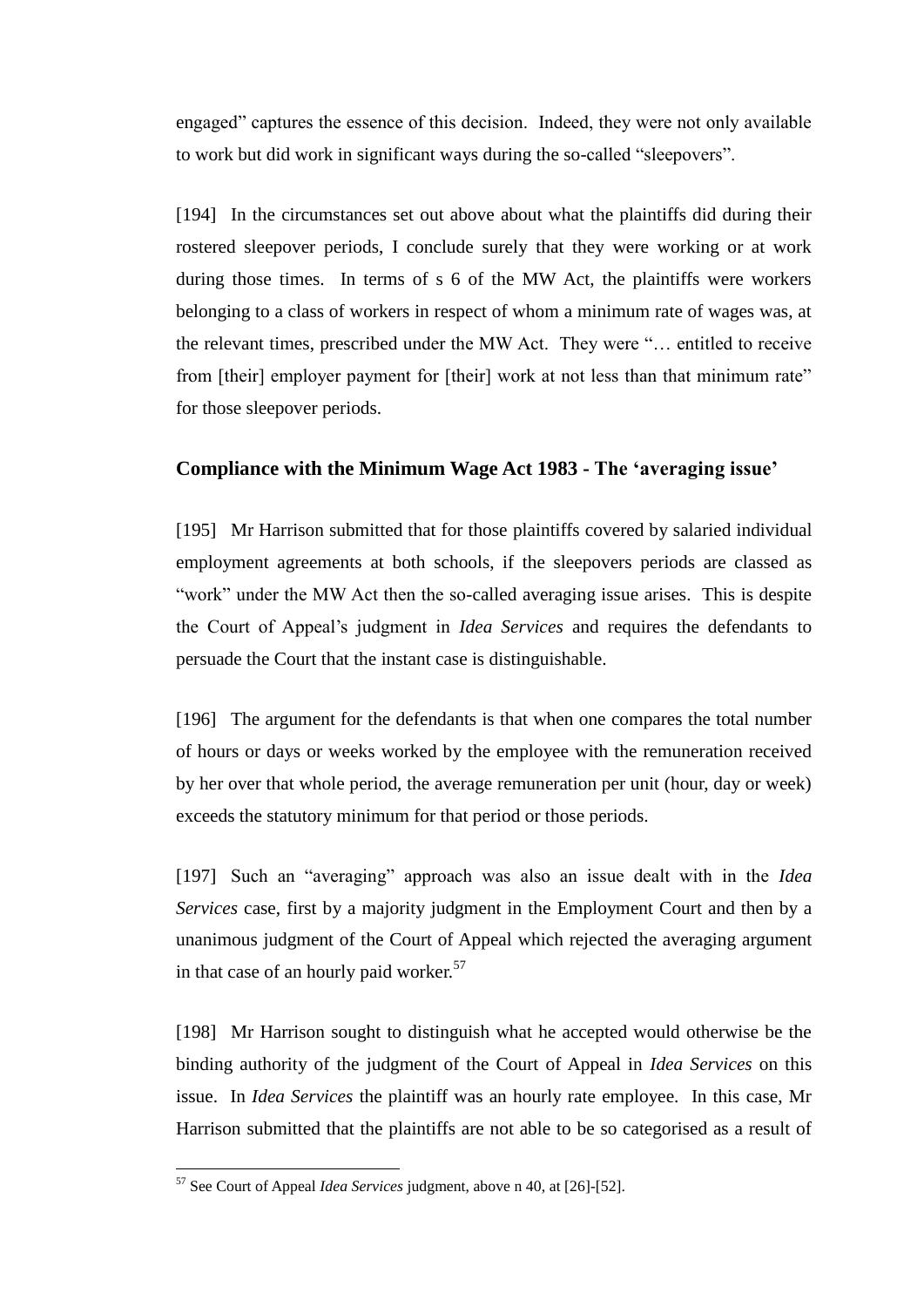engaged" captures the essence of this decision. Indeed, they were not only available to work but did work in significant ways during the so-called "sleepovers".

[194] In the circumstances set out above about what the plaintiffs did during their rostered sleepover periods, I conclude surely that they were working or at work during those times. In terms of s 6 of the MW Act, the plaintiffs were workers belonging to a class of workers in respect of whom a minimum rate of wages was, at the relevant times, prescribed under the MW Act. They were "… entitled to receive from [their] employer payment for [their] work at not less than that minimum rate" for those sleepover periods.

# **Compliance with the Minimum Wage Act 1983 - The 'averaging issue'**

[195] Mr Harrison submitted that for those plaintiffs covered by salaried individual employment agreements at both schools, if the sleepovers periods are classed as "work" under the MW Act then the so-called averaging issue arises. This is despite the Court of Appeal's judgment in *Idea Services* and requires the defendants to persuade the Court that the instant case is distinguishable.

[196] The argument for the defendants is that when one compares the total number of hours or days or weeks worked by the employee with the remuneration received by her over that whole period, the average remuneration per unit (hour, day or week) exceeds the statutory minimum for that period or those periods.

[197] Such an "averaging" approach was also an issue dealt with in the *Idea Services* case, first by a majority judgment in the Employment Court and then by a unanimous judgment of the Court of Appeal which rejected the averaging argument in that case of an hourly paid worker.<sup>57</sup>

[198] Mr Harrison sought to distinguish what he accepted would otherwise be the binding authority of the judgment of the Court of Appeal in *Idea Services* on this issue. In *Idea Services* the plaintiff was an hourly rate employee. In this case, Mr Harrison submitted that the plaintiffs are not able to be so categorised as a result of

<sup>57</sup> See Court of Appeal *Idea Services* judgment, above n 40, at [26]-[52].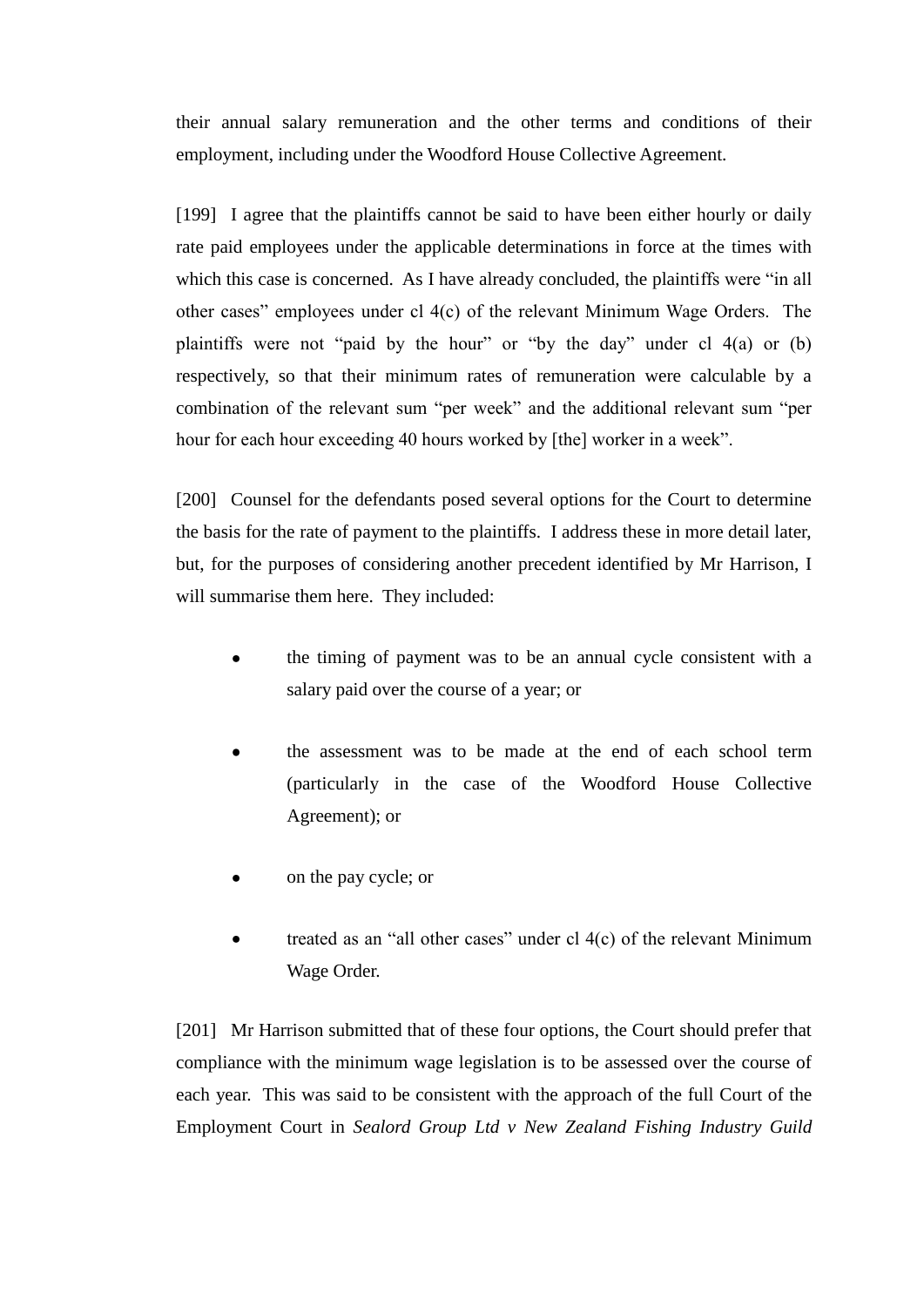their annual salary remuneration and the other terms and conditions of their employment, including under the Woodford House Collective Agreement.

[199] I agree that the plaintiffs cannot be said to have been either hourly or daily rate paid employees under the applicable determinations in force at the times with which this case is concerned. As I have already concluded, the plaintiffs were "in all other cases" employees under cl 4(c) of the relevant Minimum Wage Orders. The plaintiffs were not "paid by the hour" or "by the day" under cl 4(a) or (b) respectively, so that their minimum rates of remuneration were calculable by a combination of the relevant sum "per week" and the additional relevant sum "per hour for each hour exceeding 40 hours worked by [the] worker in a week".

[200] Counsel for the defendants posed several options for the Court to determine the basis for the rate of payment to the plaintiffs. I address these in more detail later, but, for the purposes of considering another precedent identified by Mr Harrison, I will summarise them here. They included:

- the timing of payment was to be an annual cycle consistent with a salary paid over the course of a year; or
- the assessment was to be made at the end of each school term (particularly in the case of the Woodford House Collective Agreement); or
- on the pay cycle; or
- treated as an "all other cases" under cl 4(c) of the relevant Minimum Wage Order.

[201] Mr Harrison submitted that of these four options, the Court should prefer that compliance with the minimum wage legislation is to be assessed over the course of each year. This was said to be consistent with the approach of the full Court of the Employment Court in *Sealord Group Ltd v New Zealand Fishing Industry Guild*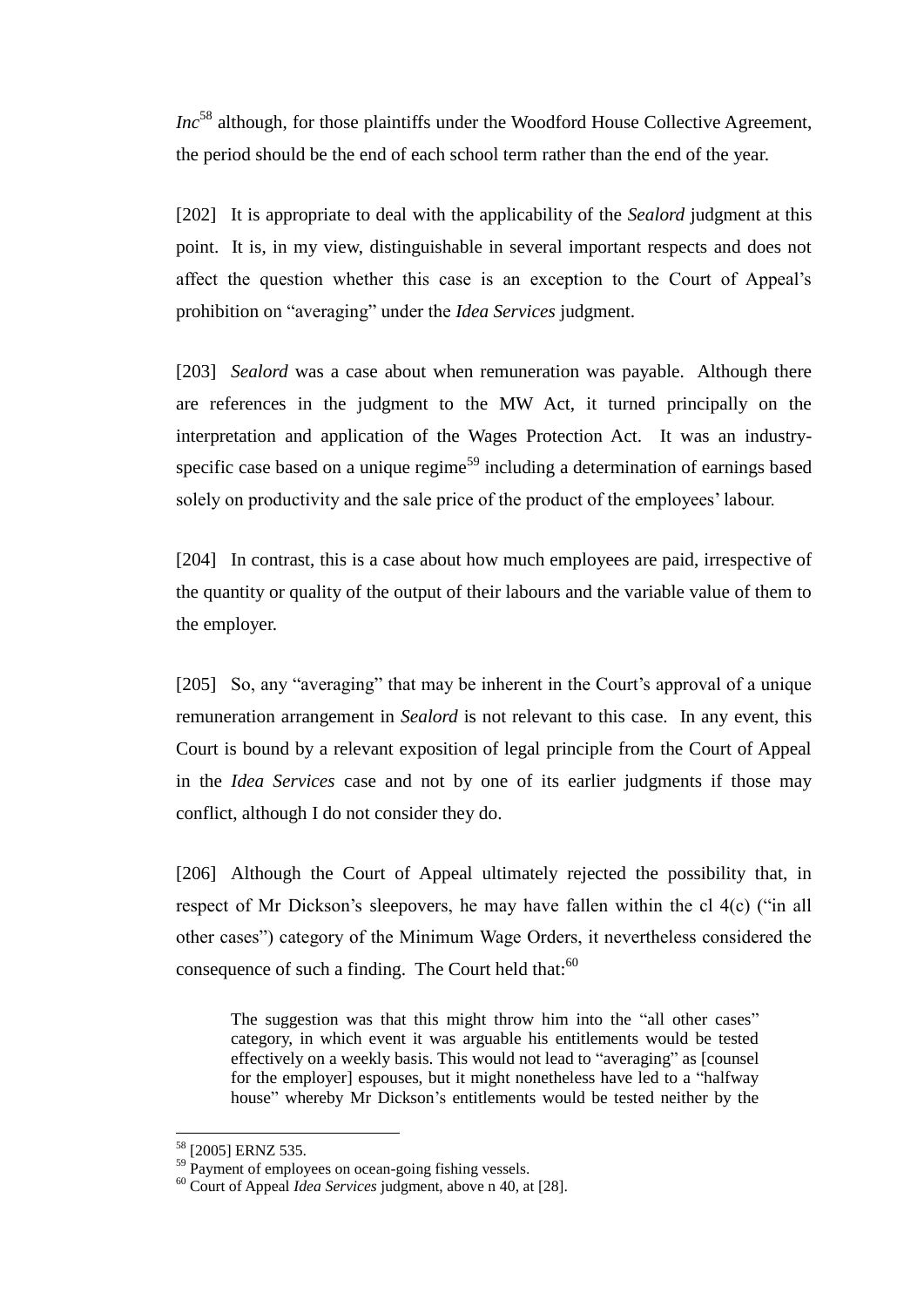*Inc*<sup>58</sup> although, for those plaintiffs under the Woodford House Collective Agreement, the period should be the end of each school term rather than the end of the year.

[202] It is appropriate to deal with the applicability of the *Sealord* judgment at this point. It is, in my view, distinguishable in several important respects and does not affect the question whether this case is an exception to the Court of Appeal's prohibition on "averaging" under the *Idea Services* judgment.

[203] *Sealord* was a case about when remuneration was payable. Although there are references in the judgment to the MW Act, it turned principally on the interpretation and application of the Wages Protection Act. It was an industryspecific case based on a unique regime<sup>59</sup> including a determination of earnings based solely on productivity and the sale price of the product of the employees' labour.

[204] In contrast, this is a case about how much employees are paid, irrespective of the quantity or quality of the output of their labours and the variable value of them to the employer.

[205] So, any "averaging" that may be inherent in the Court's approval of a unique remuneration arrangement in *Sealord* is not relevant to this case. In any event, this Court is bound by a relevant exposition of legal principle from the Court of Appeal in the *Idea Services* case and not by one of its earlier judgments if those may conflict, although I do not consider they do.

[206] Although the Court of Appeal ultimately rejected the possibility that, in respect of Mr Dickson's sleepovers, he may have fallen within the cl 4(c) ("in all other cases") category of the Minimum Wage Orders, it nevertheless considered the consequence of such a finding. The Court held that: $60$ 

The suggestion was that this might throw him into the "all other cases" category, in which event it was arguable his entitlements would be tested effectively on a weekly basis. This would not lead to "averaging" as [counsel for the employer] espouses, but it might nonetheless have led to a "halfway house" whereby Mr Dickson's entitlements would be tested neither by the

<sup>58</sup> [2005] ERNZ 535.

 $59$  Payment of employees on ocean-going fishing vessels.

<sup>60</sup> Court of Appeal *Idea Services* judgment, above n 40, at [28].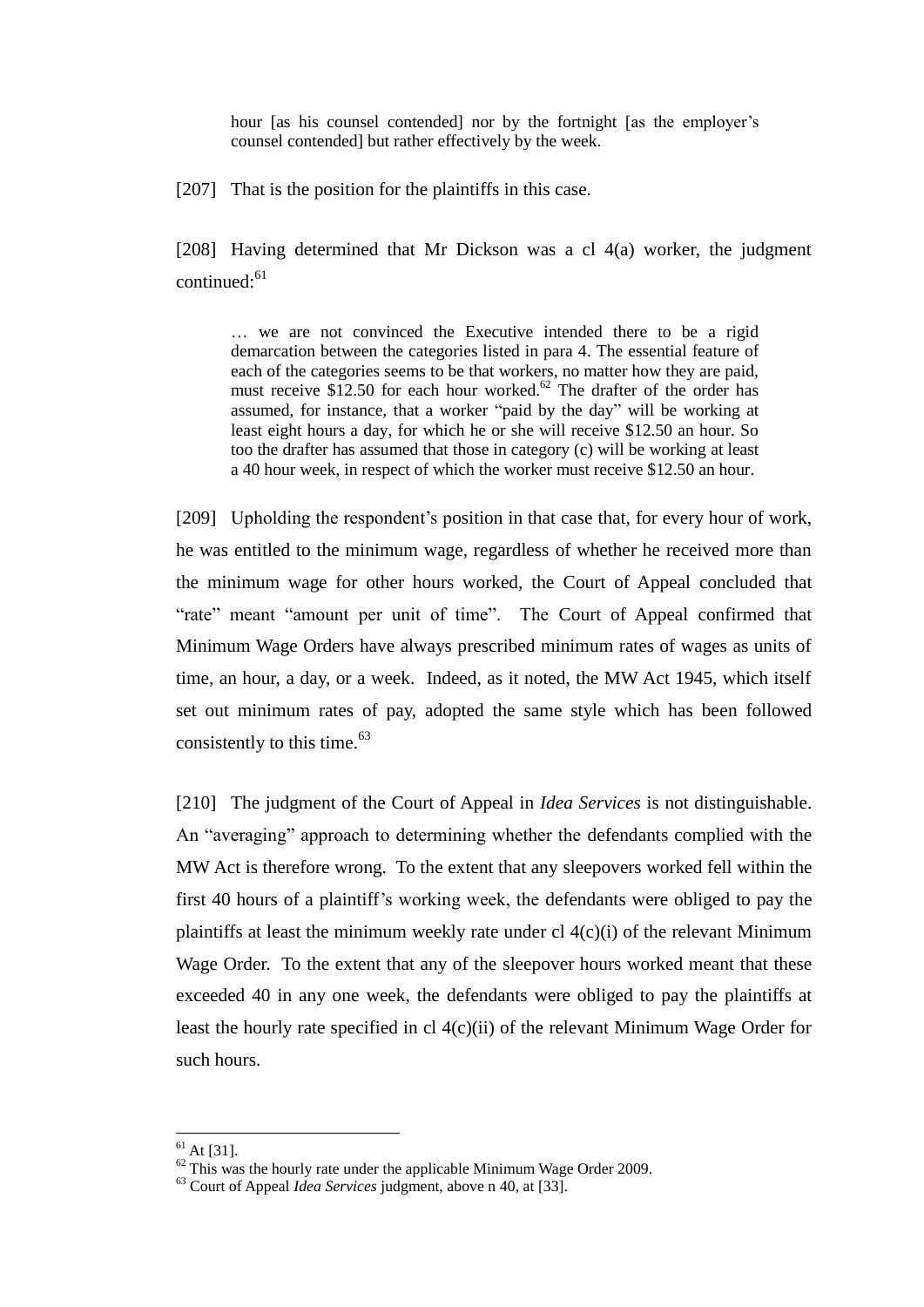hour [as his counsel contended] nor by the fortnight [as the employer's counsel contended] but rather effectively by the week.

[207] That is the position for the plaintiffs in this case.

[208] Having determined that Mr Dickson was a cl 4(a) worker, the judgment  $control: <sup>61</sup>$ 

… we are not convinced the Executive intended there to be a rigid demarcation between the categories listed in para 4. The essential feature of each of the categories seems to be that workers, no matter how they are paid, must receive  $$12.50$  for each hour worked.<sup>62</sup> The drafter of the order has assumed, for instance, that a worker "paid by the day" will be working at least eight hours a day, for which he or she will receive \$12.50 an hour. So too the drafter has assumed that those in category (c) will be working at least a 40 hour week, in respect of which the worker must receive \$12.50 an hour.

[209] Upholding the respondent's position in that case that, for every hour of work, he was entitled to the minimum wage, regardless of whether he received more than the minimum wage for other hours worked, the Court of Appeal concluded that "rate" meant "amount per unit of time". The Court of Appeal confirmed that Minimum Wage Orders have always prescribed minimum rates of wages as units of time, an hour, a day, or a week. Indeed, as it noted, the MW Act 1945, which itself set out minimum rates of pay, adopted the same style which has been followed consistently to this time. $63$ 

[210] The judgment of the Court of Appeal in *Idea Services* is not distinguishable. An "averaging" approach to determining whether the defendants complied with the MW Act is therefore wrong. To the extent that any sleepovers worked fell within the first 40 hours of a plaintiff's working week, the defendants were obliged to pay the plaintiffs at least the minimum weekly rate under cl  $4(c)(i)$  of the relevant Minimum Wage Order. To the extent that any of the sleepover hours worked meant that these exceeded 40 in any one week, the defendants were obliged to pay the plaintiffs at least the hourly rate specified in cl 4(c)(ii) of the relevant Minimum Wage Order for such hours.

 $61$  At [31].

 $62$  This was the hourly rate under the applicable Minimum Wage Order 2009.

<sup>63</sup> Court of Appeal *Idea Services* judgment, above n 40, at [33].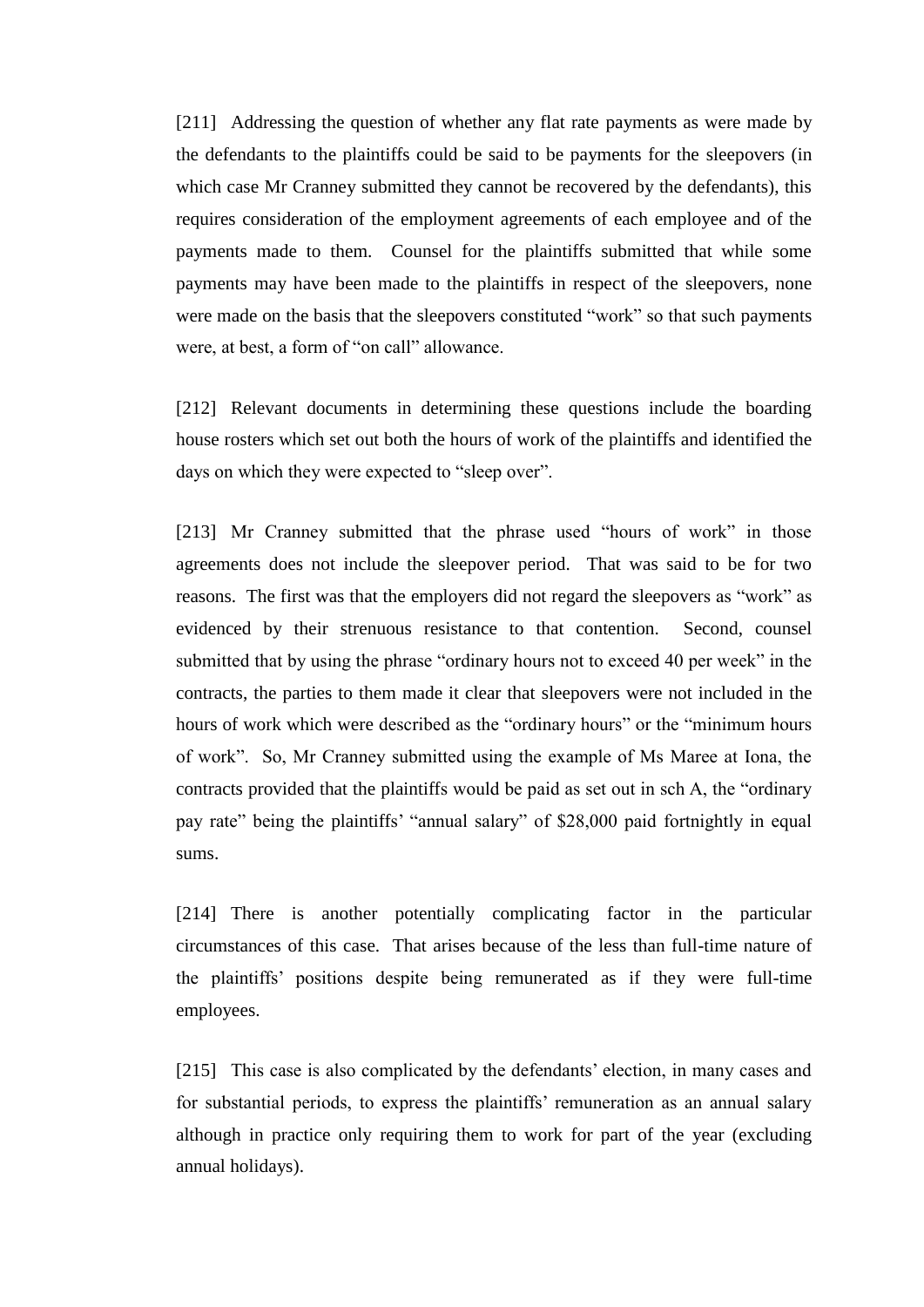[211] Addressing the question of whether any flat rate payments as were made by the defendants to the plaintiffs could be said to be payments for the sleepovers (in which case Mr Cranney submitted they cannot be recovered by the defendants), this requires consideration of the employment agreements of each employee and of the payments made to them. Counsel for the plaintiffs submitted that while some payments may have been made to the plaintiffs in respect of the sleepovers, none were made on the basis that the sleepovers constituted "work" so that such payments were, at best, a form of "on call" allowance.

[212] Relevant documents in determining these questions include the boarding house rosters which set out both the hours of work of the plaintiffs and identified the days on which they were expected to "sleep over".

[213] Mr Cranney submitted that the phrase used "hours of work" in those agreements does not include the sleepover period. That was said to be for two reasons. The first was that the employers did not regard the sleepovers as "work" as evidenced by their strenuous resistance to that contention. Second, counsel submitted that by using the phrase "ordinary hours not to exceed 40 per week" in the contracts, the parties to them made it clear that sleepovers were not included in the hours of work which were described as the "ordinary hours" or the "minimum hours of work". So, Mr Cranney submitted using the example of Ms Maree at Iona, the contracts provided that the plaintiffs would be paid as set out in sch A, the "ordinary pay rate" being the plaintiffs' "annual salary" of \$28,000 paid fortnightly in equal sums.

[214] There is another potentially complicating factor in the particular circumstances of this case. That arises because of the less than full-time nature of the plaintiffs' positions despite being remunerated as if they were full-time employees.

[215] This case is also complicated by the defendants' election, in many cases and for substantial periods, to express the plaintiffs' remuneration as an annual salary although in practice only requiring them to work for part of the year (excluding annual holidays).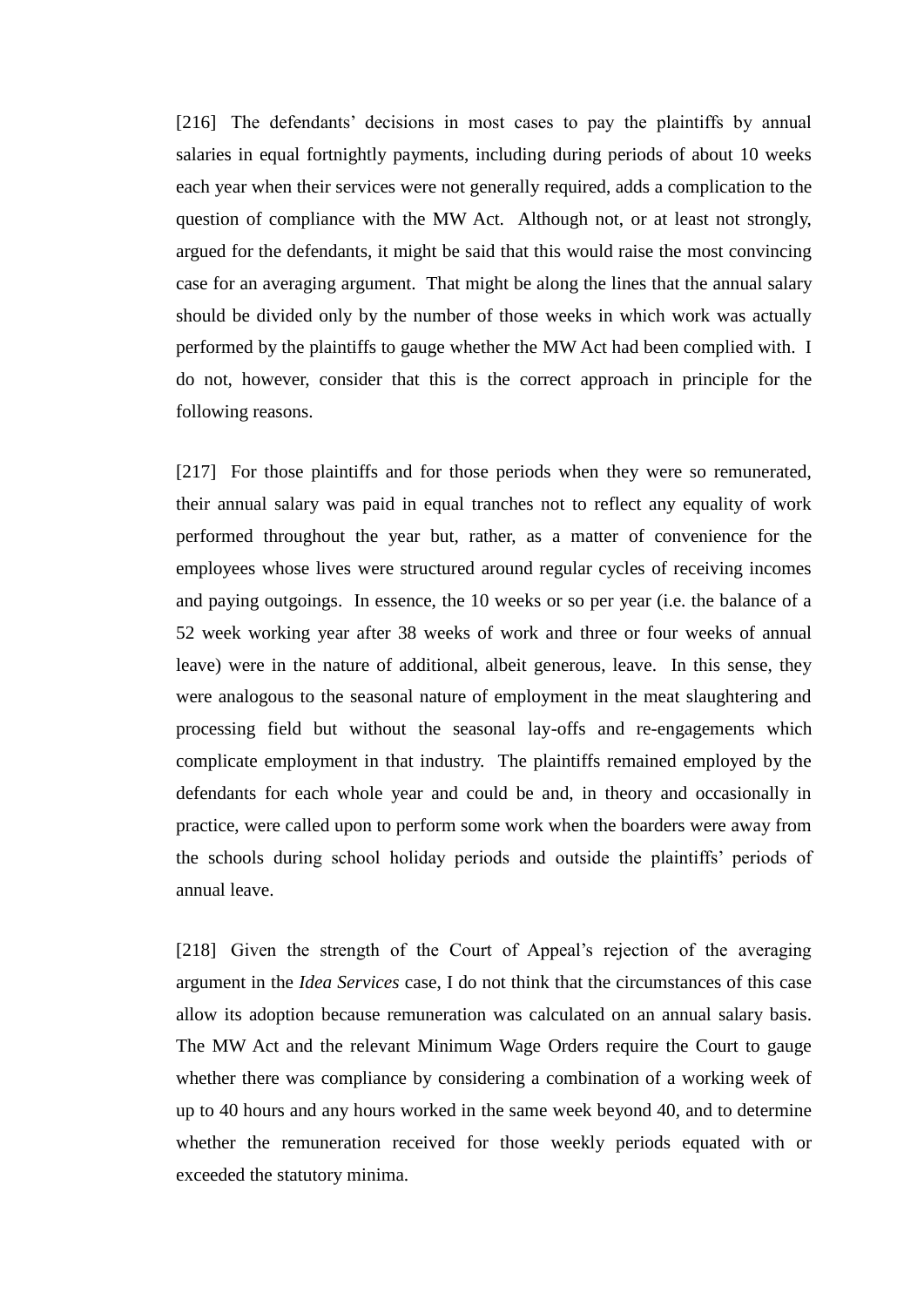[216] The defendants' decisions in most cases to pay the plaintiffs by annual salaries in equal fortnightly payments, including during periods of about 10 weeks each year when their services were not generally required, adds a complication to the question of compliance with the MW Act. Although not, or at least not strongly, argued for the defendants, it might be said that this would raise the most convincing case for an averaging argument. That might be along the lines that the annual salary should be divided only by the number of those weeks in which work was actually performed by the plaintiffs to gauge whether the MW Act had been complied with. I do not, however, consider that this is the correct approach in principle for the following reasons.

[217] For those plaintiffs and for those periods when they were so remunerated, their annual salary was paid in equal tranches not to reflect any equality of work performed throughout the year but, rather, as a matter of convenience for the employees whose lives were structured around regular cycles of receiving incomes and paying outgoings. In essence, the 10 weeks or so per year (i.e. the balance of a 52 week working year after 38 weeks of work and three or four weeks of annual leave) were in the nature of additional, albeit generous, leave. In this sense, they were analogous to the seasonal nature of employment in the meat slaughtering and processing field but without the seasonal lay-offs and re-engagements which complicate employment in that industry. The plaintiffs remained employed by the defendants for each whole year and could be and, in theory and occasionally in practice, were called upon to perform some work when the boarders were away from the schools during school holiday periods and outside the plaintiffs' periods of annual leave.

[218] Given the strength of the Court of Appeal's rejection of the averaging argument in the *Idea Services* case, I do not think that the circumstances of this case allow its adoption because remuneration was calculated on an annual salary basis. The MW Act and the relevant Minimum Wage Orders require the Court to gauge whether there was compliance by considering a combination of a working week of up to 40 hours and any hours worked in the same week beyond 40, and to determine whether the remuneration received for those weekly periods equated with or exceeded the statutory minima.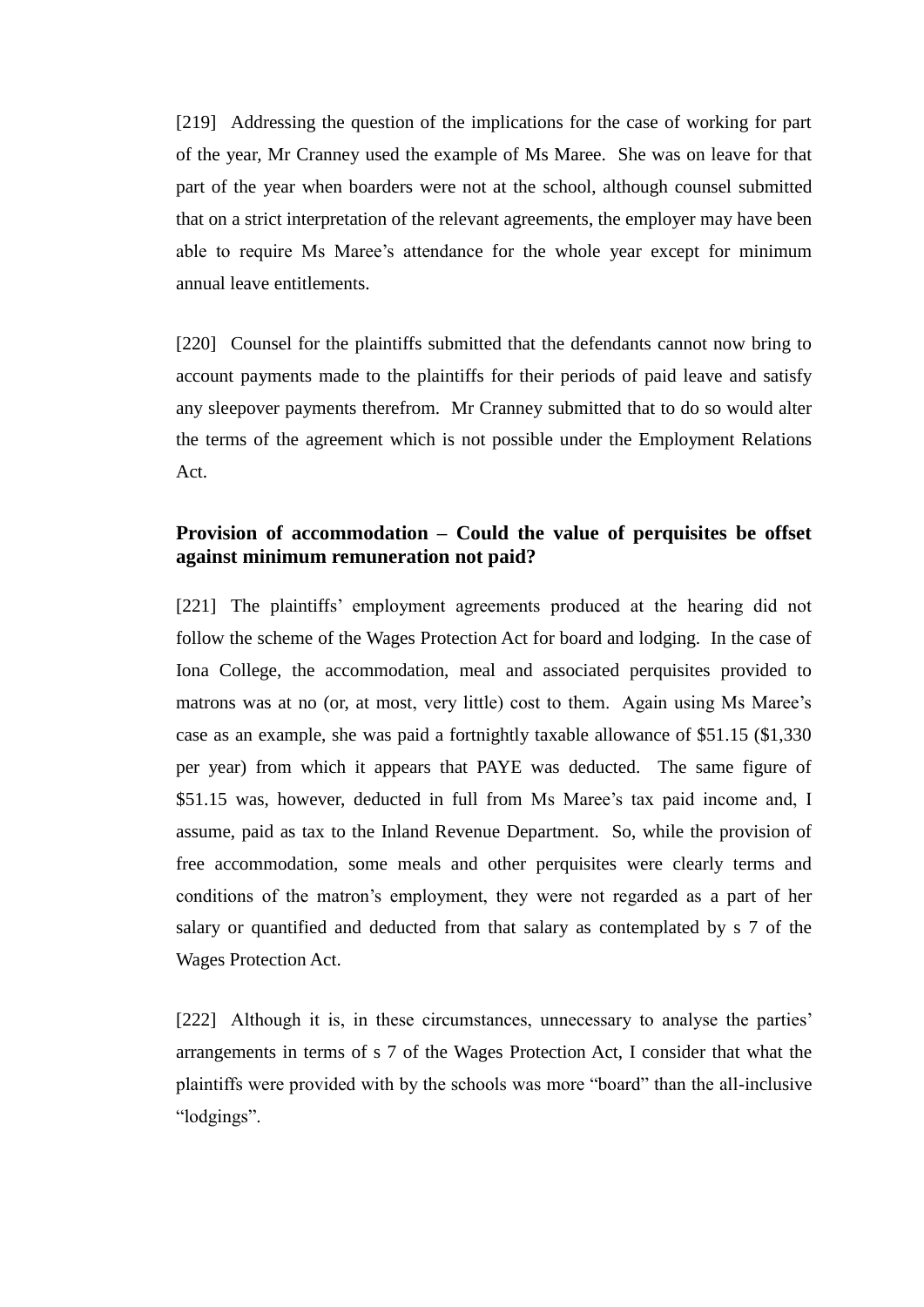[219] Addressing the question of the implications for the case of working for part of the year, Mr Cranney used the example of Ms Maree. She was on leave for that part of the year when boarders were not at the school, although counsel submitted that on a strict interpretation of the relevant agreements, the employer may have been able to require Ms Maree's attendance for the whole year except for minimum annual leave entitlements.

[220] Counsel for the plaintiffs submitted that the defendants cannot now bring to account payments made to the plaintiffs for their periods of paid leave and satisfy any sleepover payments therefrom. Mr Cranney submitted that to do so would alter the terms of the agreement which is not possible under the Employment Relations Act.

# **Provision of accommodation – Could the value of perquisites be offset against minimum remuneration not paid?**

[221] The plaintiffs' employment agreements produced at the hearing did not follow the scheme of the Wages Protection Act for board and lodging. In the case of Iona College, the accommodation, meal and associated perquisites provided to matrons was at no (or, at most, very little) cost to them. Again using Ms Maree's case as an example, she was paid a fortnightly taxable allowance of \$51.15 (\$1,330 per year) from which it appears that PAYE was deducted. The same figure of \$51.15 was, however, deducted in full from Ms Maree's tax paid income and, I assume, paid as tax to the Inland Revenue Department. So, while the provision of free accommodation, some meals and other perquisites were clearly terms and conditions of the matron's employment, they were not regarded as a part of her salary or quantified and deducted from that salary as contemplated by s 7 of the Wages Protection Act.

[222] Although it is, in these circumstances, unnecessary to analyse the parties' arrangements in terms of s 7 of the Wages Protection Act, I consider that what the plaintiffs were provided with by the schools was more "board" than the all-inclusive "lodgings".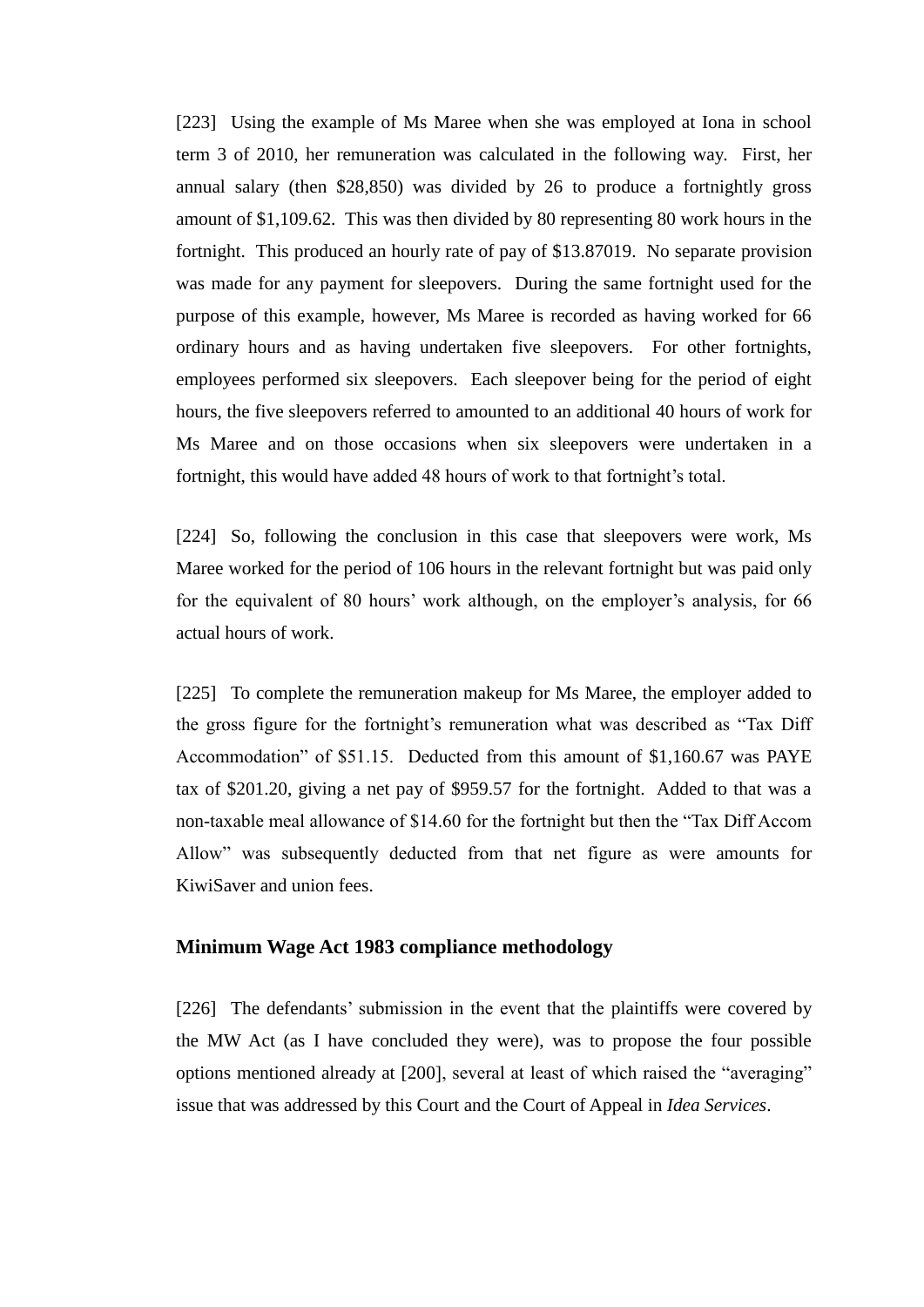[223] Using the example of Ms Maree when she was employed at Iona in school term 3 of 2010, her remuneration was calculated in the following way. First, her annual salary (then \$28,850) was divided by 26 to produce a fortnightly gross amount of \$1,109.62. This was then divided by 80 representing 80 work hours in the fortnight. This produced an hourly rate of pay of \$13.87019. No separate provision was made for any payment for sleepovers. During the same fortnight used for the purpose of this example, however, Ms Maree is recorded as having worked for 66 ordinary hours and as having undertaken five sleepovers. For other fortnights, employees performed six sleepovers. Each sleepover being for the period of eight hours, the five sleepovers referred to amounted to an additional 40 hours of work for Ms Maree and on those occasions when six sleepovers were undertaken in a fortnight, this would have added 48 hours of work to that fortnight's total.

[224] So, following the conclusion in this case that sleepovers were work, Ms Maree worked for the period of 106 hours in the relevant fortnight but was paid only for the equivalent of 80 hours' work although, on the employer's analysis, for 66 actual hours of work.

[225] To complete the remuneration makeup for Ms Maree, the employer added to the gross figure for the fortnight's remuneration what was described as "Tax Diff Accommodation" of \$51.15. Deducted from this amount of \$1,160.67 was PAYE tax of \$201.20, giving a net pay of \$959.57 for the fortnight. Added to that was a non-taxable meal allowance of \$14.60 for the fortnight but then the "Tax Diff Accom Allow" was subsequently deducted from that net figure as were amounts for KiwiSaver and union fees.

### **Minimum Wage Act 1983 compliance methodology**

[226] The defendants' submission in the event that the plaintiffs were covered by the MW Act (as I have concluded they were), was to propose the four possible options mentioned already at [200], several at least of which raised the "averaging" issue that was addressed by this Court and the Court of Appeal in *Idea Services*.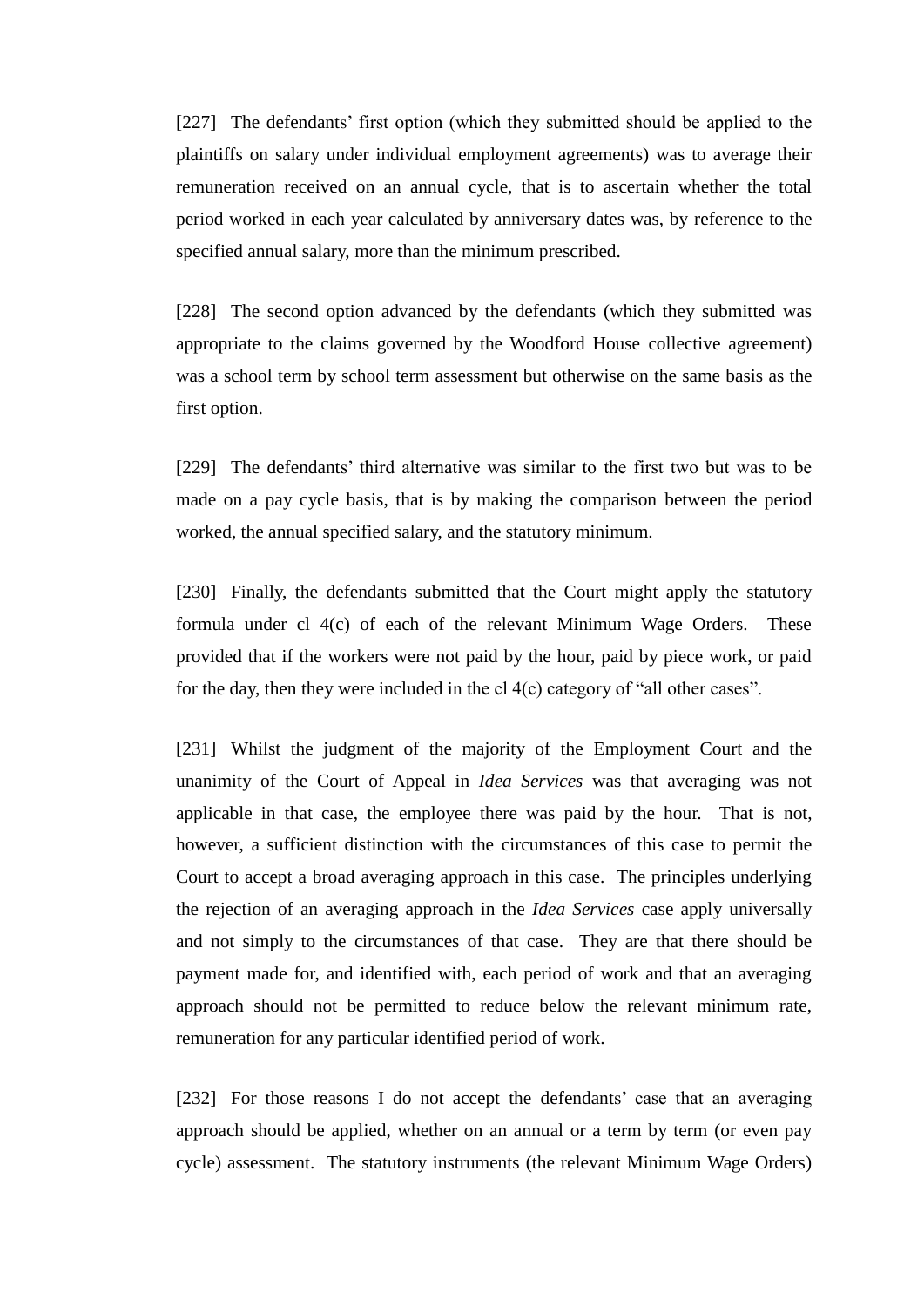[227] The defendants' first option (which they submitted should be applied to the plaintiffs on salary under individual employment agreements) was to average their remuneration received on an annual cycle, that is to ascertain whether the total period worked in each year calculated by anniversary dates was, by reference to the specified annual salary, more than the minimum prescribed.

[228] The second option advanced by the defendants (which they submitted was appropriate to the claims governed by the Woodford House collective agreement) was a school term by school term assessment but otherwise on the same basis as the first option.

[229] The defendants' third alternative was similar to the first two but was to be made on a pay cycle basis, that is by making the comparison between the period worked, the annual specified salary, and the statutory minimum.

[230] Finally, the defendants submitted that the Court might apply the statutory formula under cl 4(c) of each of the relevant Minimum Wage Orders. These provided that if the workers were not paid by the hour, paid by piece work, or paid for the day, then they were included in the cl 4(c) category of "all other cases".

[231] Whilst the judgment of the majority of the Employment Court and the unanimity of the Court of Appeal in *Idea Services* was that averaging was not applicable in that case, the employee there was paid by the hour. That is not, however, a sufficient distinction with the circumstances of this case to permit the Court to accept a broad averaging approach in this case. The principles underlying the rejection of an averaging approach in the *Idea Services* case apply universally and not simply to the circumstances of that case. They are that there should be payment made for, and identified with, each period of work and that an averaging approach should not be permitted to reduce below the relevant minimum rate, remuneration for any particular identified period of work.

[232] For those reasons I do not accept the defendants' case that an averaging approach should be applied, whether on an annual or a term by term (or even pay cycle) assessment. The statutory instruments (the relevant Minimum Wage Orders)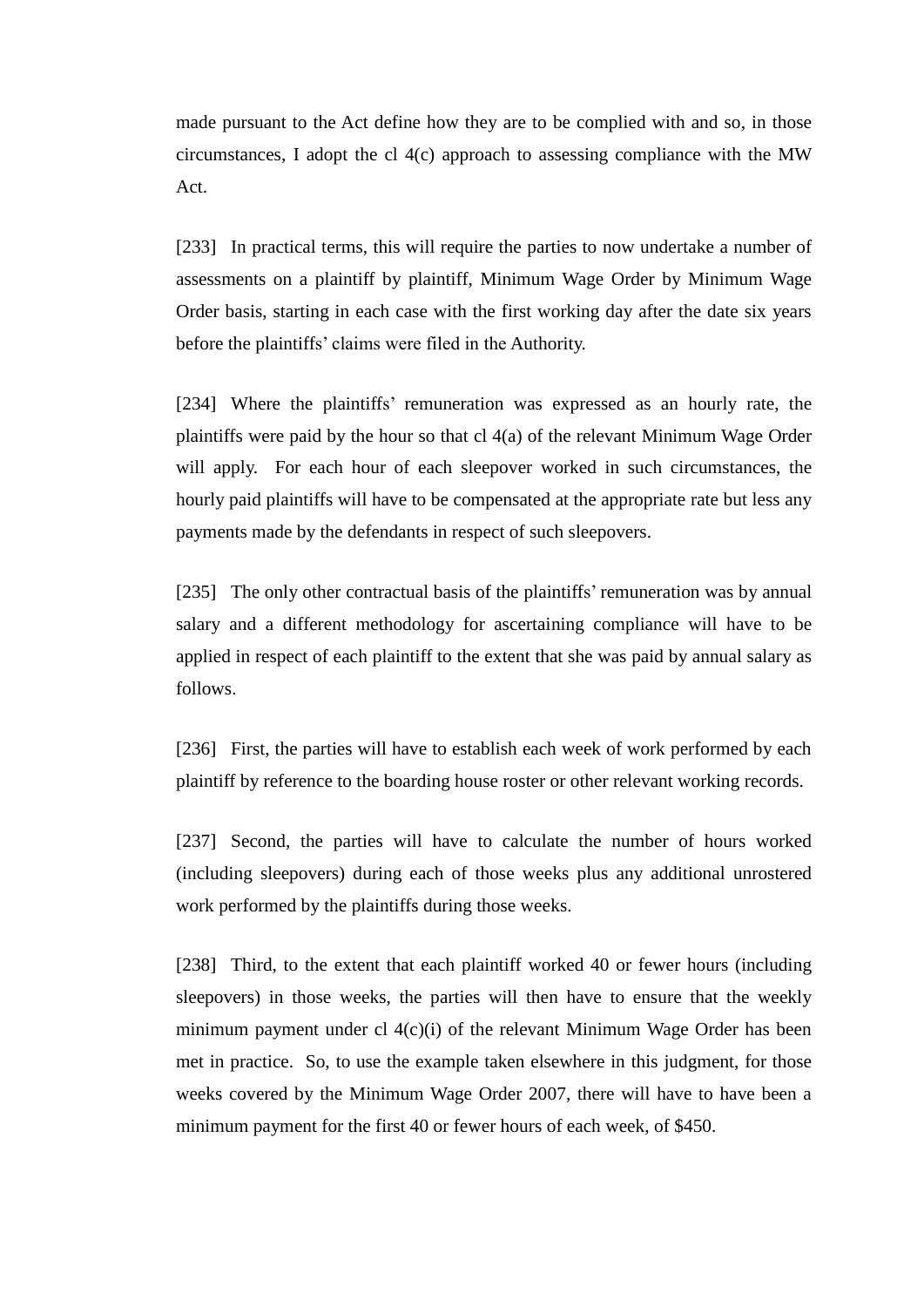made pursuant to the Act define how they are to be complied with and so, in those circumstances, I adopt the cl 4(c) approach to assessing compliance with the MW Act.

[233] In practical terms, this will require the parties to now undertake a number of assessments on a plaintiff by plaintiff, Minimum Wage Order by Minimum Wage Order basis, starting in each case with the first working day after the date six years before the plaintiffs' claims were filed in the Authority.

[234] Where the plaintiffs' remuneration was expressed as an hourly rate, the plaintiffs were paid by the hour so that cl 4(a) of the relevant Minimum Wage Order will apply. For each hour of each sleepover worked in such circumstances, the hourly paid plaintiffs will have to be compensated at the appropriate rate but less any payments made by the defendants in respect of such sleepovers.

[235] The only other contractual basis of the plaintiffs' remuneration was by annual salary and a different methodology for ascertaining compliance will have to be applied in respect of each plaintiff to the extent that she was paid by annual salary as follows.

[236] First, the parties will have to establish each week of work performed by each plaintiff by reference to the boarding house roster or other relevant working records.

[237] Second, the parties will have to calculate the number of hours worked (including sleepovers) during each of those weeks plus any additional unrostered work performed by the plaintiffs during those weeks.

[238] Third, to the extent that each plaintiff worked 40 or fewer hours (including sleepovers) in those weeks, the parties will then have to ensure that the weekly minimum payment under cl 4(c)(i) of the relevant Minimum Wage Order has been met in practice. So, to use the example taken elsewhere in this judgment, for those weeks covered by the Minimum Wage Order 2007, there will have to have been a minimum payment for the first 40 or fewer hours of each week, of \$450.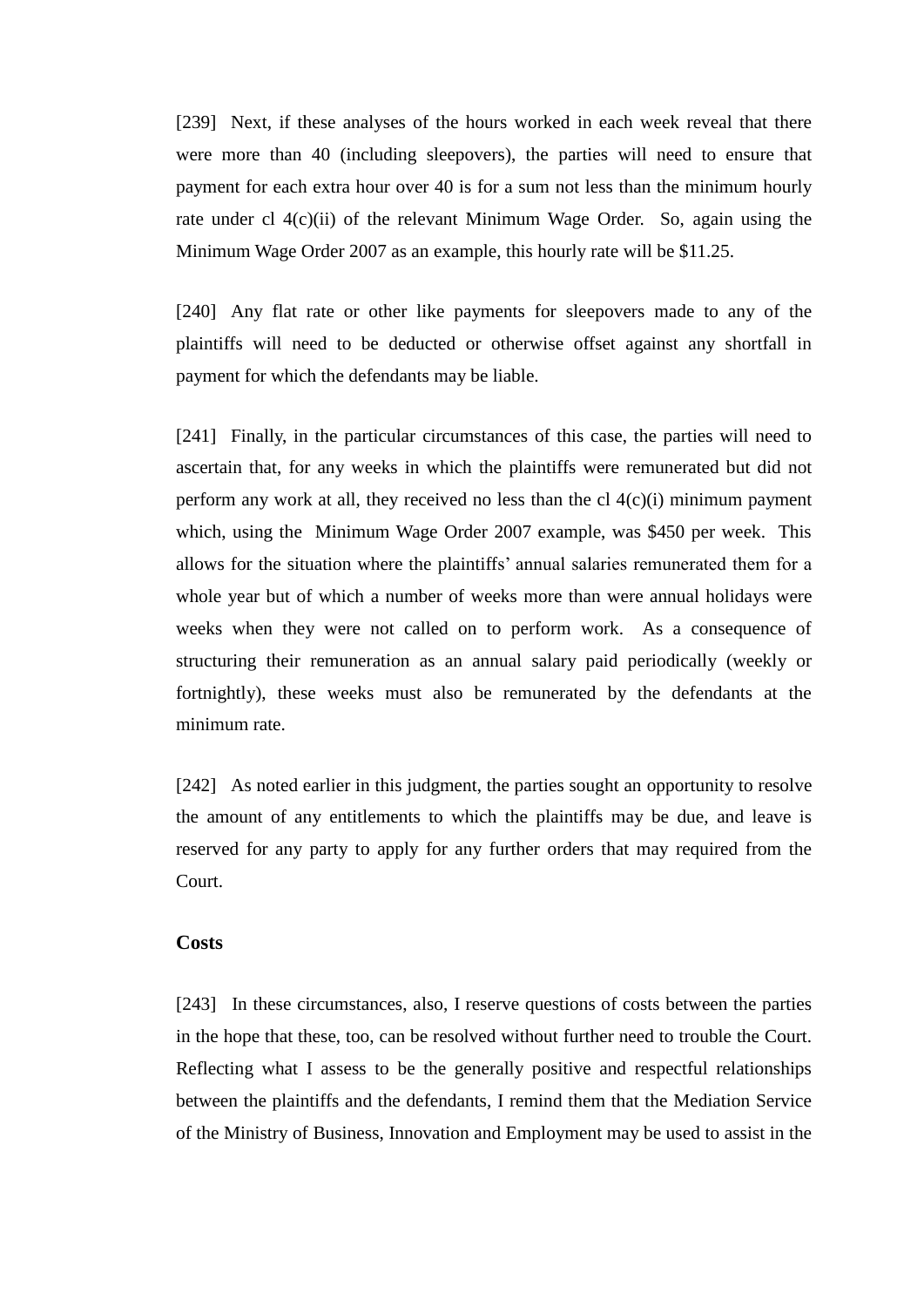[239] Next, if these analyses of the hours worked in each week reveal that there were more than 40 (including sleepovers), the parties will need to ensure that payment for each extra hour over 40 is for a sum not less than the minimum hourly rate under cl 4(c)(ii) of the relevant Minimum Wage Order. So, again using the Minimum Wage Order 2007 as an example, this hourly rate will be \$11.25.

[240] Any flat rate or other like payments for sleepovers made to any of the plaintiffs will need to be deducted or otherwise offset against any shortfall in payment for which the defendants may be liable.

[241] Finally, in the particular circumstances of this case, the parties will need to ascertain that, for any weeks in which the plaintiffs were remunerated but did not perform any work at all, they received no less than the cl 4(c)(i) minimum payment which, using the Minimum Wage Order 2007 example, was \$450 per week. This allows for the situation where the plaintiffs' annual salaries remunerated them for a whole year but of which a number of weeks more than were annual holidays were weeks when they were not called on to perform work. As a consequence of structuring their remuneration as an annual salary paid periodically (weekly or fortnightly), these weeks must also be remunerated by the defendants at the minimum rate.

[242] As noted earlier in this judgment, the parties sought an opportunity to resolve the amount of any entitlements to which the plaintiffs may be due, and leave is reserved for any party to apply for any further orders that may required from the Court.

### **Costs**

[243] In these circumstances, also, I reserve questions of costs between the parties in the hope that these, too, can be resolved without further need to trouble the Court. Reflecting what I assess to be the generally positive and respectful relationships between the plaintiffs and the defendants, I remind them that the Mediation Service of the Ministry of Business, Innovation and Employment may be used to assist in the